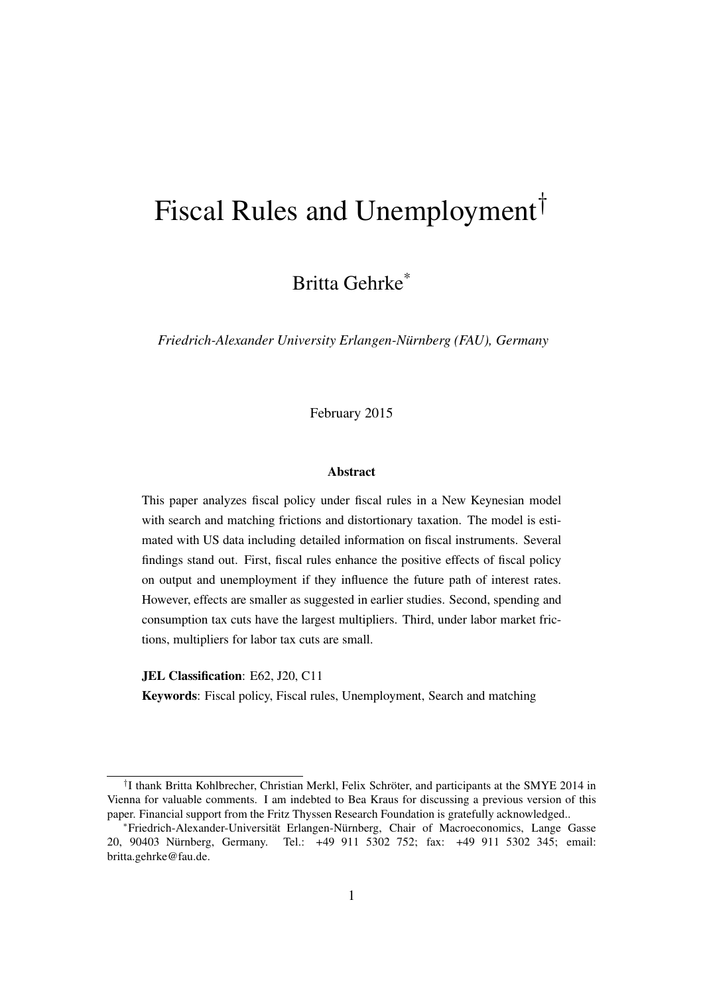# Fiscal Rules and Unemployment<sup>†</sup>

Britta Gehrke\*

*Friedrich-Alexander University Erlangen-Nürnberg (FAU), Germany*

February 2015

#### Abstract

This paper analyzes fiscal policy under fiscal rules in a New Keynesian model with search and matching frictions and distortionary taxation. The model is estimated with US data including detailed information on fiscal instruments. Several findings stand out. First, fiscal rules enhance the positive effects of fiscal policy on output and unemployment if they influence the future path of interest rates. However, effects are smaller as suggested in earlier studies. Second, spending and consumption tax cuts have the largest multipliers. Third, under labor market frictions, multipliers for labor tax cuts are small.

JEL Classification: E62, J20, C11

Keywords: Fiscal policy, Fiscal rules, Unemployment, Search and matching

<sup>†</sup> I thank Britta Kohlbrecher, Christian Merkl, Felix Schröter, and participants at the SMYE 2014 in Vienna for valuable comments. I am indebted to Bea Kraus for discussing a previous version of this paper. Financial support from the Fritz Thyssen Research Foundation is gratefully acknowledged..

<sup>∗</sup>Friedrich-Alexander-Universität Erlangen-Nürnberg, Chair of Macroeconomics, Lange Gasse 20, 90403 Nürnberg, Germany. Tel.: +49 911 5302 752; fax: +49 911 5302 345; email: britta.gehrke@fau.de.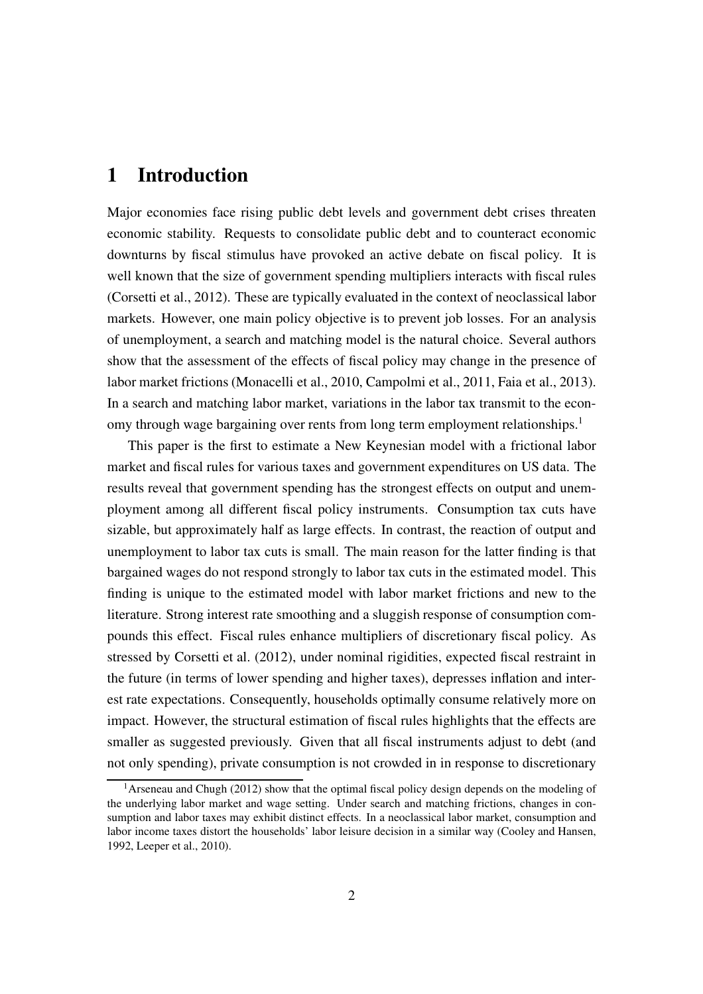### 1 Introduction

Major economies face rising public debt levels and government debt crises threaten economic stability. Requests to consolidate public debt and to counteract economic downturns by fiscal stimulus have provoked an active debate on fiscal policy. It is well known that the size of government spending multipliers interacts with fiscal rules [\(Corsetti et al., 2012](#page-45-0)). These are typically evaluated in the context of neoclassical labor markets. However, one main policy objective is to prevent job losses. For an analysis of unemployment, a search and matching model is the natural choice. Several authors show that the assessment of the effects of fiscal policy may change in the presence of labor market frictions [\(Monacelli et al., 2010](#page-48-0), [Campolmi et](#page-45-1) al., [2011,](#page-45-1) [Faia et al.](#page-46-0), [2013\)](#page-46-0). In a search and matching labor market, variations in the labor tax transmit to the econ-omy through wage bargaining over rents from long term employment relationships.<sup>[1](#page-1-0)</sup>

This paper is the first to estimate a New Keynesian model with a frictional labor market and fiscal rules for various taxes and government expenditures on US data. The results reveal that government spending has the strongest effects on output and unemployment among all different fiscal policy instruments. Consumption tax cuts have sizable, but approximately half as large effects. In contrast, the reaction of output and unemployment to labor tax cuts is small. The main reason for the latter finding is that bargained wages do not respond strongly to labor tax cuts in the estimated model. This finding is unique to the estimated model with labor market frictions and new to the literature. Strong interest rate smoothing and a sluggish response of consumption compounds this effect. Fiscal rules enhance multipliers of discretionary fiscal policy. As stressed by [Corsetti et al.](#page-45-0) [\(2012\)](#page-45-0), under nominal rigidities, expected fiscal restraint in the future (in terms of lower spending and higher taxes), depresses inflation and interest rate expectations. Consequently, households optimally consume relatively more on impact. However, the structural estimation of fiscal rules highlights that the effects are smaller as suggested previously. Given that all fiscal instruments adjust to debt (and not only spending), private consumption is not crowded in in response to discretionary

<span id="page-1-0"></span><sup>&</sup>lt;sup>1</sup>[Arseneau and Chugh \(2012](#page-44-0)) show that the optimal fiscal policy design depends on the modeling of the underlying labor market and wage setting. Under search and matching frictions, changes in consumption and labor taxes may exhibit distinct effects. In a neoclassical labor market, consumption and labor income taxes distort the households' labor leisure decision in a similar way [\(Cooley and Hansen](#page-45-2), [1992,](#page-45-2) [Leeper et al.](#page-48-1), [2010](#page-48-1)).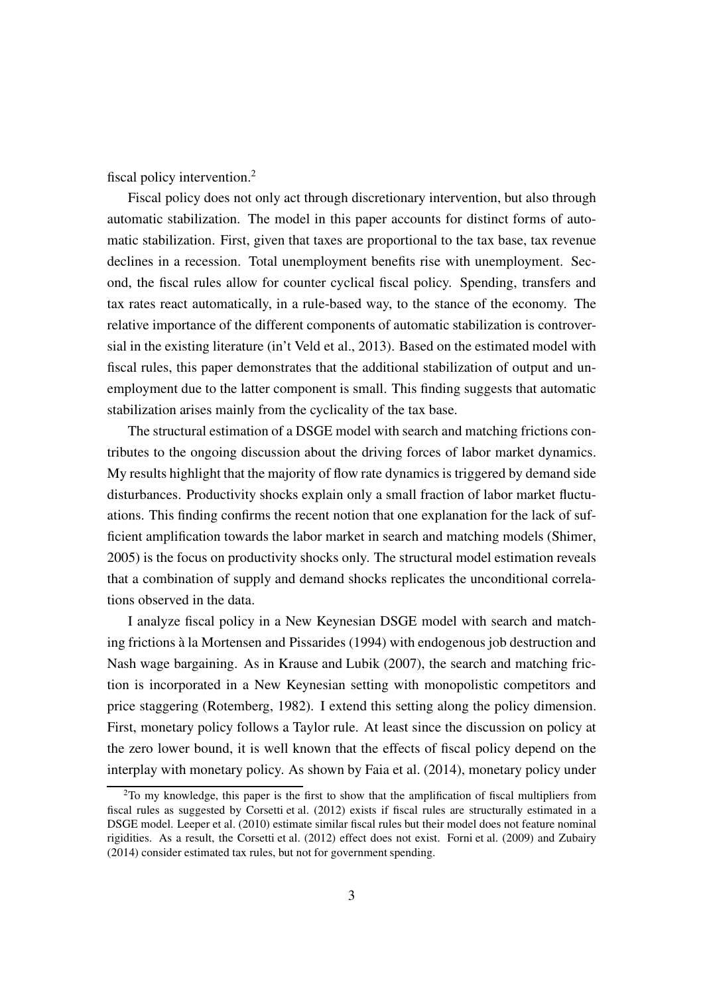fiscal policy intervention.<sup>[2](#page-2-0)</sup>

Fiscal policy does not only act through discretionary intervention, but also through automatic stabilization. The model in this paper accounts for distinct forms of automatic stabilization. First, given that taxes are proportional to the tax base, tax revenue declines in a recession. Total unemployment benefits rise with unemployment. Second, the fiscal rules allow for counter cyclical fiscal policy. Spending, transfers and tax rates react automatically, in a rule-based way, to the stance of the economy. The relative importance of the different components of automatic stabilization is controversial in the existing literature [\(in't Veld et al., 2013](#page-47-0)). Based on the estimated model with fiscal rules, this paper demonstrates that the additional stabilization of output and unemployment due to the latter component is small. This finding suggests that automatic stabilization arises mainly from the cyclicality of the tax base.

The structural estimation of a DSGE model with search and matching frictions contributes to the ongoing discussion about the driving forces of labor market dynamics. My results highlight that the majority of flow rate dynamics is triggered by demand side disturbances. Productivity shocks explain only a small fraction of labor market fluctuations. This finding confirms the recent notion that one explanation for the lack of sufficient amplification towards the labor market in search and matching models [\(Shimer,](#page-49-0) [2005\)](#page-49-0) is the focus on productivity shocks only. The structural model estimation reveals that a combination of supply and demand shocks replicates the unconditional correlations observed in the data.

I analyze fiscal policy in a New Keynesian DSGE model with search and matching frictions à la [Mortensen and Pissarides \(1994](#page-48-2)) with endogenous job destruction and Nash wage bargaining. As in [Krause and Lubik](#page-47-1) [\(2007\)](#page-47-1), the search and matching friction is incorporated in a New Keynesian setting with monopolistic competitors and price staggering [\(Rotemberg](#page-48-3), [1982\)](#page-48-3). I extend this setting along the policy dimension. First, monetary policy follows a Taylor rule. At least since the discussion on policy at the zero lower bound, it is well known that the effects of fiscal policy depend on the interplay with monetary policy. As shown by [Faia et al.](#page-46-1) [\(2014\)](#page-46-1), monetary policy under

<span id="page-2-0"></span><sup>&</sup>lt;sup>2</sup>To my knowledge, this paper is the first to show that the amplification of fiscal multipliers from fiscal rules as suggested by [Corsetti et al. \(2012\)](#page-45-0) exists if fiscal rules are structurally estimated in a DSGE model. [Leeper et al. \(2010](#page-48-1)) estimate similar fiscal rules but their model does not feature nominal rigidities. As a result, the [Corsetti et al. \(2012\)](#page-45-0) effect does not exist. [Forni et al.](#page-46-2) [\(2009\)](#page-46-2) and [Zubairy](#page-49-1) [\(2014](#page-49-1)) consider estimated tax rules, but not for government spending.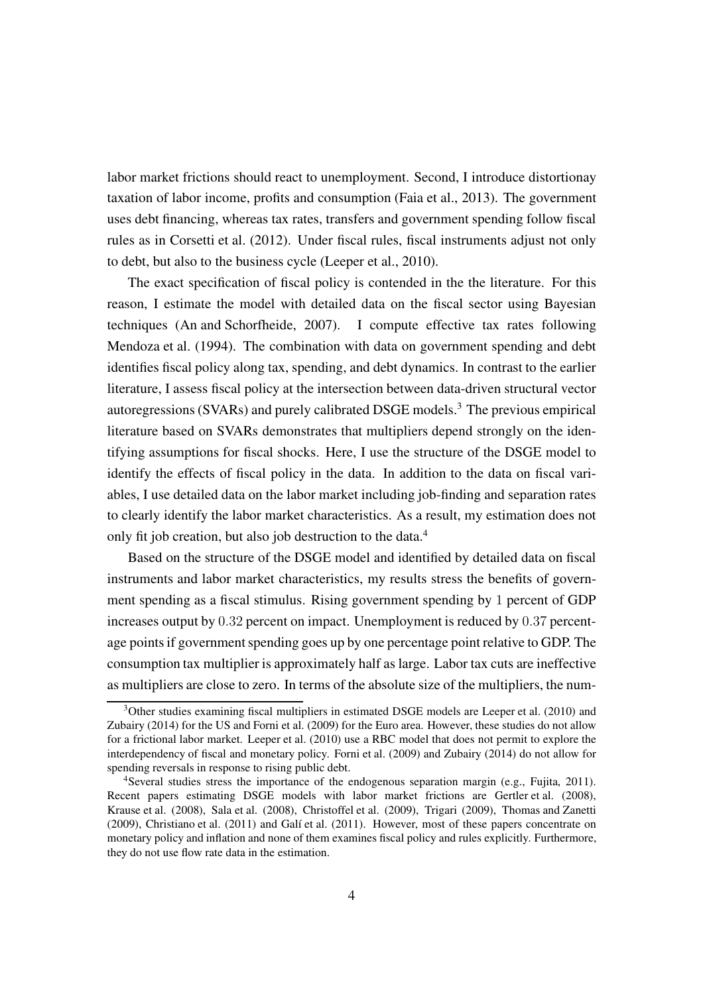labor market frictions should react to unemployment. Second, I introduce distortionay taxation of labor income, profits and consumption [\(Faia et al., 2013\)](#page-46-0). The government uses debt financing, whereas tax rates, transfers and government spending follow fiscal rules as in [Corsetti et al.](#page-45-0) [\(2012\)](#page-45-0). Under fiscal rules, fiscal instruments adjust not only to debt, but also to the business cycle [\(Leeper et al.](#page-48-1), [2010](#page-48-1)).

The exact specification of fiscal policy is contended in the the literature. For this reason, I estimate the model with detailed data on the fiscal sector using Bayesian techniques [\(An and Schorfheide, 2007](#page-44-1)). I compute effective tax rates following [Mendoza et al. \(1994\)](#page-48-4). The combination with data on government spending and debt identifies fiscal policy along tax, spending, and debt dynamics. In contrast to the earlier literature, I assess fiscal policy at the intersection between data-driven structural vector autoregressions (SVARs) and purely calibrated DSGE models. [3](#page-3-0) The previous empirical literature based on SVARs demonstrates that multipliers depend strongly on the identifying assumptions for fiscal shocks. Here, I use the structure of the DSGE model to identify the effects of fiscal policy in the data. In addition to the data on fiscal variables, I use detailed data on the labor market including job-finding and separation rates to clearly identify the labor market characteristics. As a result, my estimation does not only fit job creation, but also job destruction to the data.[4](#page-3-1)

Based on the structure of the DSGE model and identified by detailed data on fiscal instruments and labor market characteristics, my results stress the benefits of government spending as a fiscal stimulus. Rising government spending by 1 percent of GDP increases output by 0.32 percent on impact. Unemployment is reduced by 0.37 percentage points if government spending goes up by one percentage point relative to GDP. The consumption tax multiplier is approximately half as large. Labor tax cuts are ineffective as multipliers are close to zero. In terms of the absolute size of the multipliers, the num-

<span id="page-3-0"></span><sup>&</sup>lt;sup>3</sup>Other studies examining fiscal multipliers in estimated DSGE models are [Leeper et al. \(2010\)](#page-48-1) and [Zubairy \(2014\)](#page-49-1) for the US and [Forni et al. \(2009\)](#page-46-2) for the Euro area. However, these studies do not allow for a frictional labor market. [Leeper et al. \(2010\)](#page-48-1) use a RBC model that does not permit to explore the interdependency of fiscal and monetary policy. [Forni et al.](#page-46-2) [\(2009\)](#page-46-2) and [Zubairy](#page-49-1) [\(2014\)](#page-49-1) do not allow for spending reversals in response to rising public debt.

<span id="page-3-1"></span><sup>4</sup>Several studies stress the importance of the endogenous separation margin (e.g., [Fujita](#page-46-3), [2011\)](#page-46-3). Recent papers estimating DSGE models with labor market frictions are [Gertler et al. \(2008\)](#page-46-4), [Krause et al.](#page-47-2) [\(2008\)](#page-47-2), [Sala et al.](#page-49-2) [\(2008\)](#page-49-2), [Christoffel et al.](#page-45-3) [\(2009\)](#page-45-3), [Trigari \(2009](#page-49-3)), [Thomas and Zanetti](#page-49-4) [\(2009](#page-49-4)), [Christiano et al.](#page-45-4) [\(2011\)](#page-45-4) and [Galí et al. \(2011\)](#page-46-5). However, most of these papers concentrate on monetary policy and inflation and none of them examines fiscal policy and rules explicitly. Furthermore, they do not use flow rate data in the estimation.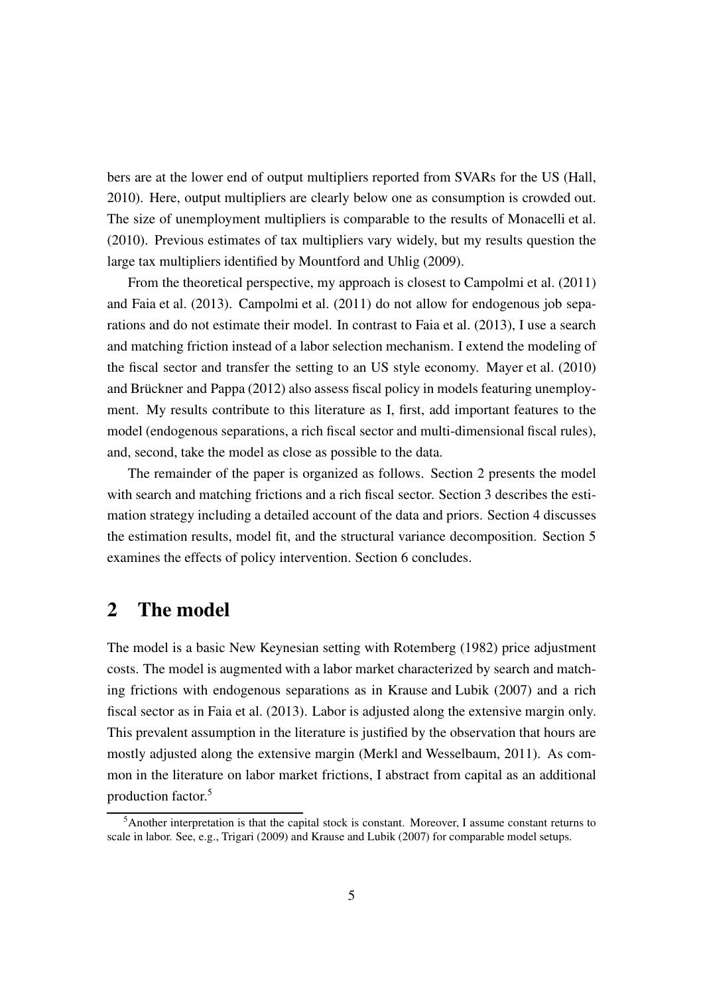bers are at the lower end of output multipliers reported from SVARs for the US [\(Hall,](#page-47-3) [2010\)](#page-47-3). Here, output multipliers are clearly below one as consumption is crowded out. The size of unemployment multipliers is comparable to the results of [Monacelli et al.](#page-48-0) [\(2010\)](#page-48-0). Previous estimates of tax multipliers vary widely, but my results question the large tax multipliers identified by [Mountford and Uhlig \(2009](#page-48-5)).

From the theoretical perspective, my approach is closest to [Campolmi et al.](#page-45-1) [\(2011\)](#page-45-1) and [Faia et al.](#page-46-0) [\(2013\)](#page-46-0). [Campolmi et al. \(2011](#page-45-1)) do not allow for endogenous job separations and do not estimate their model. In contrast to [Faia et al. \(2013](#page-46-0)), I use a search and matching friction instead of a labor selection mechanism. I extend the modeling of the fiscal sector and transfer the setting to an US style economy. [Mayer et al.](#page-48-6) [\(2010\)](#page-48-6) and [Brückner and Pappa](#page-44-2) [\(2012\)](#page-44-2) also assess fiscal policy in models featuring unemployment. My results contribute to this literature as I, first, add important features to the model (endogenous separations, a rich fiscal sector and multi-dimensional fiscal rules), and, second, take the model as close as possible to the data.

The remainder of the paper is organized as follows. Section [2](#page-4-0) presents the model with search and matching frictions and a rich fiscal sector. Section [3](#page-13-0) describes the estimation strategy including a detailed account of the data and priors. Section [4](#page-17-0) discusses the estimation results, model fit, and the structural variance decomposition. Section [5](#page-28-0) examines the effects of policy intervention. Section [6](#page-42-0) concludes.

### <span id="page-4-0"></span>2 The model

The model is a basic New Keynesian setting with [Rotemberg \(1982](#page-48-3)) price adjustment costs. The model is augmented with a labor market characterized by search and matching frictions with endogenous separations as in [Krause and Lubik \(2007](#page-47-1)) and a rich fiscal sector as in [Faia et al. \(2013](#page-46-0)). Labor is adjusted along the extensive margin only. This prevalent assumption in the literature is justified by the observation that hours are mostly adjusted along the extensive margin [\(Merkl and Wesselbaum](#page-48-7), [2011\)](#page-48-7). As common in the literature on labor market frictions, I abstract from capital as an additional production factor.[5](#page-4-1)

<span id="page-4-1"></span><sup>5</sup>Another interpretation is that the capital stock is constant. Moreover, I assume constant returns to scale in labor. See, e.g., [Trigari](#page-49-3) [\(2009\)](#page-49-3) and [Krause and Lubik](#page-47-1) [\(2007\)](#page-47-1) for comparable model setups.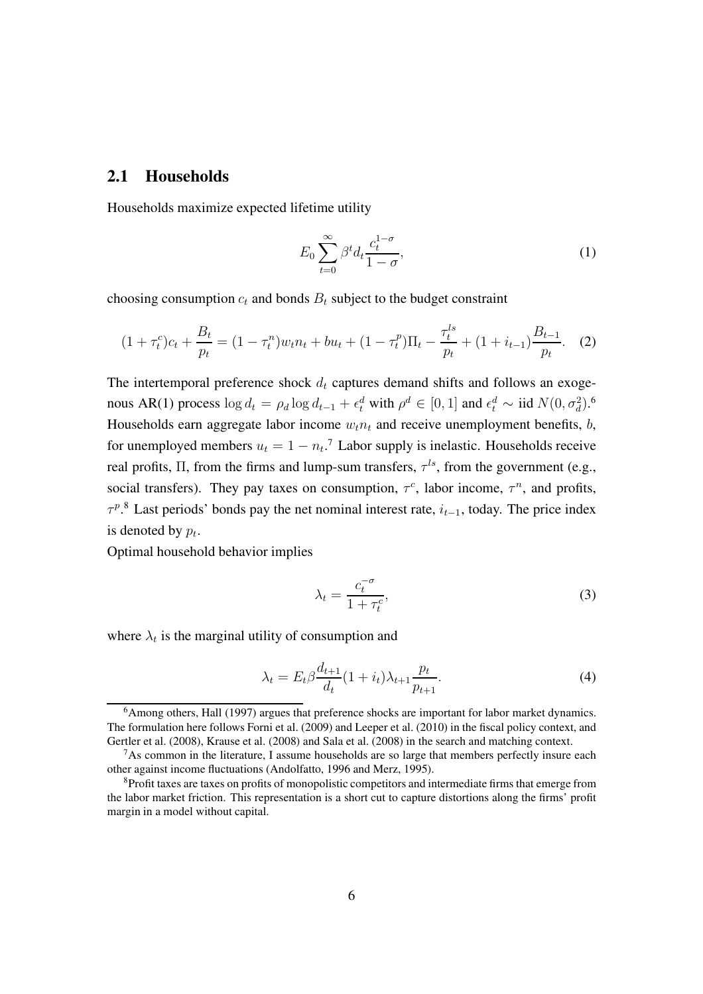#### 2.1 Households

Households maximize expected lifetime utility

$$
E_0 \sum_{t=0}^{\infty} \beta^t d_t \frac{c_t^{1-\sigma}}{1-\sigma},\tag{1}
$$

choosing consumption  $c_t$  and bonds  $B_t$  subject to the budget constraint

$$
(1 + \tau_t^c)c_t + \frac{B_t}{p_t} = (1 - \tau_t^n)w_t n_t + bu_t + (1 - \tau_t^p)\Pi_t - \frac{\tau_t^{ls}}{p_t} + (1 + i_{t-1})\frac{B_{t-1}}{p_t}.
$$
 (2)

The intertemporal preference shock  $d_t$  captures demand shifts and follows an exogenous AR(1) process  $\log d_t = \rho_d \log d_{t-1} + \epsilon_t^d$  with  $\rho^d \in [0,1]$  and  $\epsilon_t^d \sim \text{iid } N(0, \sigma_d^2)$ .<sup>[6](#page-5-0)</sup> Households earn aggregate labor income  $w_t n_t$  and receive unemployment benefits,  $b$ , for unemployed members  $u_t = 1 - n_t$ .<sup>[7](#page-5-1)</sup> Labor supply is inelastic. Households receive real profits,  $\Pi$ , from the firms and lump-sum transfers,  $\tau^{ls}$ , from the government (e.g., social transfers). They pay taxes on consumption,  $\tau^c$ , labor income,  $\tau^n$ , and profits,  $\tau^{p}$ .<sup>[8](#page-5-2)</sup> Last periods' bonds pay the net nominal interest rate,  $i_{t-1}$ , today. The price index is denoted by  $p_t$ .

Optimal household behavior implies

<span id="page-5-3"></span>
$$
\lambda_t = \frac{c_t^{-\sigma}}{1 + \tau_t^c},\tag{3}
$$

where  $\lambda_t$  is the marginal utility of consumption and

$$
\lambda_t = E_t \beta \frac{d_{t+1}}{d_t} (1 + i_t) \lambda_{t+1} \frac{p_t}{p_{t+1}}.
$$
\n(4)

<span id="page-5-0"></span><sup>&</sup>lt;sup>6</sup>Among others, [Hall](#page-47-4) [\(1997\)](#page-47-4) argues that preference shocks are important for labor market dynamics. The formulation here follows [Forni et al. \(2009](#page-46-2)) and [Leeper et al.](#page-48-1) [\(2010\)](#page-48-1) in the fiscal policy context, and [Gertler et al.](#page-46-4) [\(2008\)](#page-46-4), [Krause et al.](#page-47-2) [\(2008\)](#page-47-2) and [Sala et al. \(2008](#page-49-2)) in the search and matching context.

<span id="page-5-1"></span><sup>&</sup>lt;sup>7</sup>As common in the literature, I assume households are so large that members perfectly insure each other against income fluctuations [\(Andolfatto, 1996](#page-44-3) and [Merz, 1995\)](#page-48-8).

<span id="page-5-2"></span><sup>8</sup>Profit taxes are taxes on profits of monopolistic competitors and intermediate firms that emerge from the labor market friction. This representation is a short cut to capture distortions along the firms' profit margin in a model without capital.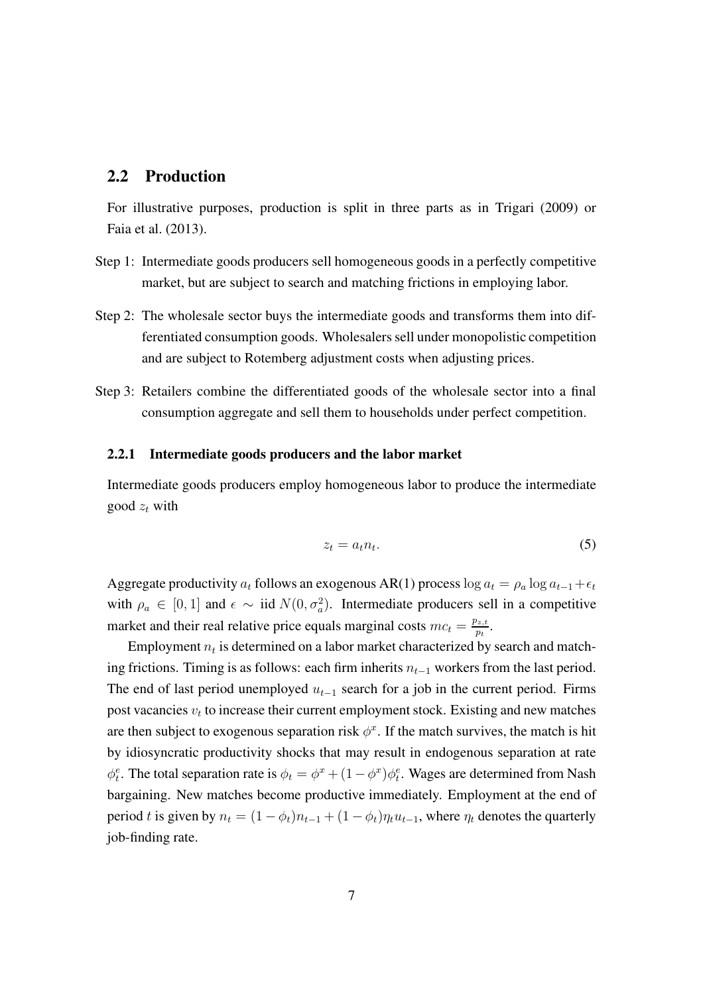#### 2.2 Production

For illustrative purposes, production is split in three parts as in [Trigari \(2009](#page-49-3)) or [Faia et al. \(2013](#page-46-0)).

- Step 1: Intermediate goods producers sell homogeneous goods in a perfectly competitive market, but are subject to search and matching frictions in employing labor.
- Step 2: The wholesale sector buys the intermediate goods and transforms them into differentiated consumption goods. Wholesalers sell under monopolistic competition and are subject to Rotemberg adjustment costs when adjusting prices.
- Step 3: Retailers combine the differentiated goods of the wholesale sector into a final consumption aggregate and sell them to households under perfect competition.

#### 2.2.1 Intermediate goods producers and the labor market

Intermediate goods producers employ homogeneous labor to produce the intermediate good  $z_t$  with

$$
z_t = a_t n_t. \tag{5}
$$

Aggregate productivity  $a_t$  follows an exogenous AR(1) process log  $a_t = \rho_a \log a_{t-1} + \epsilon_t$ with  $\rho_a \in [0,1]$  and  $\epsilon \sim \text{iid } N(0, \sigma_a^2)$ . Intermediate producers sell in a competitive market and their real relative price equals marginal costs  $mc_t = \frac{p_{z,t}}{p_t}$  $\frac{\partial_{z,t}}{\partial t}$  .

Employment  $n_t$  is determined on a labor market characterized by search and matching frictions. Timing is as follows: each firm inherits  $n_{t-1}$  workers from the last period. The end of last period unemployed  $u_{t-1}$  search for a job in the current period. Firms post vacancies  $v_t$  to increase their current employment stock. Existing and new matches are then subject to exogenous separation risk  $\phi^x$ . If the match survives, the match is hit by idiosyncratic productivity shocks that may result in endogenous separation at rate  $\phi_t^e$ . The total separation rate is  $\phi_t = \phi^x + (1 - \phi^x)\phi_t^e$ . Wages are determined from Nash bargaining. New matches become productive immediately. Employment at the end of period t is given by  $n_t = (1 - \phi_t)n_{t-1} + (1 - \phi_t)n_t u_{t-1}$ , where  $\eta_t$  denotes the quarterly job-finding rate.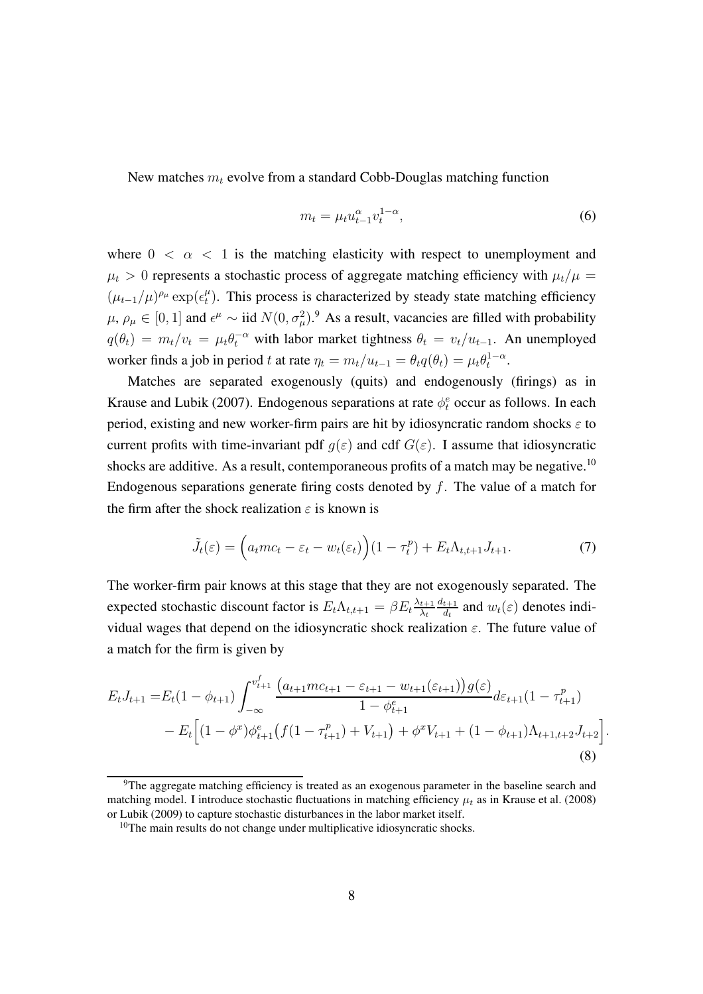New matches  $m_t$  evolve from a standard Cobb-Douglas matching function

$$
m_t = \mu_t u_{t-1}^{\alpha} v_t^{1-\alpha},\tag{6}
$$

where  $0 < \alpha < 1$  is the matching elasticity with respect to unemployment and  $\mu_t > 0$  represents a stochastic process of aggregate matching efficiency with  $\mu_t/\mu =$  $(\mu_{t-1}/\mu)^{\rho_\mu} \exp(\epsilon_t^\mu)$  $t<sup>\mu</sup>$ ). This process is characterized by steady state matching efficiency  $\mu, \rho_\mu \in [0, 1]$  and  $\epsilon^\mu \sim \text{iid } N(0, \sigma_\mu^2)$ .<sup>[9](#page-7-0)</sup> As a result, vacancies are filled with probability  $q(\theta_t) = m_t/v_t = \mu_t \theta_t^{-\alpha}$  with labor market tightness  $\theta_t = v_t/u_{t-1}$ . An unemployed worker finds a job in period t at rate  $\eta_t = m_t/u_{t-1} = \theta_t q(\theta_t) = \mu_t \theta_t^{1-\alpha}$ .

Matches are separated exogenously (quits) and endogenously (firings) as in [Krause and Lubik \(2007](#page-47-1)). Endogenous separations at rate  $\phi_t^e$  occur as follows. In each period, existing and new worker-firm pairs are hit by idiosyncratic random shocks  $\varepsilon$  to current profits with time-invariant pdf  $g(\varepsilon)$  and cdf  $G(\varepsilon)$ . I assume that idiosyncratic shocks are additive. As a result, contemporaneous profits of a match may be negative.<sup>[10](#page-7-1)</sup> Endogenous separations generate firing costs denoted by  $f$ . The value of a match for the firm after the shock realization  $\varepsilon$  is known is

<span id="page-7-2"></span>
$$
\tilde{J}_t(\varepsilon) = \left(a_t mc_t - \varepsilon_t - w_t(\varepsilon_t)\right) (1 - \tau_t^p) + E_t \Lambda_{t,t+1} J_{t+1}.
$$
\n(7)

The worker-firm pair knows at this stage that they are not exogenously separated. The expected stochastic discount factor is  $E_t \Lambda_{t,t+1} = \beta E_t \frac{\lambda_{t+1}}{\lambda_t}$  $\lambda_t$  $d_{t+1}$  $\frac{t+1}{d_t}$  and  $w_t(\varepsilon)$  denotes individual wages that depend on the idiosyncratic shock realization  $\varepsilon$ . The future value of a match for the firm is given by

$$
E_t J_{t+1} = E_t (1 - \phi_{t+1}) \int_{-\infty}^{v_{t+1}^f} \frac{\left(a_{t+1}mc_{t+1} - \varepsilon_{t+1} - w_{t+1}(\varepsilon_{t+1})\right)g(\varepsilon)}{1 - \phi_{t+1}^e} d\varepsilon_{t+1} (1 - \tau_{t+1}^p) - E_t \Big[ (1 - \phi^x) \phi_{t+1}^e \left(f(1 - \tau_{t+1}^p) + V_{t+1}\right) + \phi^x V_{t+1} + (1 - \phi_{t+1}) \Lambda_{t+1,t+2} J_{t+2} \Big].
$$
\n(8)

<span id="page-7-0"></span><sup>&</sup>lt;sup>9</sup>The aggregate matching efficiency is treated as an exogenous parameter in the baseline search and matching model. I introduce stochastic fluctuations in matching efficiency  $\mu_t$  as in [Krause et al. \(2008](#page-47-2)) or [Lubik \(2009](#page-48-9)) to capture stochastic disturbances in the labor market itself.

<span id="page-7-1"></span> $10$ The main results do not change under multiplicative idiosyncratic shocks.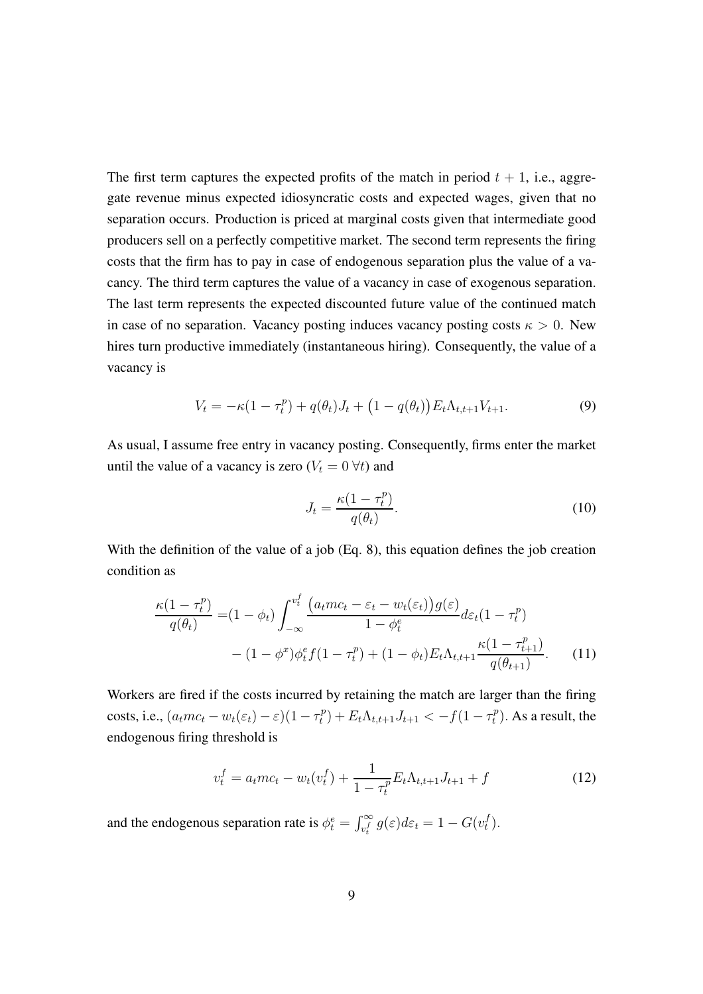The first term captures the expected profits of the match in period  $t + 1$ , i.e., aggregate revenue minus expected idiosyncratic costs and expected wages, given that no separation occurs. Production is priced at marginal costs given that intermediate good producers sell on a perfectly competitive market. The second term represents the firing costs that the firm has to pay in case of endogenous separation plus the value of a vacancy. The third term captures the value of a vacancy in case of exogenous separation. The last term represents the expected discounted future value of the continued match in case of no separation. Vacancy posting induces vacancy posting costs  $\kappa > 0$ . New hires turn productive immediately (instantaneous hiring). Consequently, the value of a vacancy is

$$
V_t = -\kappa (1 - \tau_t^p) + q(\theta_t) J_t + (1 - q(\theta_t)) E_t \Lambda_{t, t+1} V_{t+1}.
$$
\n(9)

As usual, I assume free entry in vacancy posting. Consequently, firms enter the market until the value of a vacancy is zero ( $V_t = 0 \forall t$ ) and

$$
J_t = \frac{\kappa (1 - \tau_t^p)}{q(\theta_t)}.
$$
\n(10)

With the definition of the value of a job (Eq. [8\)](#page-7-2), this equation defines the job creation condition as

$$
\frac{\kappa(1-\tau_t^p)}{q(\theta_t)} = (1-\phi_t) \int_{-\infty}^{v_t^f} \frac{\left(a_t m c_t - \varepsilon_t - w_t(\varepsilon_t)\right) g(\varepsilon)}{1-\phi_t^e} d\varepsilon_t (1-\tau_t^p) \n- (1-\phi^x) \phi_t^e f(1-\tau_t^p) + (1-\phi_t) E_t \Lambda_{t,t+1} \frac{\kappa(1-\tau_{t+1}^p)}{q(\theta_{t+1})}.
$$
\n(11)

Workers are fired if the costs incurred by retaining the match are larger than the firing costs, i.e.,  $(a_t mc_t - w_t(\varepsilon_t) - \varepsilon)(1 - \tau_t^p)$  $(t_t^p) + E_t \Lambda_{t,t+1} J_{t+1} < -f(1 - \tau_t^p)$  $t^{(p)}_t$ . As a result, the endogenous firing threshold is

$$
v_t^f = a_t m c_t - w_t (v_t^f) + \frac{1}{1 - \tau_t^p} E_t \Lambda_{t, t+1} J_{t+1} + f \tag{12}
$$

and the endogenous separation rate is  $\phi_t^e = \int_{v_t}^{\infty} g(\varepsilon) d\varepsilon_t = 1 - G(v_t^f)$  $_{t}^{J}).$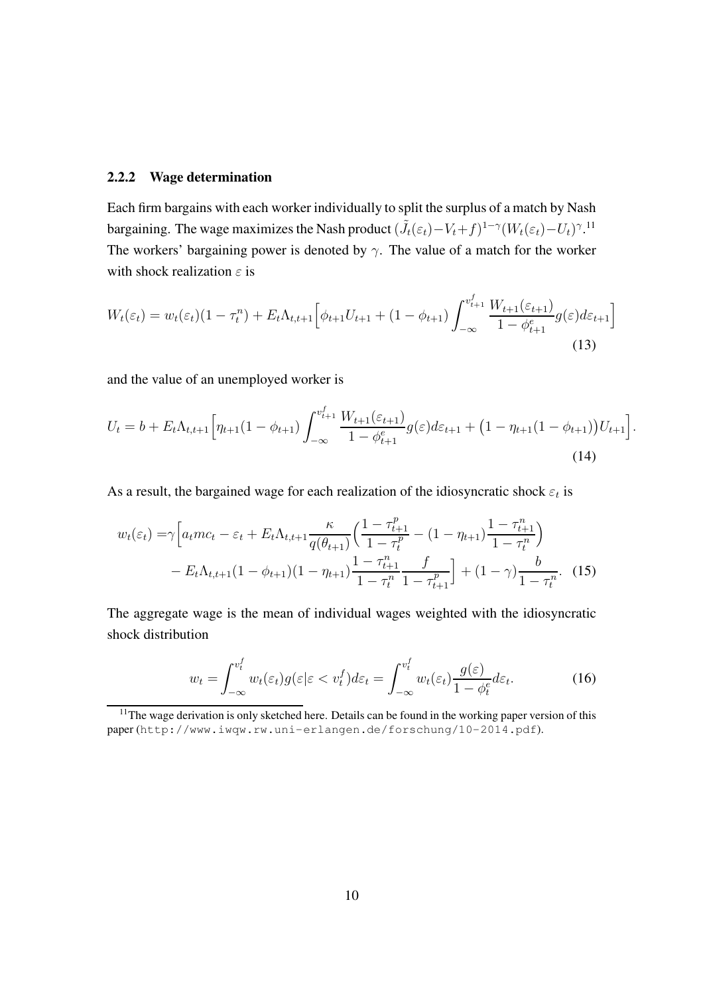#### 2.2.2 Wage determination

Each firm bargains with each worker individually to split the surplus of a match by Nash bargaining. The wage maximizes the Nash product  $(\tilde{J}_t(\varepsilon_t) - V_t + f)^{1-\gamma} (W_t(\varepsilon_t) - U_t)^{\gamma}$ .<sup>[11](#page-9-0)</sup> The workers' bargaining power is denoted by  $\gamma$ . The value of a match for the worker with shock realization  $\varepsilon$  is

$$
W_t(\varepsilon_t) = w_t(\varepsilon_t)(1 - \tau_t^n) + E_t \Lambda_{t,t+1} \left[ \phi_{t+1} U_{t+1} + (1 - \phi_{t+1}) \int_{-\infty}^{v_{t+1}^t} \frac{W_{t+1}(\varepsilon_{t+1})}{1 - \phi_{t+1}^e} g(\varepsilon) d\varepsilon_{t+1} \right]
$$
\n(13)

f

and the value of an unemployed worker is

$$
U_t = b + E_t \Lambda_{t,t+1} \Big[ \eta_{t+1} (1 - \phi_{t+1}) \int_{-\infty}^{v_{t+1}^T} \frac{W_{t+1}(\varepsilon_{t+1})}{1 - \phi_{t+1}^e} g(\varepsilon) d\varepsilon_{t+1} + (1 - \eta_{t+1} (1 - \phi_{t+1})) U_{t+1} \Big].
$$
\n(14)

As a result, the bargained wage for each realization of the idiosyncratic shock  $\varepsilon_t$  is

<span id="page-9-1"></span>f

$$
w_t(\varepsilon_t) = \gamma \Big[ a_t m c_t - \varepsilon_t + E_t \Lambda_{t,t+1} \frac{\kappa}{q(\theta_{t+1})} \Big( \frac{1 - \tau_{t+1}^p}{1 - \tau_t^p} - (1 - \eta_{t+1}) \frac{1 - \tau_{t+1}^n}{1 - \tau_t^n} \Big) - E_t \Lambda_{t,t+1} (1 - \phi_{t+1}) (1 - \eta_{t+1}) \frac{1 - \tau_{t+1}^n}{1 - \tau_t^n} \frac{f}{1 - \tau_{t+1}^p} \Big] + (1 - \gamma) \frac{b}{1 - \tau_t^n}.
$$
 (15)

The aggregate wage is the mean of individual wages weighted with the idiosyncratic shock distribution

$$
w_t = \int_{-\infty}^{v_t^f} w_t(\varepsilon_t) g(\varepsilon | \varepsilon < v_t^f) d\varepsilon_t = \int_{-\infty}^{v_t^f} w_t(\varepsilon_t) \frac{g(\varepsilon)}{1 - \phi_t^e} d\varepsilon_t.
$$
 (16)

<span id="page-9-0"></span> $11$ The wage derivation is only sketched here. Details can be found in the working paper version of this paper (<http://www.iwqw.rw.uni-erlangen.de/forschung/10-2014.pdf>).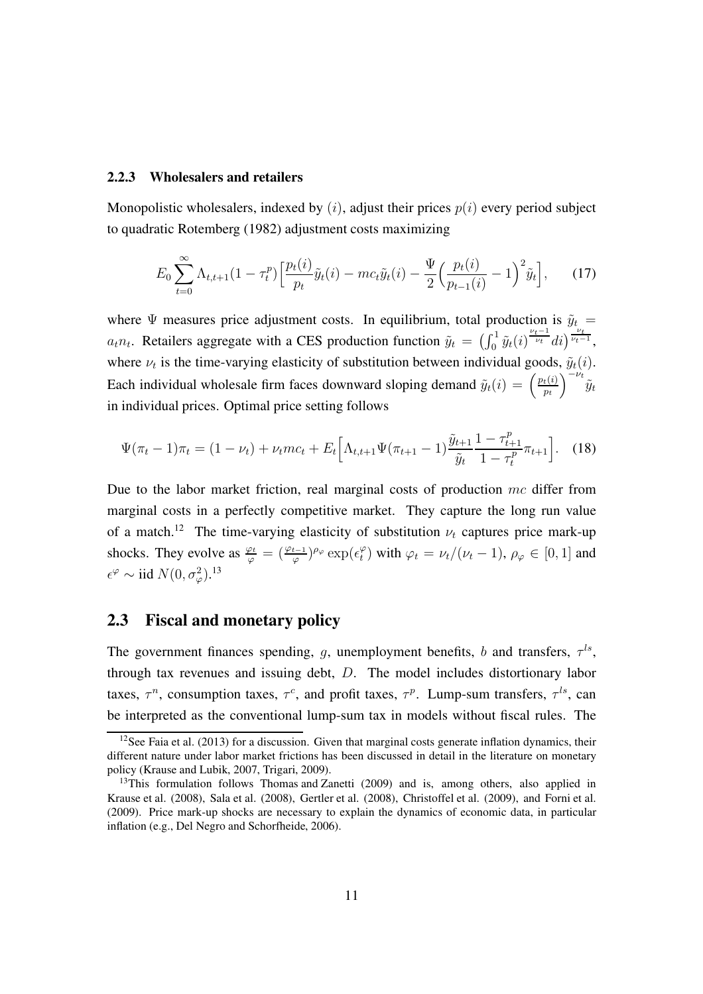#### 2.2.3 Wholesalers and retailers

Monopolistic wholesalers, indexed by  $(i)$ , adjust their prices  $p(i)$  every period subject to quadratic [Rotemberg \(1982](#page-48-3)) adjustment costs maximizing

$$
E_0 \sum_{t=0}^{\infty} \Lambda_{t,t+1} (1 - \tau_t^p) \left[ \frac{p_t(i)}{p_t} \tilde{y}_t(i) - mc_t \tilde{y}_t(i) - \frac{\Psi}{2} \left( \frac{p_t(i)}{p_{t-1}(i)} - 1 \right)^2 \tilde{y}_t \right], \tag{17}
$$

where  $\Psi$  measures price adjustment costs. In equilibrium, total production is  $\tilde{y}_t$  =  $a_t n_t$ . Retailers aggregate with a CES production function  $\tilde{y}_t = \left(\int_0^1 \tilde{y}_t(i)^{\frac{\nu_t-1}{\nu_t}} di\right)^{\frac{\nu_t}{\nu_t-1}}$ , where  $\nu_t$  is the time-varying elasticity of substitution between individual goods,  $\tilde{y}_t(i)$ . Each individual wholesale firm faces downward sloping demand  $\tilde{y}_t(i) = \left(\frac{p_t(i)}{p_t}\right)^T$  $p_t$  $\int_{-\nu_t}^{\nu_t} \tilde{y}_t$ in individual prices. Optimal price setting follows

$$
\Psi(\pi_t - 1)\pi_t = (1 - \nu_t) + \nu_t mc_t + E_t \Big[ \Lambda_{t,t+1} \Psi(\pi_{t+1} - 1) \frac{\tilde{y}_{t+1}}{\tilde{y}_t} \frac{1 - \tau_{t+1}^p}{1 - \tau_t^p} \pi_{t+1} \Big].
$$
 (18)

Due to the labor market friction, real marginal costs of production  $mc$  differ from marginal costs in a perfectly competitive market. They capture the long run value of a match.<sup>[12](#page-10-0)</sup> The time-varying elasticity of substitution  $\nu_t$  captures price mark-up shocks. They evolve as  $\frac{\varphi_t}{\varphi} = \left(\frac{\varphi_{t-1}}{\varphi}\right)^{\rho_{\varphi}} \exp\left(\epsilon_t^{\varphi}\right)$  $t<sup>\varphi</sup><sub>t</sub>$ ) with  $\varphi_t = \nu_t/(\nu_t - 1)$ ,  $\rho_\varphi \in [0, 1]$  and  $\epsilon^{\varphi} \sim \text{iid } N(0, \sigma_{\varphi}^2).^{13}$  $\epsilon^{\varphi} \sim \text{iid } N(0, \sigma_{\varphi}^2).^{13}$  $\epsilon^{\varphi} \sim \text{iid } N(0, \sigma_{\varphi}^2).^{13}$ 

#### 2.3 Fiscal and monetary policy

The government finances spending, g, unemployment benefits, b and transfers,  $\tau^{ls}$ , through tax revenues and issuing debt, D. The model includes distortionary labor taxes,  $\tau^n$ , consumption taxes,  $\tau^c$ , and profit taxes,  $\tau^p$ . Lump-sum transfers,  $\tau^{ls}$ , can be interpreted as the conventional lump-sum tax in models without fiscal rules. The

<span id="page-10-0"></span> $12$ See [Faia et al.](#page-46-0) [\(2013\)](#page-46-0) for a discussion. Given that marginal costs generate inflation dynamics, their different nature under labor market frictions has been discussed in detail in the literature on monetary policy [\(Krause and Lubik, 2007,](#page-47-1) [Trigari, 2009\)](#page-49-3).

<span id="page-10-1"></span><sup>&</sup>lt;sup>13</sup>This formulation follows [Thomas and Zanetti \(2009\)](#page-49-4) and is, among others, also applied in [Krause et al. \(2008\)](#page-47-2), [Sala et al. \(2008\)](#page-49-2), [Gertler et al. \(2008](#page-46-4)), [Christoffel et al. \(2009](#page-45-3)), and [Forni et al.](#page-46-2) [\(2009\)](#page-46-2). Price mark-up shocks are necessary to explain the dynamics of economic data, in particular inflation (e.g., [Del Negro and Schorfheide, 2006](#page-45-5)).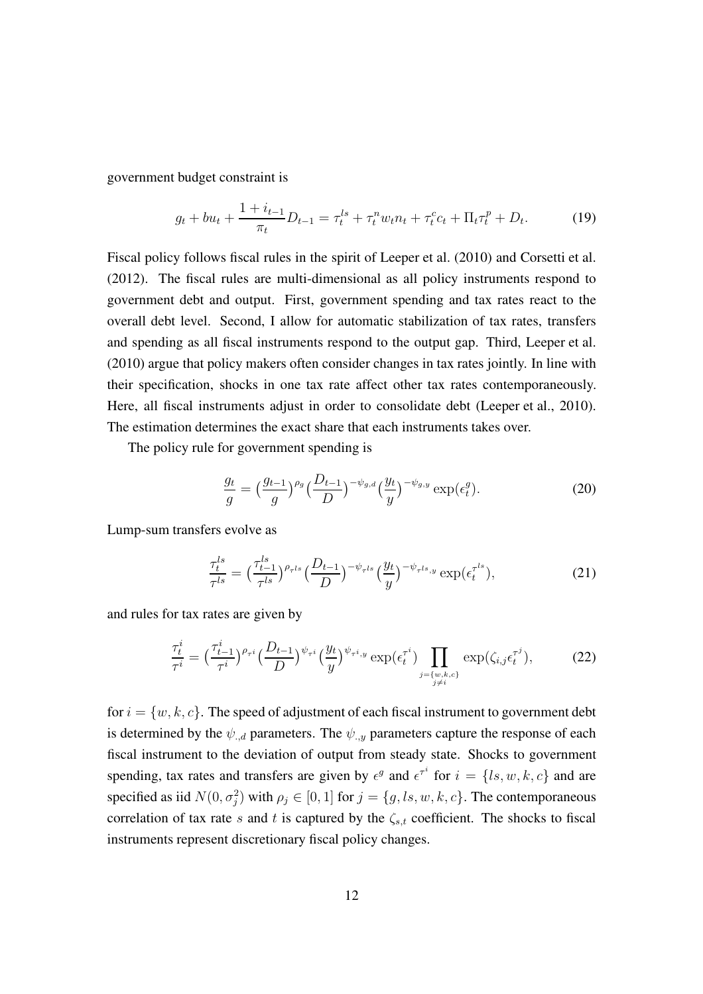government budget constraint is

$$
g_t + bu_t + \frac{1 + i_{t-1}}{\pi_t} D_{t-1} = \tau_t^{ls} + \tau_t^n w_t n_t + \tau_t^c c_t + \Pi_t \tau_t^p + D_t.
$$
 (19)

Fiscal policy follows fiscal rules in the spirit of [Leeper et al.](#page-48-1) [\(2010\)](#page-48-1) and [Corsetti et al.](#page-45-0) [\(2012\)](#page-45-0). The fiscal rules are multi-dimensional as all policy instruments respond to government debt and output. First, government spending and tax rates react to the overall debt level. Second, I allow for automatic stabilization of tax rates, transfers and spending as all fiscal instruments respond to the output gap. Third, [Leeper et al.](#page-48-1) [\(2010\)](#page-48-1) argue that policy makers often consider changes in tax rates jointly. In line with their specification, shocks in one tax rate affect other tax rates contemporaneously. Here, all fiscal instruments adjust in order to consolidate debt [\(Leeper et al.](#page-48-1), [2010\)](#page-48-1). The estimation determines the exact share that each instruments takes over.

The policy rule for government spending is

$$
\frac{g_t}{g} = \left(\frac{g_{t-1}}{g}\right)^{\rho_g} \left(\frac{D_{t-1}}{D}\right)^{-\psi_{g,d}} \left(\frac{y_t}{y}\right)^{-\psi_{g,y}} \exp(\epsilon_t^g). \tag{20}
$$

Lump-sum transfers evolve as

$$
\frac{\tau_t^{ls}}{\tau^{ls}} = \left(\frac{\tau_{t-1}^{ls}}{\tau^{ls}}\right)^{\rho_{\tau^{ls}}} \left(\frac{D_{t-1}}{D}\right)^{-\psi_{\tau^{ls}}} \left(\frac{y_t}{y}\right)^{-\psi_{\tau^{ls},y}} \exp(\epsilon_t^{\tau^{ls}}),\tag{21}
$$

and rules for tax rates are given by

$$
\frac{\tau_t^i}{\tau^i} = \left(\frac{\tau_{t-1}^i}{\tau^i}\right)^{\rho_{\tau^i}} \left(\frac{D_{t-1}}{D}\right)^{\psi_{\tau^i}} \left(\frac{y_t}{y}\right)^{\psi_{\tau^i,y}} \exp(\epsilon_t^{\tau^i}) \prod_{\substack{j=\{w,k,c\} \\ j\neq i}} \exp(\zeta_{i,j}\epsilon_t^{\tau^j}),\tag{22}
$$

for  $i = \{w, k, c\}$ . The speed of adjustment of each fiscal instrument to government debt is determined by the  $\psi_{d}$  parameters. The  $\psi_{d}$  parameters capture the response of each fiscal instrument to the deviation of output from steady state. Shocks to government spending, tax rates and transfers are given by  $\epsilon^g$  and  $\epsilon^{\tau^i}$  for  $i = \{ls, w, k, c\}$  and are specified as iid  $N(0, \sigma_j^2)$  with  $\rho_j \in [0, 1]$  for  $j = \{g, ls, w, k, c\}$ . The contemporaneous correlation of tax rate s and t is captured by the  $\zeta_{s,t}$  coefficient. The shocks to fiscal instruments represent discretionary fiscal policy changes.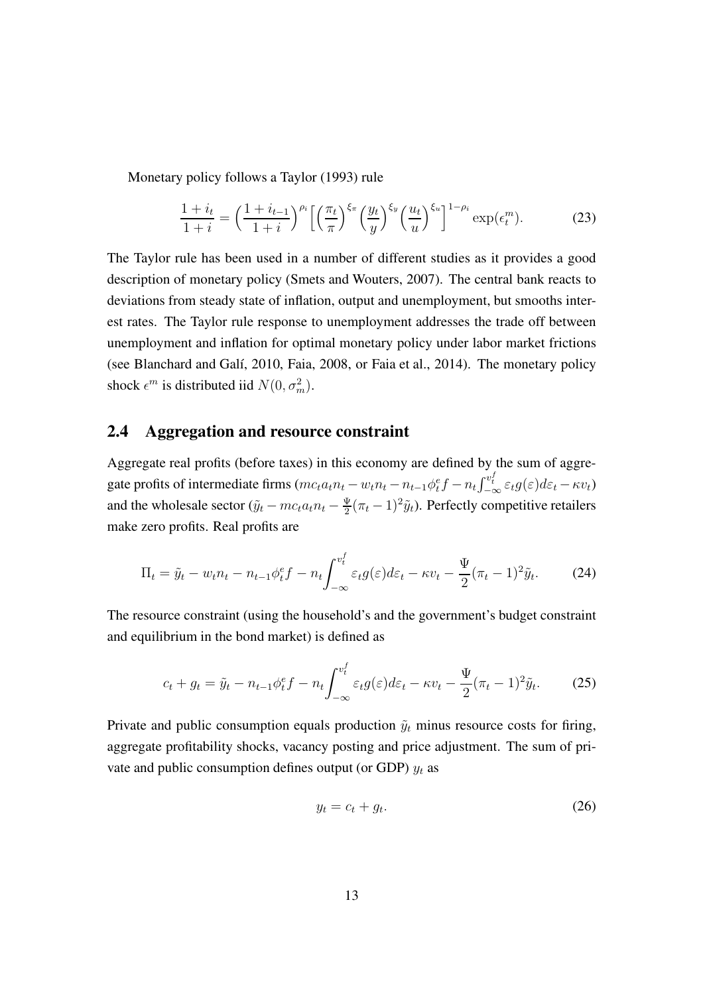Monetary policy follows a [Taylor \(1993](#page-49-5)) rule

$$
\frac{1+i_t}{1+i} = \left(\frac{1+i_{t-1}}{1+i}\right)^{\rho_i} \left[\left(\frac{\pi_t}{\pi}\right)^{\xi_\pi} \left(\frac{y_t}{y}\right)^{\xi_y} \left(\frac{u_t}{u}\right)^{\xi_u}\right]^{1-\rho_i} \exp(\epsilon_t^m). \tag{23}
$$

The Taylor rule has been used in a number of different studies as it provides a good description of monetary policy [\(Smets and Wouters, 2007](#page-49-6)). The central bank reacts to deviations from steady state of inflation, output and unemployment, but smooths interest rates. The Taylor rule response to unemployment addresses the trade off between unemployment and inflation for optimal monetary policy under labor market frictions (see [Blanchard and Galí, 2010,](#page-44-4) [Faia](#page-46-6), [2008](#page-46-6), or [Faia et al.](#page-46-1), [2014\)](#page-46-1). The monetary policy shock  $\epsilon^m$  is distributed iid  $N(0, \sigma_m^2)$ .

#### 2.4 Aggregation and resource constraint

Aggregate real profits (before taxes) in this economy are defined by the sum of aggregate profits of intermediate firms  $(mc_t a_t n_t - w_t n_t - n_{t-1} \phi_t^e f - n_t \int_{-\infty}^{v_t^f} \varepsilon_t g(\varepsilon) d\varepsilon_t - \kappa v_t)$ and the wholesale sector ( $\tilde{y}_t - mc_t a_t n_t - \frac{\Psi}{2}$  $\frac{\Psi}{2}(\pi_t - 1)^2 \tilde{y}_t$ ). Perfectly competitive retailers make zero profits. Real profits are

$$
\Pi_t = \tilde{y}_t - w_t n_t - n_{t-1} \phi_t^e f - n_t \int_{-\infty}^{v_t^f} \varepsilon_t g(\varepsilon) d\varepsilon_t - \kappa v_t - \frac{\Psi}{2} (\pi_t - 1)^2 \tilde{y}_t.
$$
 (24)

The resource constraint (using the household's and the government's budget constraint and equilibrium in the bond market) is defined as

$$
c_t + g_t = \tilde{y}_t - n_{t-1}\phi_t^e f - n_t \int_{-\infty}^{v_t^f} \varepsilon_t g(\varepsilon) d\varepsilon_t - \kappa v_t - \frac{\Psi}{2} (\pi_t - 1)^2 \tilde{y}_t.
$$
 (25)

Private and public consumption equals production  $\tilde{y}_t$  minus resource costs for firing, aggregate profitability shocks, vacancy posting and price adjustment. The sum of private and public consumption defines output (or GDP)  $y_t$  as

$$
y_t = c_t + g_t. \tag{26}
$$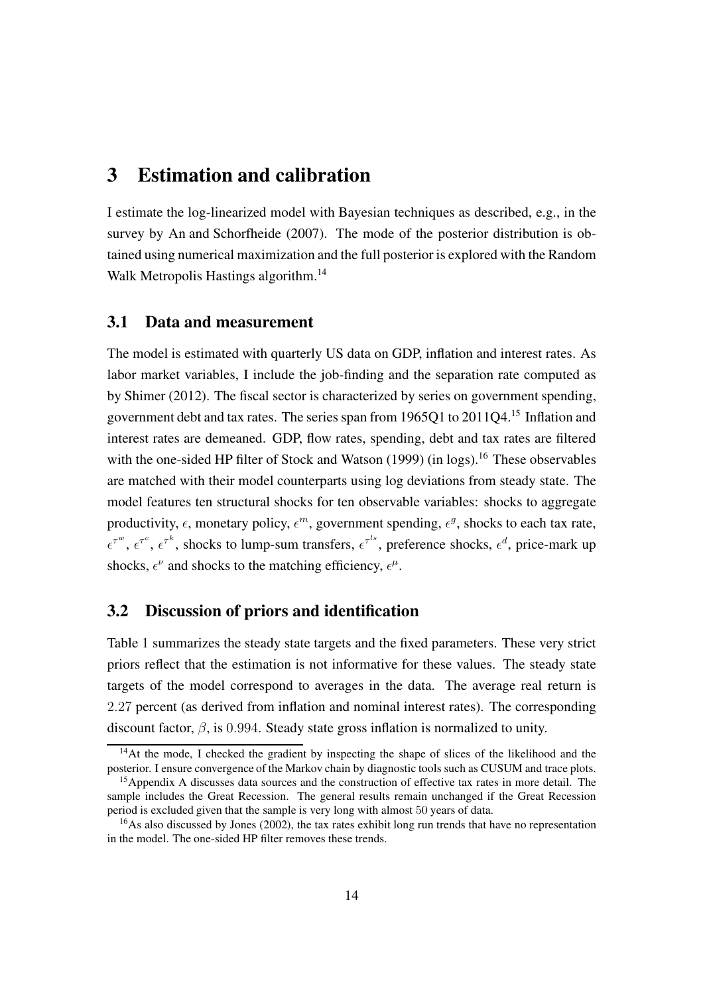### <span id="page-13-0"></span>3 Estimation and calibration

I estimate the log-linearized model with Bayesian techniques as described, e.g., in the survey by [An and Schorfheide \(2007](#page-44-1)). The mode of the posterior distribution is obtained using numerical maximization and the full posterior is explored with the Random Walk Metropolis Hastings algorithm.<sup>[14](#page-13-1)</sup>

#### 3.1 Data and measurement

The model is estimated with quarterly US data on GDP, inflation and interest rates. As labor market variables, I include the job-finding and the separation rate computed as by [Shimer](#page-49-7) [\(2012\)](#page-49-7). The fiscal sector is characterized by series on government spending, government debt and tax rates. The series span from 1965Q1 to 2011Q4.[15](#page-13-2) Inflation and interest rates are demeaned. GDP, flow rates, spending, debt and tax rates are filtered with the one-sided HP filter of [Stock and Watson](#page-49-8)  $(1999)$  (in logs).<sup>[16](#page-13-3)</sup> These observables are matched with their model counterparts using log deviations from steady state. The model features ten structural shocks for ten observable variables: shocks to aggregate productivity,  $\epsilon$ , monetary policy,  $\epsilon^m$ , government spending,  $\epsilon^g$ , shocks to each tax rate,  $\epsilon^{\tau^w}$ ,  $\epsilon^{\tau^k}$ , shocks to lump-sum transfers,  $\epsilon^{\tau^{ls}}$ , preference shocks,  $\epsilon^d$ , price-mark up shocks,  $\epsilon^{\nu}$  and shocks to the matching efficiency,  $\epsilon^{\mu}$ .

#### 3.2 Discussion of priors and identification

Table [1](#page-14-0) summarizes the steady state targets and the fixed parameters. These very strict priors reflect that the estimation is not informative for these values. The steady state targets of the model correspond to averages in the data. The average real return is 2.27 percent (as derived from inflation and nominal interest rates). The corresponding discount factor,  $\beta$ , is 0.994. Steady state gross inflation is normalized to unity.

<span id="page-13-1"></span><sup>&</sup>lt;sup>14</sup>At the mode, I checked the gradient by inspecting the shape of slices of the likelihood and the posterior. I ensure convergence of the Markov chain by diagnostic tools such as CUSUM and trace plots.

<span id="page-13-2"></span><sup>&</sup>lt;sup>15</sup>Appendix [A](#page-50-0) discusses data sources and the construction of effective tax rates in more detail. The sample includes the Great Recession. The general results remain unchanged if the Great Recession period is excluded given that the sample is very long with almost 50 years of data.

<span id="page-13-3"></span><sup>&</sup>lt;sup>16</sup>As also discussed by [Jones \(2002\)](#page-47-5), the tax rates exhibit long run trends that have no representation in the model. The one-sided HP filter removes these trends.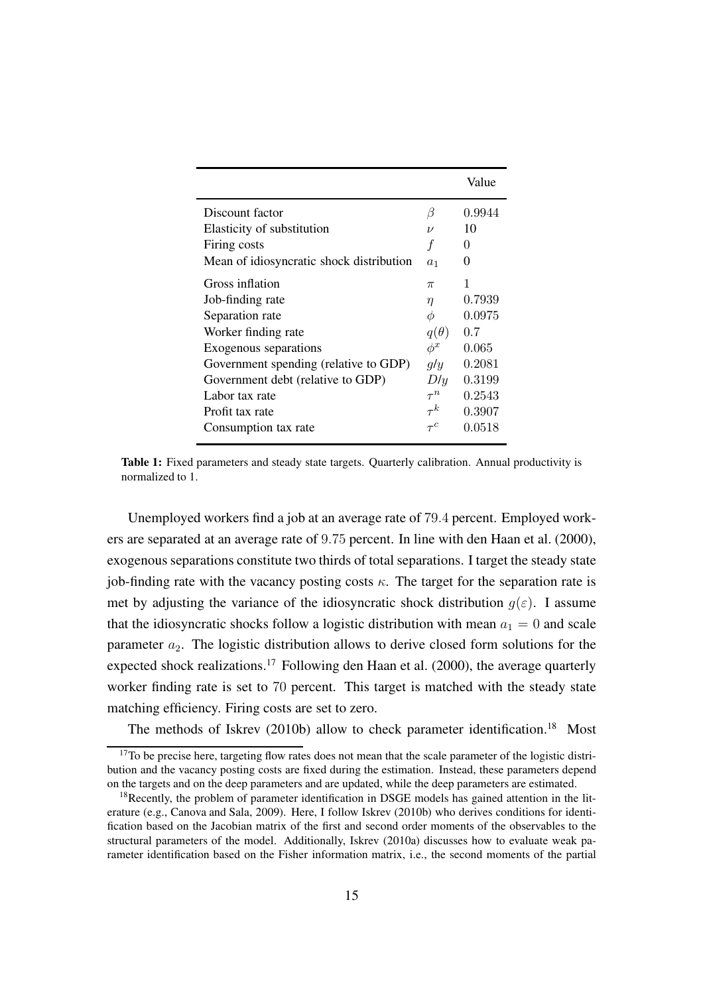<span id="page-14-0"></span>

|                                          |                | Value    |
|------------------------------------------|----------------|----------|
| Discount factor                          | β              | 0.9944   |
| Elasticity of substitution               | $\nu$          | 10       |
| Firing costs                             | f              | $\theta$ |
| Mean of idiosyncratic shock distribution | a <sub>1</sub> | 0        |
| Gross inflation                          | $\pi$          | 1        |
| Job-finding rate                         | $\eta$         | 0.7939   |
| Separation rate                          | Φ              | 0.0975   |
| Worker finding rate                      | $q(\theta)$    | 0.7      |
| Exogenous separations                    | $\phi^x$       | 0.065    |
| Government spending (relative to GDP)    | g/y            | 0.2081   |
| Government debt (relative to GDP)        | D/y            | 0.3199   |
| Labor tax rate                           | $\tau^n$       | 0.2543   |
| Profit tax rate                          | $\tau^{k}$     | 0.3907   |
| Consumption tax rate                     |                | 0.0518   |

Table 1: Fixed parameters and steady state targets. Quarterly calibration. Annual productivity is normalized to 1.

Unemployed workers find a job at an average rate of 79.4 percent. Employed workers are separated at an average rate of 9.75 percent. In line with [den Haan et al.](#page-45-6) [\(2000\)](#page-45-6), exogenous separations constitute two thirds of total separations. I target the steady state job-finding rate with the vacancy posting costs  $\kappa$ . The target for the separation rate is met by adjusting the variance of the idiosyncratic shock distribution  $g(\varepsilon)$ . I assume that the idiosyncratic shocks follow a logistic distribution with mean  $a_1 = 0$  and scale parameter  $a_2$ . The logistic distribution allows to derive closed form solutions for the expected shock realizations.<sup>[17](#page-14-1)</sup> Following den Haan et al.  $(2000)$ , the average quarterly worker finding rate is set to 70 percent. This target is matched with the steady state matching efficiency. Firing costs are set to zero.

The methods of [Iskrev \(2010b\)](#page-47-6) allow to check parameter identification.<sup>[18](#page-14-2)</sup> Most

<span id="page-14-1"></span> $17$ To be precise here, targeting flow rates does not mean that the scale parameter of the logistic distribution and the vacancy posting costs are fixed during the estimation. Instead, these parameters depend on the targets and on the deep parameters and are updated, while the deep parameters are estimated.

<span id="page-14-2"></span><sup>&</sup>lt;sup>18</sup>Recently, the problem of parameter identification in DSGE models has gained attention in the literature (e.g., [Canova and Sala](#page-45-7), [2009\)](#page-45-7). Here, I follow [Iskrev](#page-47-6) [\(2010b](#page-47-6)) who derives conditions for identification based on the Jacobian matrix of the first and second order moments of the observables to the structural parameters of the model. Additionally, [Iskrev](#page-47-7) [\(2010a\)](#page-47-7) discusses how to evaluate weak parameter identification based on the Fisher information matrix, i.e., the second moments of the partial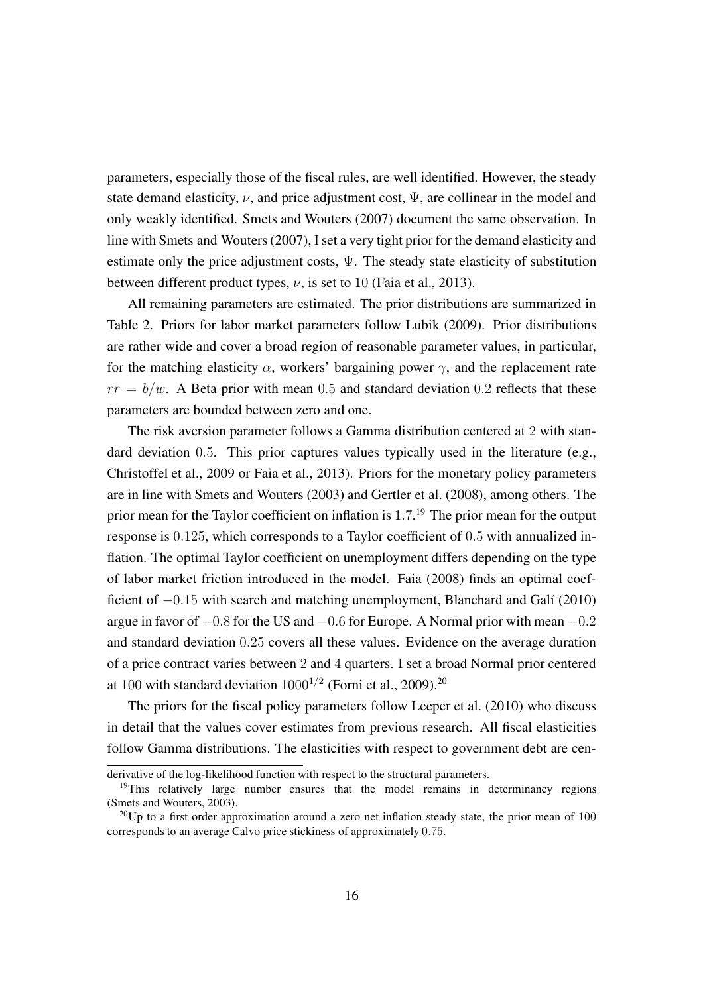parameters, especially those of the fiscal rules, are well identified. However, the steady state demand elasticity,  $\nu$ , and price adjustment cost,  $\Psi$ , are collinear in the model and only weakly identified. [Smets and Wouters](#page-49-6) [\(2007\)](#page-49-6) document the same observation. In line with [Smets and Wouters](#page-49-6) [\(2007\)](#page-49-6), I set a very tight prior for the demand elasticity and estimate only the price adjustment costs,  $\Psi$ . The steady state elasticity of substitution between different product types,  $\nu$ , is set to 10 [\(Faia et al., 2013](#page-46-0)).

All remaining parameters are estimated. The prior distributions are summarized in Table [2.](#page-16-0) Priors for labor market parameters follow [Lubik](#page-48-9) [\(2009\)](#page-48-9). Prior distributions are rather wide and cover a broad region of reasonable parameter values, in particular, for the matching elasticity  $\alpha$ , workers' bargaining power  $\gamma$ , and the replacement rate  $rr = b/w$ . A Beta prior with mean 0.5 and standard deviation 0.2 reflects that these parameters are bounded between zero and one.

The risk aversion parameter follows a Gamma distribution centered at 2 with standard deviation 0.5. This prior captures values typically used in the literature (e.g., [Christoffel et al.](#page-45-3), [2009](#page-45-3) or [Faia et al., 2013](#page-46-0)). Priors for the monetary policy parameters are in line with [Smets and Wouters](#page-49-9) [\(2003\)](#page-49-9) and [Gertler et al. \(2008\)](#page-46-4), among others. The prior mean for the Taylor coefficient on inflation is 1.7.<sup>[19](#page-15-0)</sup> The prior mean for the output response is 0.125, which corresponds to a Taylor coefficient of 0.5 with annualized inflation. The optimal Taylor coefficient on unemployment differs depending on the type of labor market friction introduced in the model. [Faia](#page-46-6) [\(2008\)](#page-46-6) finds an optimal coefficient of −0.15 with search and matching unemployment, [Blanchard and Galí](#page-44-4) [\(2010\)](#page-44-4) argue in favor of  $-0.8$  for the US and  $-0.6$  for Europe. A Normal prior with mean  $-0.2$ and standard deviation 0.25 covers all these values. Evidence on the average duration of a price contract varies between 2 and 4 quarters. I set a broad Normal prior centered at 100 with standard deviation  $1000^{1/2}$  [\(Forni et al.](#page-46-2), [2009](#page-46-2)).<sup>[20](#page-15-1)</sup>

The priors for the fiscal policy parameters follow [Leeper et al.](#page-48-1) [\(2010\)](#page-48-1) who discuss in detail that the values cover estimates from previous research. All fiscal elasticities follow Gamma distributions. The elasticities with respect to government debt are cen-

derivative of the log-likelihood function with respect to the structural parameters.

<span id="page-15-0"></span><sup>&</sup>lt;sup>19</sup>This relatively large number ensures that the model remains in determinancy regions [\(Smets and Wouters, 2003\)](#page-49-9).

<span id="page-15-1"></span><sup>&</sup>lt;sup>20</sup>Up to a first order approximation around a zero net inflation steady state, the prior mean of 100 corresponds to an average Calvo price stickiness of approximately 0.75.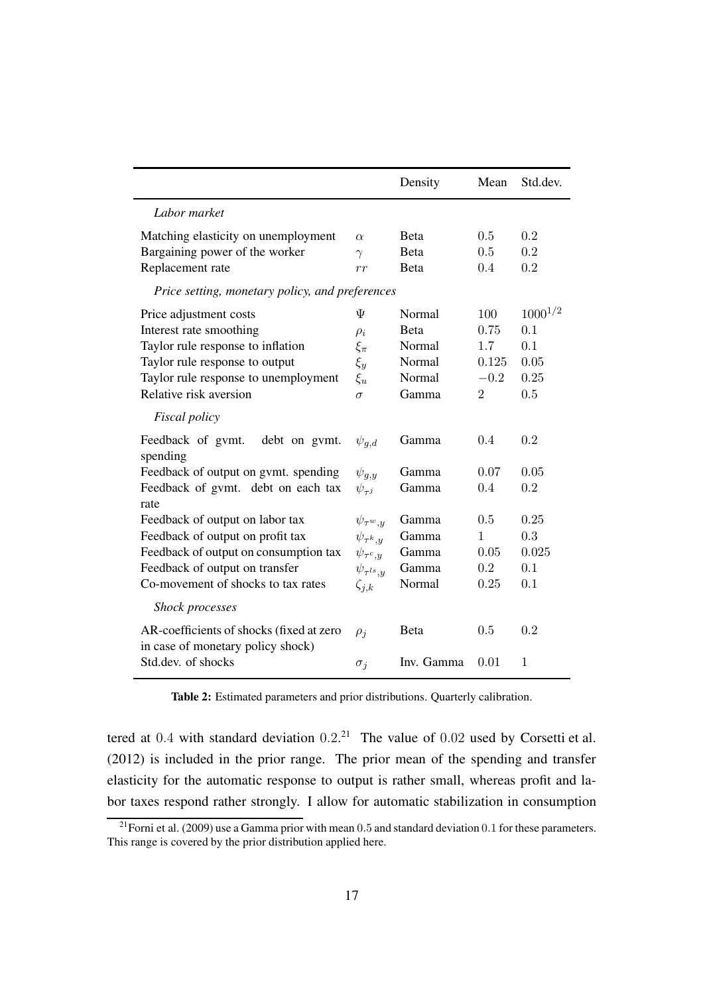<span id="page-16-0"></span>

|                                                                               |                      | Density      | Mean    | Std.dev.     |
|-------------------------------------------------------------------------------|----------------------|--------------|---------|--------------|
| Labor market                                                                  |                      |              |         |              |
| Matching elasticity on unemployment                                           | $\alpha$             | <b>B</b> eta | 0.5     | 0.2          |
| Bargaining power of the worker                                                | $\gamma$             | <b>B</b> eta | 0.5     | 0.2          |
| Replacement rate                                                              | rr                   | <b>B</b> eta | 0.4     | 0.2          |
| Price setting, monetary policy, and preferences                               |                      |              |         |              |
| Price adjustment costs                                                        | Ψ                    | Normal       | 100     | $1000^{1/2}$ |
| Interest rate smoothing                                                       | $\rho_i$             | <b>B</b> eta | 0.75    | 0.1          |
| Taylor rule response to inflation                                             | $\xi_{\pi}$          | Normal       | 1.7     | 0.1          |
| Taylor rule response to output                                                | $\xi_y$              | Normal       | 0.125   | 0.05         |
| Taylor rule response to unemployment                                          | $\xi_u$              | Normal       | $-0.2$  | 0.25         |
| Relative risk aversion                                                        | $\sigma$             | Gamma        | 2       | 0.5          |
| Fiscal policy                                                                 |                      |              |         |              |
| Feedback of gymt.<br>debt on gymt.<br>spending                                | $\psi_{q,d}$         | Gamma        | 0.4     | 0.2          |
| Feedback of output on gymt. spending                                          | $\psi_{g,y}$         | Gamma        | 0.07    | 0.05         |
| Feedback of gymt. debt on each tax                                            | $\psi_{\tau^j}$      | Gamma        | 0.4     | 0.2          |
| rate<br>Feedback of output on labor tax                                       | $\psi_{\tau^w,y}$    | Gamma        | 0.5     | 0.25         |
| Feedback of output on profit tax                                              | $\psi_{\tau^k,y}$    | Gamma        | 1       | 0.3          |
| Feedback of output on consumption tax                                         | $\psi_{\tau^c,y}$    | Gamma        | 0.05    | 0.025        |
| Feedback of output on transfer                                                | $\psi_{\tau^{ls},y}$ | Gamma        | $0.2\,$ | 0.1          |
| Co-movement of shocks to tax rates                                            | $\zeta_{j,k}$        | Normal       | 0.25    | 0.1          |
| <b>Shock processes</b>                                                        |                      |              |         |              |
| AR-coefficients of shocks (fixed at zero<br>in case of monetary policy shock) | $\rho_i$             | Beta         | 0.5     | 0.2          |
| Std.dev. of shocks                                                            | $\sigma_i$           | Inv. Gamma   | 0.01    | 1            |

Table 2: Estimated parameters and prior distributions. Quarterly calibration.

tered at 0.4 with standard deviation  $0.2<sup>21</sup>$  $0.2<sup>21</sup>$  $0.2<sup>21</sup>$  The value of 0.02 used by [Corsetti et al.](#page-45-0) [\(2012\)](#page-45-0) is included in the prior range. The prior mean of the spending and transfer elasticity for the automatic response to output is rather small, whereas profit and labor taxes respond rather strongly. I allow for automatic stabilization in consumption

<span id="page-16-1"></span><sup>&</sup>lt;sup>21</sup>[Forni et al. \(2009](#page-46-2)) use a Gamma prior with mean 0.5 and standard deviation 0.1 for these parameters. This range is covered by the prior distribution applied here.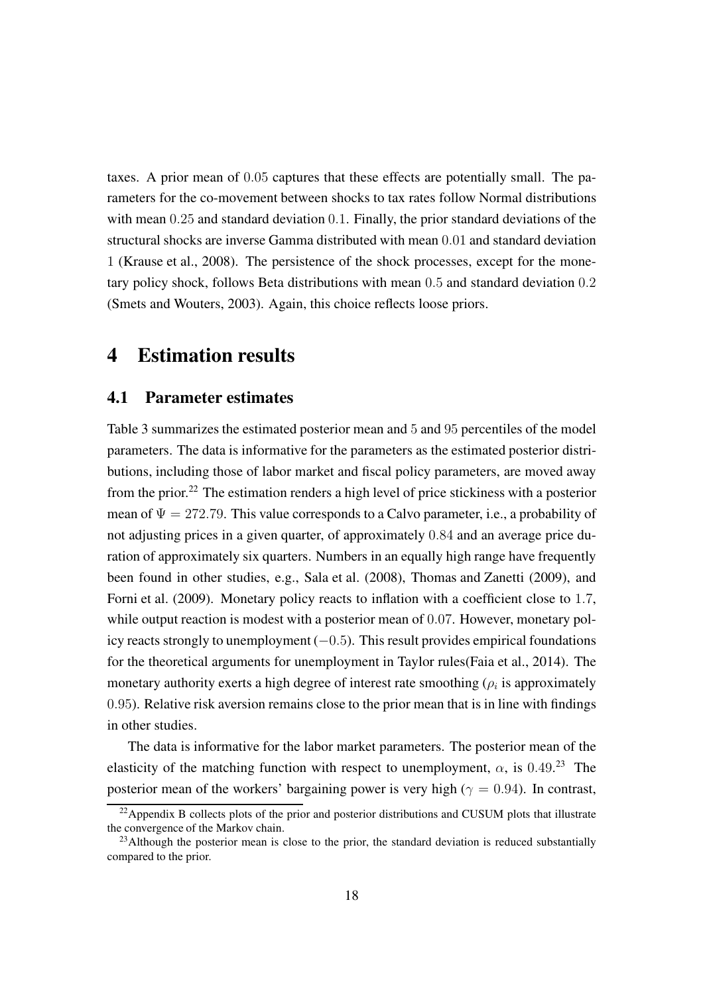taxes. A prior mean of 0.05 captures that these effects are potentially small. The parameters for the co-movement between shocks to tax rates follow Normal distributions with mean 0.25 and standard deviation 0.1. Finally, the prior standard deviations of the structural shocks are inverse Gamma distributed with mean 0.01 and standard deviation 1 [\(Krause et al.](#page-47-2), [2008](#page-47-2)). The persistence of the shock processes, except for the monetary policy shock, follows Beta distributions with mean 0.5 and standard deviation 0.2 [\(Smets and Wouters, 2003\)](#page-49-9). Again, this choice reflects loose priors.

### <span id="page-17-0"></span>4 Estimation results

#### 4.1 Parameter estimates

Table [3](#page-18-0) summarizes the estimated posterior mean and 5 and 95 percentiles of the model parameters. The data is informative for the parameters as the estimated posterior distributions, including those of labor market and fiscal policy parameters, are moved away from the prior.[22](#page-17-1) The estimation renders a high level of price stickiness with a posterior mean of  $\Psi = 272.79$ . This value corresponds to a Calvo parameter, i.e., a probability of not adjusting prices in a given quarter, of approximately 0.84 and an average price duration of approximately six quarters. Numbers in an equally high range have frequently been found in other studies, e.g., [Sala et al.](#page-49-2) [\(2008\)](#page-49-2), Thomas [and Zanetti](#page-49-4) [\(2009\)](#page-49-4), and [Forni et al. \(2009](#page-46-2)). Monetary policy reacts to inflation with a coefficient close to 1.7, while output reaction is modest with a posterior mean of 0.07. However, monetary policy reacts strongly to unemployment  $(-0.5)$ . This result provides empirical foundations for the theoretical arguments for unemployment in Taylor rules[\(Faia et al., 2014\)](#page-46-1). The monetary authority exerts a high degree of interest rate smoothing  $(\rho_i)$  is approximately 0.95). Relative risk aversion remains close to the prior mean that is in line with findings in other studies.

The data is informative for the labor market parameters. The posterior mean of the elasticity of the matching function with respect to unemployment,  $\alpha$ , is 0.49.<sup>[23](#page-17-2)</sup> The posterior mean of the workers' bargaining power is very high ( $\gamma = 0.94$ ). In contrast,

<span id="page-17-1"></span> $22$ Appendix [B](#page-55-0) collects plots of the prior and posterior distributions and CUSUM plots that illustrate the convergence of the Markov chain.

<span id="page-17-2"></span> $23$ Although the posterior mean is close to the prior, the standard deviation is reduced substantially compared to the prior.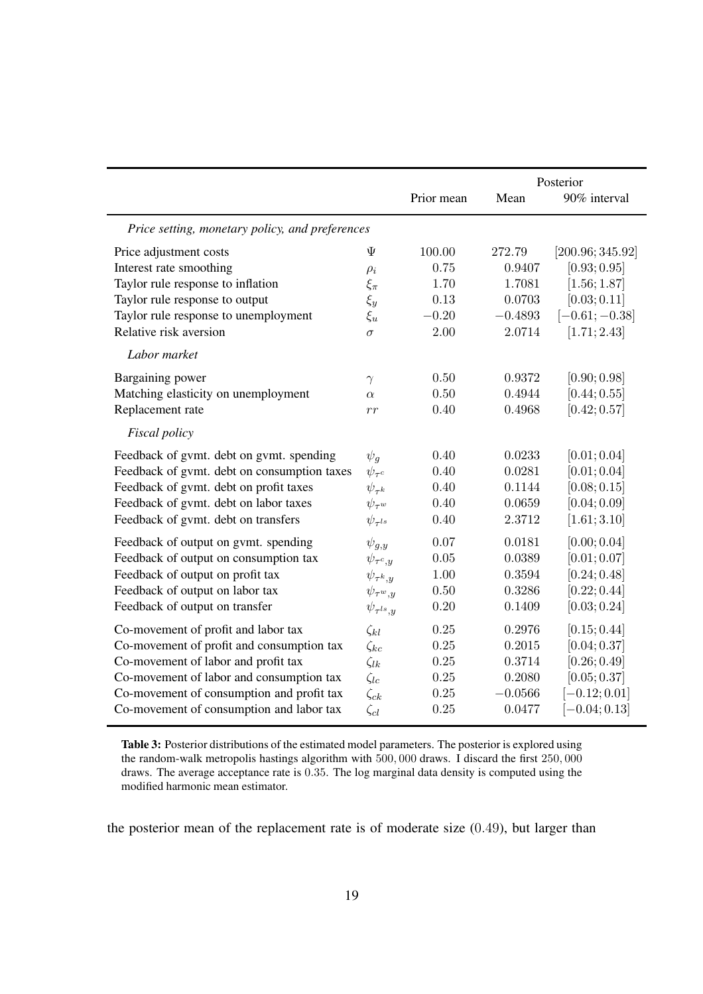<span id="page-18-0"></span>

|                                                 |                      |            |           | Posterior        |
|-------------------------------------------------|----------------------|------------|-----------|------------------|
|                                                 |                      | Prior mean | Mean      | 90% interval     |
| Price setting, monetary policy, and preferences |                      |            |           |                  |
| Price adjustment costs                          | Ψ                    | 100.00     | 272.79    | [200.96; 345.92] |
| Interest rate smoothing                         | $\rho_i$             | 0.75       | 0.9407    | [0.93; 0.95]     |
| Taylor rule response to inflation               | $\xi_{\pi}$          | 1.70       | 1.7081    | [1.56; 1.87]     |
| Taylor rule response to output                  | $\xi_y$              | 0.13       | 0.0703    | [0.03; 0.11]     |
| Taylor rule response to unemployment            | $\xi_u$              | $-0.20$    | $-0.4893$ | $[-0.61; -0.38]$ |
| Relative risk aversion                          | $\sigma$             | 2.00       | 2.0714    | [1.71; 2.43]     |
| Labor market                                    |                      |            |           |                  |
| Bargaining power                                | $\gamma$             | 0.50       | 0.9372    | [0.90; 0.98]     |
| Matching elasticity on unemployment             | $\alpha$             | 0.50       | 0.4944    | [0.44; 0.55]     |
| Replacement rate                                | rr                   | 0.40       | 0.4968    | [0.42; 0.57]     |
| Fiscal policy                                   |                      |            |           |                  |
| Feedback of gvmt. debt on gvmt. spending        | $\psi_q$             | 0.40       | 0.0233    | [0.01; 0.04]     |
| Feedback of gvmt. debt on consumption taxes     | $\psi_{\tau^c}$      | 0.40       | 0.0281    | [0.01; 0.04]     |
| Feedback of gymt. debt on profit taxes          | $\psi_{\tau^k}$      | 0.40       | 0.1144    | [0.08; 0.15]     |
| Feedback of gymt. debt on labor taxes           | $\psi_{\tau^w}$      | 0.40       | 0.0659    | [0.04; 0.09]     |
| Feedback of gvmt. debt on transfers             | $\psi_{\tau^{ls}}$   | 0.40       | 2.3712    | [1.61; 3.10]     |
| Feedback of output on gymt. spending            | $\psi_{q,y}$         | 0.07       | 0.0181    | [0.00; 0.04]     |
| Feedback of output on consumption tax           | $\psi_{\tau^c,y}$    | 0.05       | 0.0389    | [0.01; 0.07]     |
| Feedback of output on profit tax                | $\psi_{\tau^k,y}$    | 1.00       | 0.3594    | [0.24; 0.48]     |
| Feedback of output on labor tax                 | $\psi_{\tau^w,y}$    | 0.50       | 0.3286    | [0.22; 0.44]     |
| Feedback of output on transfer                  | $\psi_{\tau^{ls},y}$ | 0.20       | 0.1409    | [0.03; 0.24]     |
| Co-movement of profit and labor tax             | $\zeta_{kl}$         | 0.25       | 0.2976    | [0.15; 0.44]     |
| Co-movement of profit and consumption tax       | $\zeta_{kc}$         | 0.25       | 0.2015    | [0.04; 0.37]     |
| Co-movement of labor and profit tax             | $\zeta_{lk}$         | 0.25       | 0.3714    | [0.26; 0.49]     |
| Co-movement of labor and consumption tax        | $\zeta_{lc}$         | 0.25       | 0.2080    | [0.05; 0.37]     |
| Co-movement of consumption and profit tax       | $\zeta_{ck}$         | 0.25       | $-0.0566$ | $[-0.12; 0.01]$  |
| Co-movement of consumption and labor tax        | $\zeta_{cl}$         | 0.25       | 0.0477    | $[-0.04; 0.13]$  |

Table 3: Posterior distributions of the estimated model parameters. The posterior is explored using the random-walk metropolis hastings algorithm with 500, 000 draws. I discard the first 250, 000 draws. The average acceptance rate is 0.35. The log marginal data density is computed using the modified harmonic mean estimator.

the posterior mean of the replacement rate is of moderate size (0.49), but larger than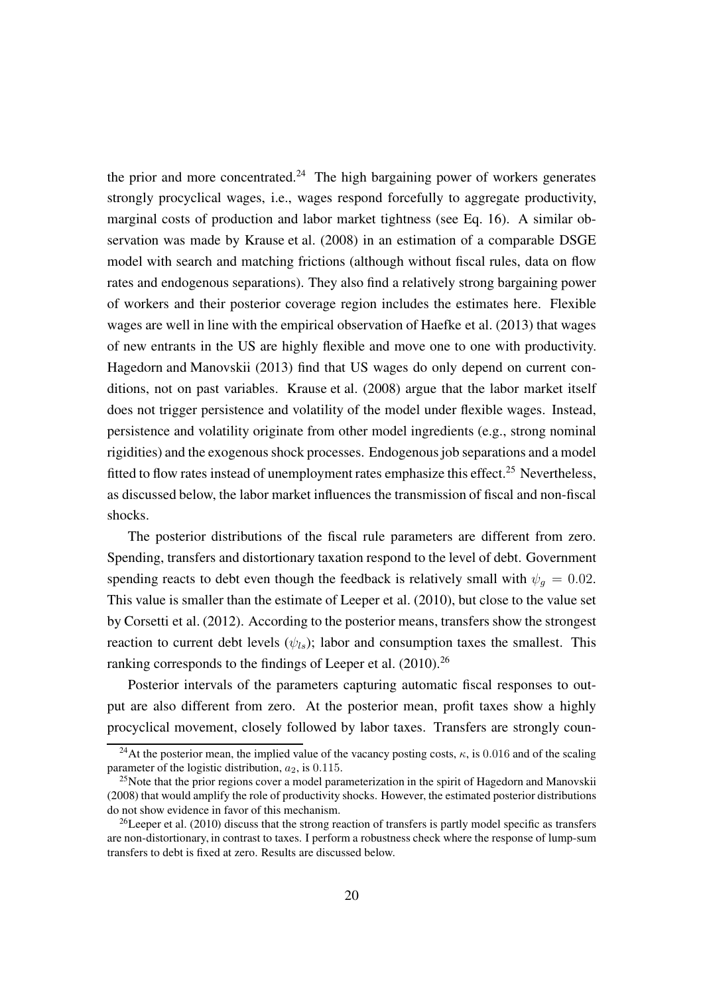the prior and more concentrated.<sup>[24](#page-19-0)</sup> The high bargaining power of workers generates strongly procyclical wages, i.e., wages respond forcefully to aggregate productivity, marginal costs of production and labor market tightness (see Eq. [16\)](#page-9-1). A similar observation was made by [Krause et al. \(2008](#page-47-2)) in an estimation of a comparable DSGE model with search and matching frictions (although without fiscal rules, data on flow rates and endogenous separations). They also find a relatively strong bargaining power of workers and their posterior coverage region includes the estimates here. Flexible wages are well in line with the empirical observation of [Haefke et al.](#page-46-7) [\(2013\)](#page-46-7) that wages of new entrants in the US are highly flexible and move one to one with productivity. [Hagedorn and Manovskii \(2013\)](#page-47-8) find that US wages do only depend on current conditions, not on past variables. [Krause et al. \(2008](#page-47-2)) argue that the labor market itself does not trigger persistence and volatility of the model under flexible wages. Instead, persistence and volatility originate from other model ingredients (e.g., strong nominal rigidities) and the exogenous shock processes. Endogenousjob separations and a model fitted to flow rates instead of unemployment rates emphasize this effect.<sup>[25](#page-19-1)</sup> Nevertheless, as discussed below, the labor market influences the transmission of fiscal and non-fiscal shocks.

The posterior distributions of the fiscal rule parameters are different from zero. Spending, transfers and distortionary taxation respond to the level of debt. Government spending reacts to debt even though the feedback is relatively small with  $\psi_q = 0.02$ . This value is smaller than the estimate of [Leeper et al. \(2010](#page-48-1)), but close to the value set by [Corsetti et al.](#page-45-0) [\(2012\)](#page-45-0). According to the posterior means, transfers show the strongest reaction to current debt levels  $(\psi_{ls})$ ; labor and consumption taxes the smallest. This ranking corresponds to the findings of [Leeper et al.](#page-48-1) [\(2010\)](#page-48-1).<sup>[26](#page-19-2)</sup>

Posterior intervals of the parameters capturing automatic fiscal responses to output are also different from zero. At the posterior mean, profit taxes show a highly procyclical movement, closely followed by labor taxes. Transfers are strongly coun-

<span id="page-19-0"></span><sup>&</sup>lt;sup>24</sup>At the posterior mean, the implied value of the vacancy posting costs,  $\kappa$ , is 0.016 and of the scaling parameter of the logistic distribution,  $a_2$ , is 0.115.

<span id="page-19-1"></span><sup>&</sup>lt;sup>25</sup>Note that the prior regions cover a model parameterization in the spirit of [Hagedorn and Manovskii](#page-47-9) [\(2008\)](#page-47-9) that would amplify the role of productivity shocks. However, the estimated posterior distributions do not show evidence in favor of this mechanism.

<span id="page-19-2"></span><sup>&</sup>lt;sup>26</sup>[Leeper et al. \(2010\)](#page-48-1) discuss that the strong reaction of transfers is partly model specific as transfers are non-distortionary, in contrast to taxes. I perform a robustness check where the response of lump-sum transfers to debt is fixed at zero. Results are discussed below.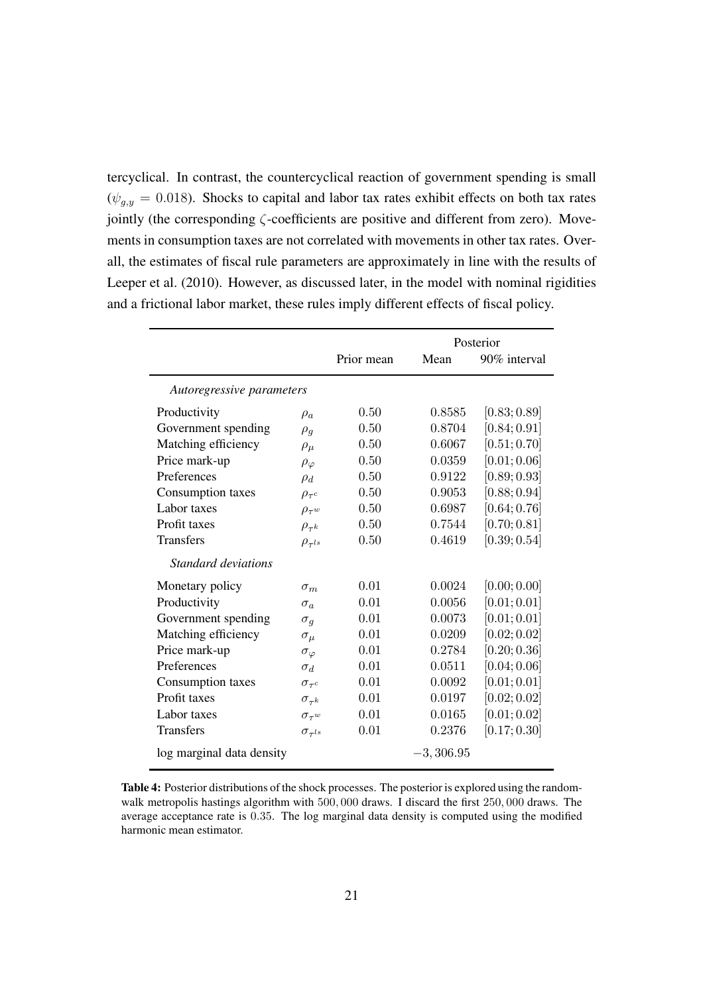tercyclical. In contrast, the countercyclical reaction of government spending is small  $(\psi_{q,y} = 0.018)$ . Shocks to capital and labor tax rates exhibit effects on both tax rates jointly (the corresponding  $\zeta$ -coefficients are positive and different from zero). Movements in consumption taxes are not correlated with movements in other tax rates. Overall, the estimates of fiscal rule parameters are approximately in line with the results of [Leeper et al. \(2010](#page-48-1)). However, as discussed later, in the model with nominal rigidities and a frictional labor market, these rules imply different effects of fiscal policy.

<span id="page-20-0"></span>

|                           |                      |            |             | Posterior    |
|---------------------------|----------------------|------------|-------------|--------------|
|                           |                      | Prior mean | Mean        | 90% interval |
| Autoregressive parameters |                      |            |             |              |
| Productivity              | $\rho_a$             | 0.50       | 0.8585      | [0.83; 0.89] |
| Government spending       | $\rho_q$             | 0.50       | 0.8704      | [0.84; 0.91] |
| Matching efficiency       | $\rho_\mu$           | 0.50       | 0.6067      | [0.51; 0.70] |
| Price mark-up             | $\rho_{\varphi}$     | 0.50       | 0.0359      | [0.01; 0.06] |
| Preferences               | $\rho_d$             | 0.50       | 0.9122      | [0.89; 0.93] |
| Consumption taxes         | $\rho_{\tau^c}$      | 0.50       | 0.9053      | [0.88; 0.94] |
| Labor taxes               | $\rho_{\tau^w}$      | 0.50       | 0.6987      | [0.64; 0.76] |
| Profit taxes              | $\rho_{\tau^k}$      | 0.50       | 0.7544      | [0.70; 0.81] |
| <b>Transfers</b>          | $\rho_{\tau^{ls}}$   | 0.50       | 0.4619      | [0.39; 0.54] |
| Standard deviations       |                      |            |             |              |
| Monetary policy           | $\sigma_m$           | 0.01       | 0.0024      | [0.00; 0.00] |
| Productivity              | $\sigma_{\alpha}$    | 0.01       | 0.0056      | [0.01; 0.01] |
| Government spending       | $\sigma_q$           | 0.01       | 0.0073      | [0.01; 0.01] |
| Matching efficiency       | $\sigma_{\mu}$       | 0.01       | 0.0209      | [0.02; 0.02] |
| Price mark-up             | $\sigma_{\varphi}$   | 0.01       | 0.2784      | [0.20; 0.36] |
| Preferences               | $\sigma_d$           | 0.01       | 0.0511      | [0.04; 0.06] |
| Consumption taxes         | $\sigma_{\tau^c}$    | 0.01       | 0.0092      | [0.01; 0.01] |
| Profit taxes              | $\sigma_{\tau^k}$    | 0.01       | 0.0197      | [0.02; 0.02] |
| Labor taxes               | $\sigma_{\tau^w}$    | 0.01       | 0.0165      | [0.01; 0.02] |
| <b>Transfers</b>          | $\sigma_{\tau^{ls}}$ | 0.01       | 0.2376      | [0.17; 0.30] |
| log marginal data density |                      |            | $-3,306.95$ |              |

Table 4: Posterior distributions of the shock processes. The posterior is explored using the randomwalk metropolis hastings algorithm with 500,000 draws. I discard the first 250,000 draws. The average acceptance rate is 0.35. The log marginal data density is computed using the modified harmonic mean estimator.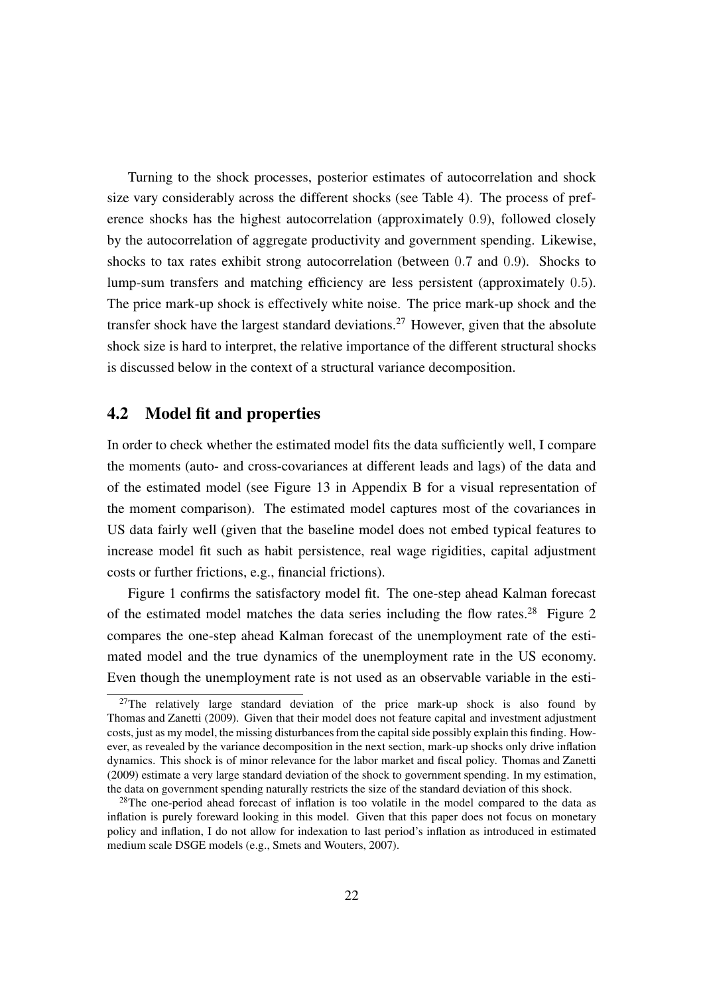Turning to the shock processes, posterior estimates of autocorrelation and shock size vary considerably across the different shocks (see Table [4\)](#page-20-0). The process of preference shocks has the highest autocorrelation (approximately 0.9), followed closely by the autocorrelation of aggregate productivity and government spending. Likewise, shocks to tax rates exhibit strong autocorrelation (between 0.7 and 0.9). Shocks to lump-sum transfers and matching efficiency are less persistent (approximately 0.5). The price mark-up shock is effectively white noise. The price mark-up shock and the transfer shock have the largest standard deviations.<sup>[27](#page-21-0)</sup> However, given that the absolute shock size is hard to interpret, the relative importance of the different structural shocks is discussed below in the context of a structural variance decomposition.

#### 4.2 Model fit and properties

In order to check whether the estimated model fits the data sufficiently well, I compare the moments (auto- and cross-covariances at different leads and lags) of the data and of the estimated model (see Figure [13](#page-59-0) in Appendix [B](#page-55-0) for a visual representation of the moment comparison). The estimated model captures most of the covariances in US data fairly well (given that the baseline model does not embed typical features to increase model fit such as habit persistence, real wage rigidities, capital adjustment costs or further frictions, e.g., financial frictions).

Figure [1](#page-22-0) confirms the satisfactory model fit. The one-step ahead Kalman forecast of the estimated model matches the data series including the flow rates.<sup>[28](#page-21-1)</sup> Figure [2](#page-23-0) compares the one-step ahead Kalman forecast of the unemployment rate of the estimated model and the true dynamics of the unemployment rate in the US economy. Even though the unemployment rate is not used as an observable variable in the esti-

<span id="page-21-0"></span> $27$ The relatively large standard deviation of the price mark-up shock is also found by [Thomas and Zanetti](#page-49-4) [\(2009\)](#page-49-4). Given that their model does not feature capital and investment adjustment costs, just as my model, the missing disturbances from the capital side possibly explain this finding. However, as revealed by the variance decomposition in the next section, mark-up shocks only drive inflation dynamics. This shock is of minor relevance for the labor market and fiscal policy. [Thomas and Zanetti](#page-49-4) [\(2009\)](#page-49-4) estimate a very large standard deviation of the shock to government spending. In my estimation, the data on government spending naturally restricts the size of the standard deviation of this shock.

<span id="page-21-1"></span><sup>&</sup>lt;sup>28</sup>The one-period ahead forecast of inflation is too volatile in the model compared to the data as inflation is purely foreward looking in this model. Given that this paper does not focus on monetary policy and inflation, I do not allow for indexation to last period's inflation as introduced in estimated medium scale DSGE models (e.g., [Smets and Wouters](#page-49-6), [2007\)](#page-49-6).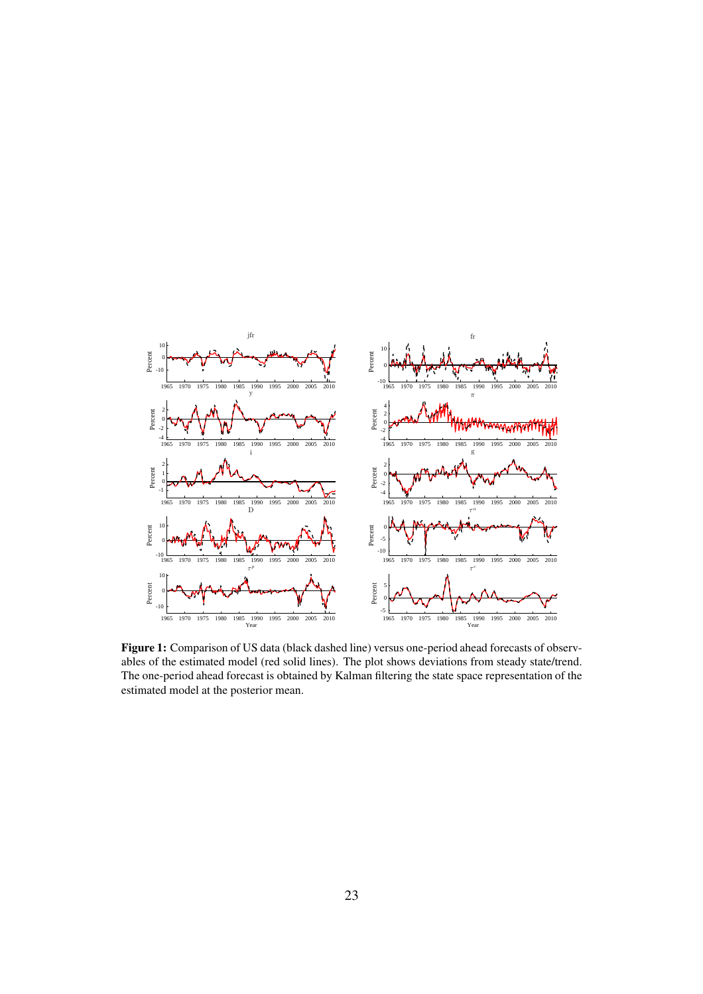<span id="page-22-0"></span>

Figure 1: Comparison of US data (black dashed line) versus one-period ahead forecasts of observables of the estimated model (red solid lines). The plot shows deviations from steady state/trend. The one-period ahead forecast is obtained by Kalman filtering the state space representation of the estimated model at the posterior mean.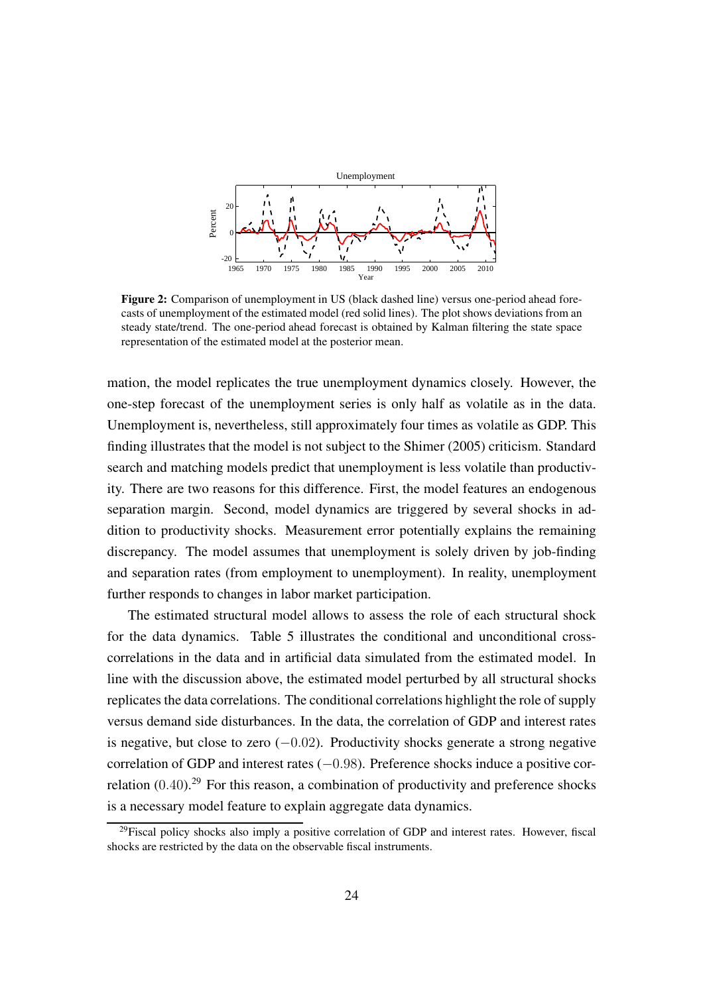<span id="page-23-0"></span>

Figure 2: Comparison of unemployment in US (black dashed line) versus one-period ahead forecasts of unemployment of the estimated model (red solid lines). The plot shows deviations from an steady state/trend. The one-period ahead forecast is obtained by Kalman filtering the state space representation of the estimated model at the posterior mean.

mation, the model replicates the true unemployment dynamics closely. However, the one-step forecast of the unemployment series is only half as volatile as in the data. Unemployment is, nevertheless, still approximately four times as volatile as GDP. This finding illustrates that the model is not subject to the [Shimer \(2005\)](#page-49-0) criticism. Standard search and matching models predict that unemployment is less volatile than productivity. There are two reasons for this difference. First, the model features an endogenous separation margin. Second, model dynamics are triggered by several shocks in addition to productivity shocks. Measurement error potentially explains the remaining discrepancy. The model assumes that unemployment is solely driven by job-finding and separation rates (from employment to unemployment). In reality, unemployment further responds to changes in labor market participation.

The estimated structural model allows to assess the role of each structural shock for the data dynamics. Table [5](#page-25-0) illustrates the conditional and unconditional crosscorrelations in the data and in artificial data simulated from the estimated model. In line with the discussion above, the estimated model perturbed by all structural shocks replicates the data correlations. The conditional correlations highlight the role of supply versus demand side disturbances. In the data, the correlation of GDP and interest rates is negative, but close to zero  $(-0.02)$ . Productivity shocks generate a strong negative correlation of GDP and interest rates (−0.98). Preference shocks induce a positive correlation  $(0.40)$ <sup>[29](#page-23-1)</sup> For this reason, a combination of productivity and preference shocks is a necessary model feature to explain aggregate data dynamics.

<span id="page-23-1"></span><sup>&</sup>lt;sup>29</sup>Fiscal policy shocks also imply a positive correlation of GDP and interest rates. However, fiscal shocks are restricted by the data on the observable fiscal instruments.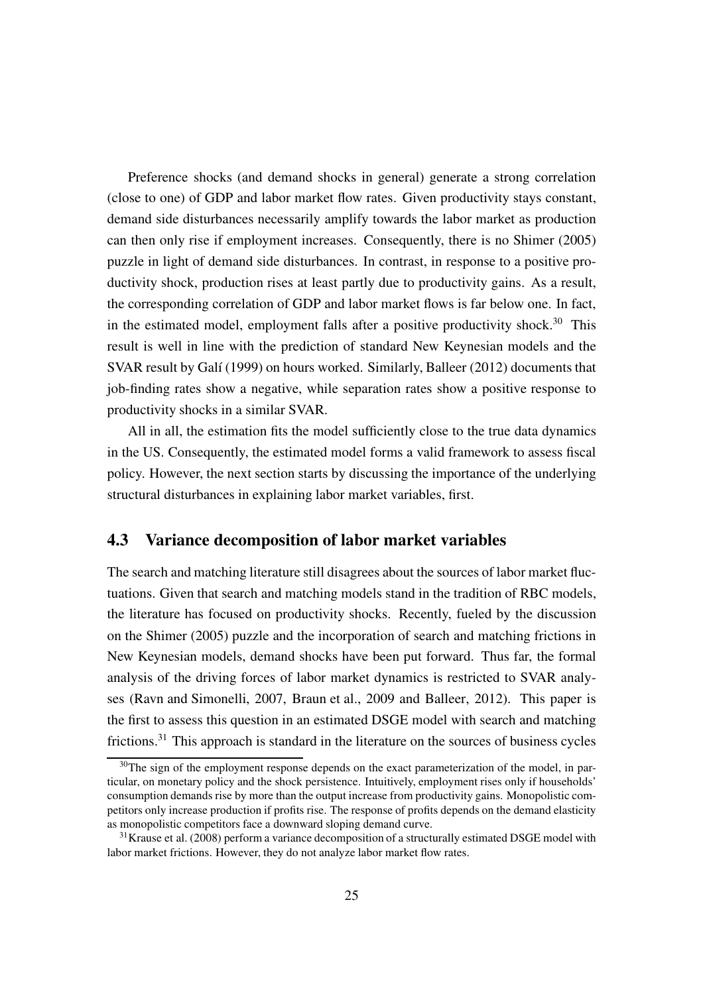Preference shocks (and demand shocks in general) generate a strong correlation (close to one) of GDP and labor market flow rates. Given productivity stays constant, demand side disturbances necessarily amplify towards the labor market as production can then only rise if employment increases. Consequently, there is no [Shimer](#page-49-0) [\(2005\)](#page-49-0) puzzle in light of demand side disturbances. In contrast, in response to a positive productivity shock, production rises at least partly due to productivity gains. As a result, the corresponding correlation of GDP and labor market flows is far below one. In fact, in the estimated model, employment falls after a positive productivity shock.<sup>[30](#page-24-0)</sup> This result is well in line with the prediction of standard New Keynesian models and the SVAR result by [Galí](#page-46-8) [\(1999\)](#page-46-8) on hours worked. Similarly, [Balleer](#page-44-5) [\(2012\)](#page-44-5) documents that job-finding rates show a negative, while separation rates show a positive response to productivity shocks in a similar SVAR.

All in all, the estimation fits the model sufficiently close to the true data dynamics in the US. Consequently, the estimated model forms a valid framework to assess fiscal policy. However, the next section starts by discussing the importance of the underlying structural disturbances in explaining labor market variables, first.

#### 4.3 Variance decomposition of labor market variables

The search and matching literature still disagrees about the sources of labor market fluctuations. Given that search and matching models stand in the tradition of RBC models, the literature has focused on productivity shocks. Recently, fueled by the discussion on the [Shimer \(2005](#page-49-0)) puzzle and the incorporation of search and matching frictions in New Keynesian models, demand shocks have been put forward. Thus far, the formal analysis of the driving forces of labor market dynamics is restricted to SVAR analyses [\(Ravn and Simonelli, 2007,](#page-48-10) [Braun et al., 2009](#page-44-6) and [Balleer](#page-44-5), [2012\)](#page-44-5). This paper is the first to assess this question in an estimated DSGE model with search and matching frictions.<sup>[31](#page-24-1)</sup> This approach is standard in the literature on the sources of business cycles

<span id="page-24-0"></span> $30$ The sign of the employment response depends on the exact parameterization of the model, in particular, on monetary policy and the shock persistence. Intuitively, employment rises only if households' consumption demands rise by more than the output increase from productivity gains. Monopolistic competitors only increase production if profits rise. The response of profits depends on the demand elasticity as monopolistic competitors face a downward sloping demand curve.

<span id="page-24-1"></span> $31$ [Krause et al. \(2008](#page-47-2)) perform a variance decomposition of a structurally estimated DSGE model with labor market frictions. However, they do not analyze labor market flow rates.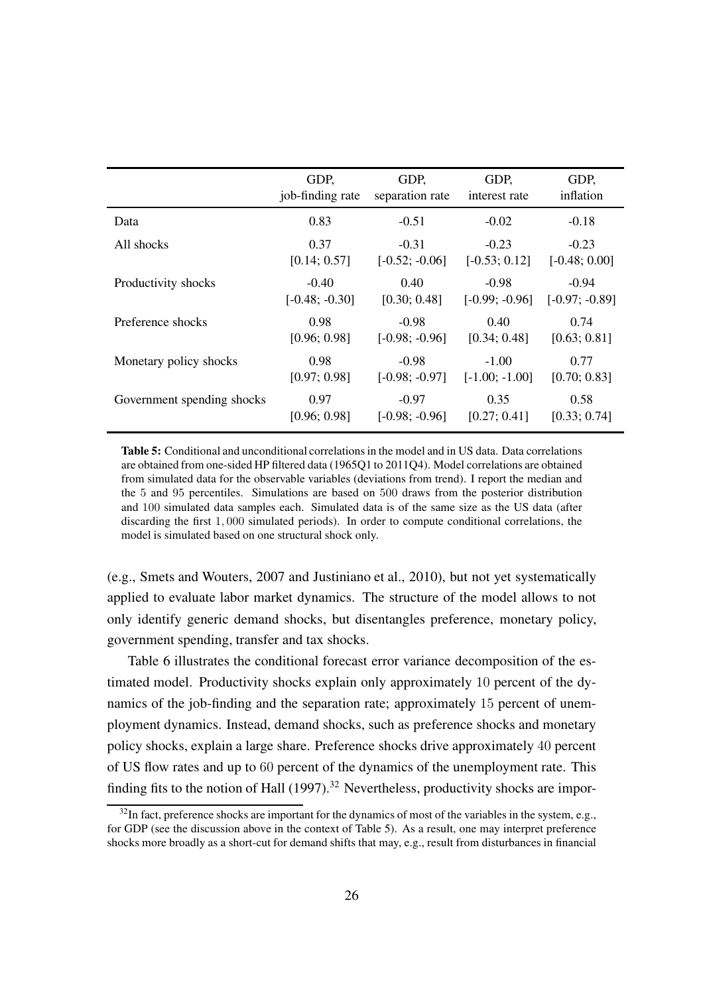<span id="page-25-0"></span>

|                            | GDP,             | GDP,             | GDP,             | GDP,             |
|----------------------------|------------------|------------------|------------------|------------------|
|                            | job-finding rate | separation rate  | interest rate    | inflation        |
| Data                       | 0.83             | $-0.51$          | $-0.02$          | $-0.18$          |
| All shocks                 | 0.37             | $-0.31$          | $-0.23$          | $-0.23$          |
|                            | [0.14; 0.57]     | $[-0.52; -0.06]$ | $[-0.53; 0.12]$  | $[-0.48; 0.00]$  |
| Productivity shocks        | $-0.40$          | 0.40             | $-0.98$          | $-0.94$          |
|                            | $[-0.48; -0.30]$ | [0.30; 0.48]     | $[-0.99; -0.96]$ | $[-0.97; -0.89]$ |
| Preference shocks          | 0.98             | $-0.98$          | 0.40             | 0.74             |
|                            | [0.96; 0.98]     | $[-0.98; -0.96]$ | [0.34; 0.48]     | [0.63; 0.81]     |
| Monetary policy shocks     | 0.98             | $-0.98$          | $-1.00$          | 0.77             |
|                            | [0.97; 0.98]     | $[-0.98; -0.97]$ | $[-1.00; -1.00]$ | [0.70; 0.83]     |
| Government spending shocks | 0.97             | $-0.97$          | 0.35             | 0.58             |
|                            | [0.96; 0.98]     | $[-0.98; -0.96]$ | [0.27; 0.41]     | [0.33; 0.74]     |

Table 5: Conditional and unconditional correlations in the model and in US data. Data correlations are obtained from one-sided HP filtered data (1965Q1 to 2011Q4). Model correlations are obtained from simulated data for the observable variables (deviations from trend). I report the median and the 5 and 95 percentiles. Simulations are based on 500 draws from the posterior distribution and 100 simulated data samples each. Simulated data is of the same size as the US data (after discarding the first 1, 000 simulated periods). In order to compute conditional correlations, the model is simulated based on one structural shock only.

(e.g., [Smets and Wouters, 2007](#page-49-6) and [Justiniano et al., 2010](#page-47-10)), but not yet systematically applied to evaluate labor market dynamics. The structure of the model allows to not only identify generic demand shocks, but disentangles preference, monetary policy, government spending, transfer and tax shocks.

Table [6](#page-27-0) illustrates the conditional forecast error variance decomposition of the estimated model. Productivity shocks explain only approximately 10 percent of the dynamics of the job-finding and the separation rate; approximately 15 percent of unemployment dynamics. Instead, demand shocks, such as preference shocks and monetary policy shocks, explain a large share. Preference shocks drive approximately 40 percent of US flow rates and up to 60 percent of the dynamics of the unemployment rate. This finding fits to the notion of Hall  $(1997)$ .<sup>[32](#page-25-1)</sup> Nevertheless, productivity shocks are impor-

<span id="page-25-1"></span> $32$ In fact, preference shocks are important for the dynamics of most of the variables in the system, e.g., for GDP (see the discussion above in the context of Table [5\)](#page-25-0). As a result, one may interpret preference shocks more broadly as a short-cut for demand shifts that may, e.g., result from disturbances in financial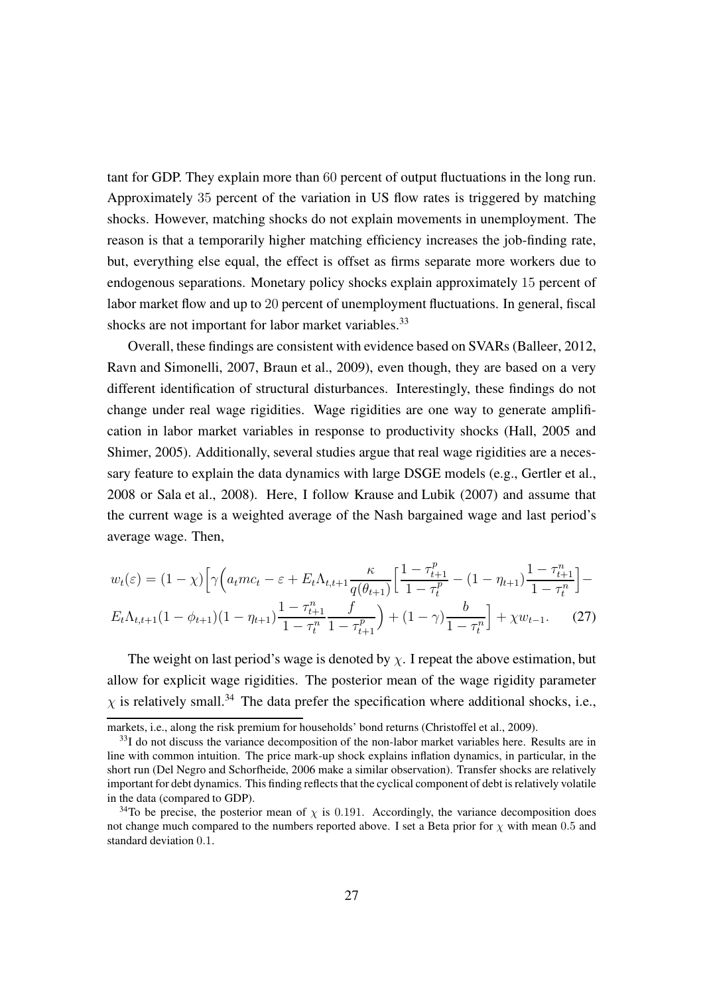tant for GDP. They explain more than 60 percent of output fluctuations in the long run. Approximately 35 percent of the variation in US flow rates is triggered by matching shocks. However, matching shocks do not explain movements in unemployment. The reason is that a temporarily higher matching efficiency increases the job-finding rate, but, everything else equal, the effect is offset as firms separate more workers due to endogenous separations. Monetary policy shocks explain approximately 15 percent of labor market flow and up to 20 percent of unemployment fluctuations. In general, fiscal shocks are not important for labor market variables.<sup>[33](#page-26-0)</sup>

Overall, these findings are consistent with evidence based on SVARs [\(Balleer](#page-44-5), [2012,](#page-44-5) [Ravn and Simonelli, 2007,](#page-48-10) [Braun et al.](#page-44-6), [2009\)](#page-44-6), even though, they are based on a very different identification of structural disturbances. Interestingly, these findings do not change under real wage rigidities. Wage rigidities are one way to generate amplification in labor market variables in response to productivity shocks [\(Hall](#page-47-11), [2005](#page-47-11) and [Shimer](#page-49-0), [2005](#page-49-0)). Additionally, several studies argue that real wage rigidities are a necessary feature to explain the data dynamics with large DSGE models (e.g., [Gertler et al.,](#page-46-4) [2008](#page-46-4) or [Sala et al., 2008](#page-49-2)). Here, I follow [Krause and Lubik \(2007](#page-47-1)) and assume that the current wage is a weighted average of the Nash bargained wage and last period's average wage. Then,

$$
w_t(\varepsilon) = (1 - \chi) \Big[ \gamma \Big( a_t m c_t - \varepsilon + E_t \Lambda_{t,t+1} \frac{\kappa}{q(\theta_{t+1})} \Big[ \frac{1 - \tau_{t+1}^p}{1 - \tau_t^p} - (1 - \eta_{t+1}) \frac{1 - \tau_{t+1}^n}{1 - \tau_t^n} \Big] - E_t \Lambda_{t,t+1} (1 - \phi_{t+1}) (1 - \eta_{t+1}) \frac{1 - \tau_{t+1}^n}{1 - \tau_t^n} \frac{f}{1 - \tau_{t+1}^p} \Big) + (1 - \gamma) \frac{b}{1 - \tau_t^n} \Big] + \chi w_{t-1}.
$$
 (27)

The weight on last period's wage is denoted by  $\chi$ . I repeat the above estimation, but allow for explicit wage rigidities. The posterior mean of the wage rigidity parameter  $\chi$  is relatively small.<sup>[34](#page-26-1)</sup> The data prefer the specification where additional shocks, i.e.,

markets, i.e., along the risk premium for households' bond returns [\(Christoffel et al., 2009\)](#page-45-3).

<span id="page-26-0"></span><sup>&</sup>lt;sup>33</sup>I do not discuss the variance decomposition of the non-labor market variables here. Results are in line with common intuition. The price mark-up shock explains inflation dynamics, in particular, in the short run [\(Del Negro and Schorfheide, 2006](#page-45-5) make a similar observation). Transfer shocks are relatively important for debt dynamics. This finding reflects that the cyclical component of debt is relatively volatile in the data (compared to GDP).

<span id="page-26-1"></span><sup>&</sup>lt;sup>34</sup>To be precise, the posterior mean of  $\chi$  is 0.191. Accordingly, the variance decomposition does not change much compared to the numbers reported above. I set a Beta prior for  $\chi$  with mean 0.5 and standard deviation 0.1.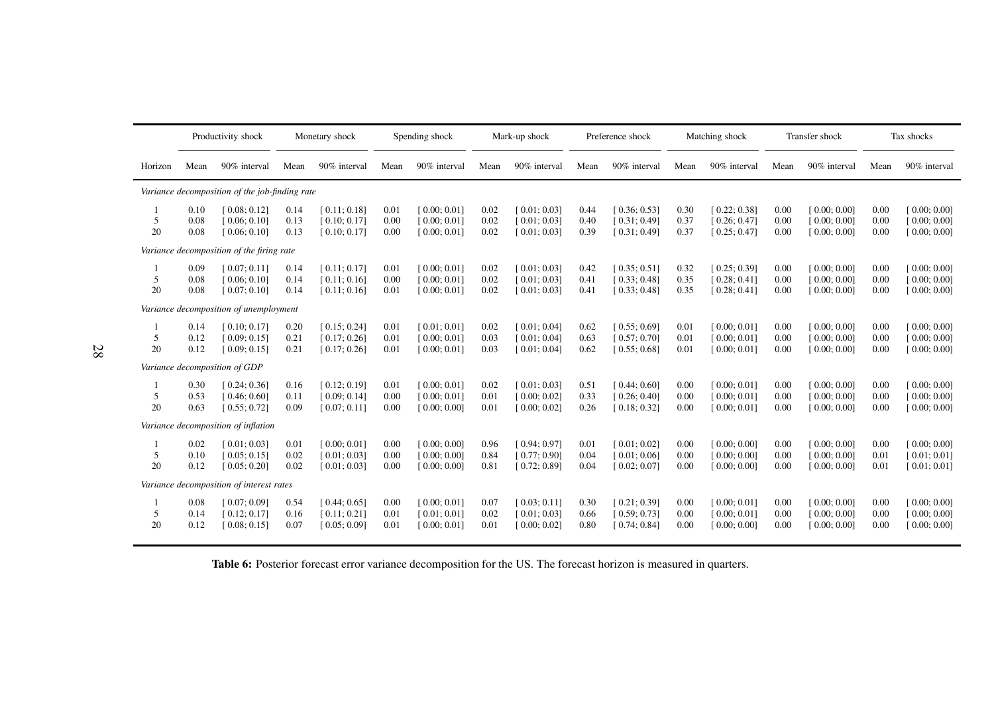<span id="page-27-0"></span>

|                         |                      | Productivity shock                             |                      | Monetary shock                               |                      | Spending shock                               |                      | Mark-up shock                                |                      | Preference shock                             |                      | Matching shock                               |                      | Transfer shock                               |                      | Tax shocks                                   |
|-------------------------|----------------------|------------------------------------------------|----------------------|----------------------------------------------|----------------------|----------------------------------------------|----------------------|----------------------------------------------|----------------------|----------------------------------------------|----------------------|----------------------------------------------|----------------------|----------------------------------------------|----------------------|----------------------------------------------|
| Horizon                 | Mean                 | 90% interval                                   | Mean                 | 90% interval                                 | Mean                 | 90% interval                                 | Mean                 | 90% interval                                 | Mean                 | 90% interval                                 | Mean                 | 90% interval                                 | Mean                 | 90% interval                                 | Mean                 | 90% interval                                 |
|                         |                      | Variance decomposition of the job-finding rate |                      |                                              |                      |                                              |                      |                                              |                      |                                              |                      |                                              |                      |                                              |                      |                                              |
| 5<br>20                 | 0.10<br>0.08<br>0.08 | [0.08; 0.12]<br>[0.06; 0.10]<br>[0.06; 0.10]   | 0.14<br>0.13<br>0.13 | [0.11; 0.18]<br>[0.10; 0.17]<br>[0.10; 0.17] | 0.01<br>0.00<br>0.00 | [0.00; 0.01]<br>[0.00; 0.01]<br>[0.00; 0.01] | 0.02<br>0.02<br>0.02 | [0.01:0.03]<br>[0.01; 0.03]<br>[0.01; 0.03]  | 0.44<br>0.40<br>0.39 | [0.36; 0.53]<br>[0.31; 0.49]<br>[0.31; 0.49] | 0.30<br>0.37<br>0.37 | [0.22; 0.38]<br>[0.26; 0.47]<br>[0.25; 0.47] | 0.00<br>0.00<br>0.00 | [0.00; 0.00]<br>[0.00; 0.00]<br>[0.00; 0.00] | 0.00<br>0.00<br>0.00 | [0.00; 0.00]<br>[0.00; 0.00]<br>[0.00; 0.00] |
|                         |                      | Variance decomposition of the firing rate      |                      |                                              |                      |                                              |                      |                                              |                      |                                              |                      |                                              |                      |                                              |                      |                                              |
| $\mathbf{1}$<br>5<br>20 | 0.09<br>0.08<br>0.08 | [0.07; 0.11]<br>[0.06:0.10]<br>[0.07; 0.10]    | 0.14<br>0.14<br>0.14 | [0.11:0.17]<br>[0.11:0.16]<br>[0.11; 0.16]   | 0.01<br>0.00<br>0.01 | [0.00; 0.01]<br>[0.00:0.01]<br>[0.00; 0.01]  | 0.02<br>0.02<br>0.02 | [0.01; 0.03]<br>[0.01; 0.03]<br>[0.01; 0.03] | 0.42<br>0.41<br>0.41 | [0.35; 0.51]<br>[0.33; 0.48]<br>[0.33; 0.48] | 0.32<br>0.35<br>0.35 | [0.25; 0.39]<br>[0.28; 0.41]<br>[0.28; 0.41] | 0.00<br>0.00<br>0.00 | [0.00; 0.00]<br>[0.00; 0.00]<br>[0.00; 0.00] | 0.00<br>0.00<br>0.00 | [0.00; 0.00]<br>[0.00; 0.00]<br>[0.00; 0.00] |
|                         |                      | Variance decomposition of unemployment         |                      |                                              |                      |                                              |                      |                                              |                      |                                              |                      |                                              |                      |                                              |                      |                                              |
| 5<br>20                 | 0.14<br>0.12<br>0.12 | [0.10; 0.17]<br>[0.09; 0.15]<br>[0.09; 0.15]   | 0.20<br>0.21<br>0.21 | [0.15; 0.24]<br>[0.17; 0.26]<br>[0.17; 0.26] | 0.01<br>0.01<br>0.01 | [0.01; 0.01]<br>[0.00; 0.01]<br>[0.00; 0.01] | 0.02<br>0.03<br>0.03 | [0.01; 0.04]<br>[0.01; 0.04]<br>[0.01; 0.04] | 0.62<br>0.63<br>0.62 | [0.55; 0.69]<br>[0.57; 0.70]<br>[0.55; 0.68] | 0.01<br>0.01<br>0.01 | [0.00; 0.01]<br>[0.00; 0.01]<br>[0.00; 0.01] | 0.00<br>0.00<br>0.00 | [0.00; 0.00]<br>[0.00; 0.00]<br>[0.00; 0.00] | 0.00<br>0.00<br>0.00 | [0.00; 0.00]<br>[0.00; 0.00]<br>[0.00; 0.00] |
|                         |                      | Variance decomposition of GDP                  |                      |                                              |                      |                                              |                      |                                              |                      |                                              |                      |                                              |                      |                                              |                      |                                              |
| 5<br>20                 | 0.30<br>0.53<br>0.63 | [0.24; 0.36]<br>[0.46; 0.60]<br>[0.55; 0.72]   | 0.16<br>0.11<br>0.09 | [0.12; 0.19]<br>[0.09; 0.14]<br>[0.07; 0.11] | 0.01<br>0.00<br>0.00 | [0.00; 0.01]<br>[0.00; 0.01]<br>[0.00; 0.00] | 0.02<br>0.01<br>0.01 | [0.01; 0.03]<br>[0.00; 0.02]<br>[0.00; 0.02] | 0.51<br>0.33<br>0.26 | [0.44; 0.60]<br>[0.26; 0.40]<br>[0.18; 0.32] | 0.00<br>0.00<br>0.00 | [0.00; 0.01]<br>[0.00; 0.01]<br>[0.00; 0.01] | 0.00<br>0.00<br>0.00 | [0.00; 0.00]<br>[0.00; 0.00]<br>[0.00; 0.00] | 0.00<br>0.00<br>0.00 | [0.00; 0.00]<br>[0.00; 0.00]<br>[0.00; 0.00] |
|                         |                      | Variance decomposition of inflation            |                      |                                              |                      |                                              |                      |                                              |                      |                                              |                      |                                              |                      |                                              |                      |                                              |
| 5<br>20                 | 0.02<br>0.10<br>0.12 | [0.01; 0.03]<br>[0.05; 0.15]<br>[0.05; 0.20]   | 0.01<br>0.02<br>0.02 | [0.00; 0.01]<br>[0.01; 0.03]<br>[0.01; 0.03] | 0.00<br>0.00<br>0.00 | [0.00; 0.00]<br>[0.00:0.00]<br>[0.00; 0.00]  | 0.96<br>0.84<br>0.81 | [0.94; 0.97]<br>[0.77; 0.90]<br>[0.72; 0.89] | 0.01<br>0.04<br>0.04 | [0.01; 0.02]<br>[0.01; 0.06]<br>[0.02; 0.07] | 0.00<br>0.00<br>0.00 | [0.00; 0.00]<br>[0.00; 0.00]<br>[0.00; 0.00] | 0.00<br>0.00<br>0.00 | [0.00; 0.00]<br>[0.00; 0.00]<br>[0.00; 0.00] | 0.00<br>0.01<br>0.01 | [0.00; 0.00]<br>[0.01; 0.01]<br>[0.01; 0.01] |
|                         |                      | Variance decomposition of interest rates       |                      |                                              |                      |                                              |                      |                                              |                      |                                              |                      |                                              |                      |                                              |                      |                                              |
| 5<br>20                 | 0.08<br>0.14<br>0.12 | [0.07; 0.09]<br>[0.12; 0.17]<br>[0.08; 0.15]   | 0.54<br>0.16<br>0.07 | [0.44; 0.65]<br>[0.11; 0.21]<br>[0.05; 0.09] | 0.00<br>0.01<br>0.01 | [0.00; 0.01]<br>[0.01; 0.01]<br>[0.00; 0.01] | 0.07<br>0.02<br>0.01 | [0.03; 0.11]<br>[0.01; 0.03]<br>[0.00; 0.02] | 0.30<br>0.66<br>0.80 | [0.21; 0.39]<br>[0.59; 0.73]<br>[0.74; 0.84] | 0.00<br>0.00<br>0.00 | [0.00; 0.01]<br>[0.00; 0.01]<br>[0.00; 0.00] | 0.00<br>0.00<br>0.00 | [0.00; 0.00]<br>[0.00; 0.00]<br>[0.00; 0.00] | 0.00<br>0.00<br>0.00 | [0.00; 0.00]<br>[0.00; 0.00]<br>[0.00; 0.00] |

Table 6: Posterior forecast error variance decomposition for the US. The forecast horizon is measured in quarters.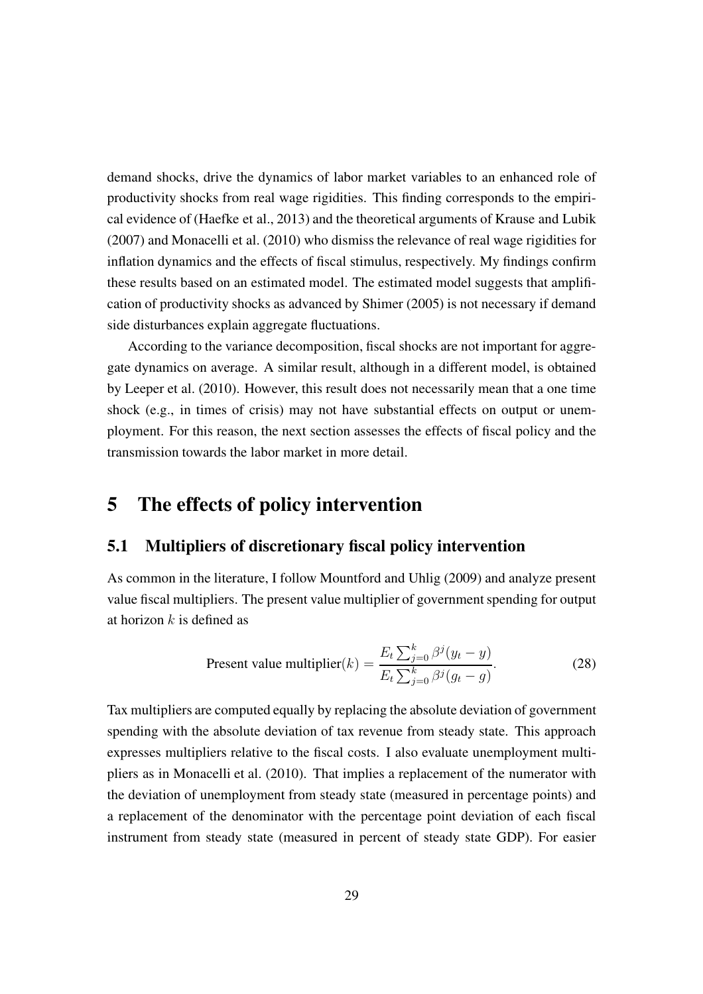demand shocks, drive the dynamics of labor market variables to an enhanced role of productivity shocks from real wage rigidities. This finding corresponds to the empirical evidence of [\(Haefke et al., 2013](#page-46-7)) and the theoretical arguments of [Krause and Lubik](#page-47-1) [\(2007\)](#page-47-1) and [Monacelli et al.](#page-48-0) [\(2010\)](#page-48-0) who dismiss the relevance of real wage rigidities for inflation dynamics and the effects of fiscal stimulus, respectively. My findings confirm these results based on an estimated model. The estimated model suggests that amplification of productivity shocks as advanced by [Shimer \(2005\)](#page-49-0) is not necessary if demand side disturbances explain aggregate fluctuations.

According to the variance decomposition, fiscal shocks are not important for aggregate dynamics on average. A similar result, although in a different model, is obtained by [Leeper et al. \(2010](#page-48-1)). However, this result does not necessarily mean that a one time shock (e.g., in times of crisis) may not have substantial effects on output or unemployment. For this reason, the next section assesses the effects of fiscal policy and the transmission towards the labor market in more detail.

### <span id="page-28-0"></span>5 The effects of policy intervention

#### 5.1 Multipliers of discretionary fiscal policy intervention

As common in the literature, I follow [Mountford and Uhlig](#page-48-5) [\(2009\)](#page-48-5) and analyze present value fiscal multipliers. The present value multiplier of government spending for output at horizon  $k$  is defined as

Present value multiplier(k) = 
$$
\frac{E_t \sum_{j=0}^k \beta^j (y_t - y)}{E_t \sum_{j=0}^k \beta^j (g_t - g)}.
$$
 (28)

Tax multipliers are computed equally by replacing the absolute deviation of government spending with the absolute deviation of tax revenue from steady state. This approach expresses multipliers relative to the fiscal costs. I also evaluate unemployment multipliers as in [Monacelli et al.](#page-48-0) [\(2010\)](#page-48-0). That implies a replacement of the numerator with the deviation of unemployment from steady state (measured in percentage points) and a replacement of the denominator with the percentage point deviation of each fiscal instrument from steady state (measured in percent of steady state GDP). For easier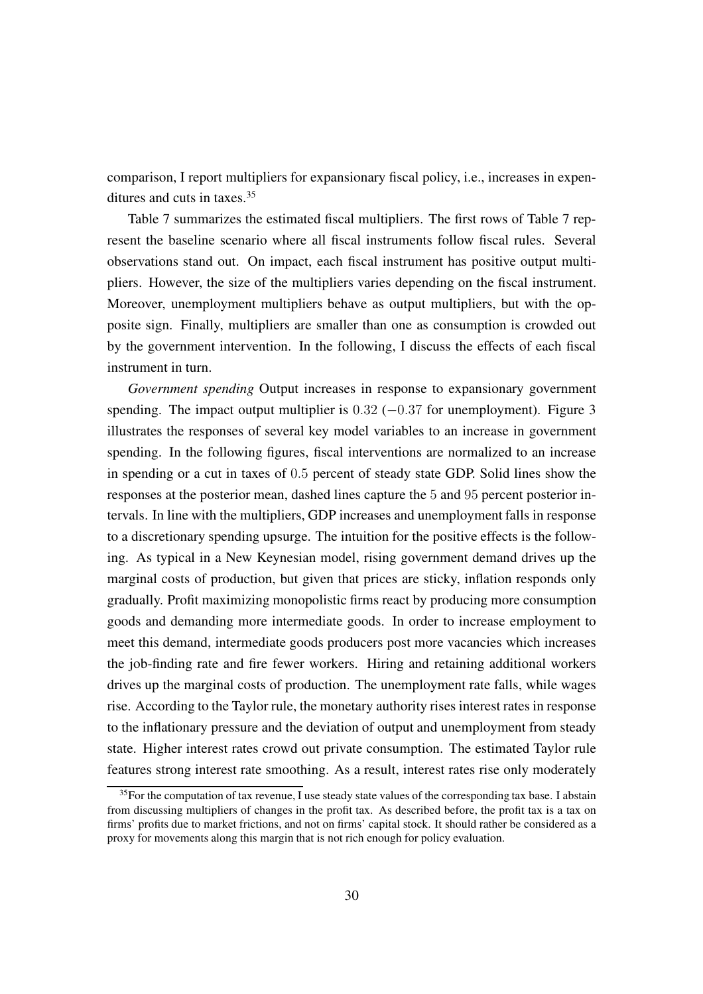comparison, I report multipliers for expansionary fiscal policy, i.e., increases in expenditures and cuts in taxes.[35](#page-29-0)

Table [7](#page-30-0) summarizes the estimated fiscal multipliers. The first rows of Table [7](#page-30-0) represent the baseline scenario where all fiscal instruments follow fiscal rules. Several observations stand out. On impact, each fiscal instrument has positive output multipliers. However, the size of the multipliers varies depending on the fiscal instrument. Moreover, unemployment multipliers behave as output multipliers, but with the opposite sign. Finally, multipliers are smaller than one as consumption is crowded out by the government intervention. In the following, I discuss the effects of each fiscal instrument in turn.

*Government spending* Output increases in response to expansionary government spending. The impact output multiplier is  $0.32$  ( $-0.37$  for unemployment). Figure [3](#page-31-0) illustrates the responses of several key model variables to an increase in government spending. In the following figures, fiscal interventions are normalized to an increase in spending or a cut in taxes of 0.5 percent of steady state GDP. Solid lines show the responses at the posterior mean, dashed lines capture the 5 and 95 percent posterior intervals. In line with the multipliers, GDP increases and unemployment falls in response to a discretionary spending upsurge. The intuition for the positive effects is the following. As typical in a New Keynesian model, rising government demand drives up the marginal costs of production, but given that prices are sticky, inflation responds only gradually. Profit maximizing monopolistic firms react by producing more consumption goods and demanding more intermediate goods. In order to increase employment to meet this demand, intermediate goods producers post more vacancies which increases the job-finding rate and fire fewer workers. Hiring and retaining additional workers drives up the marginal costs of production. The unemployment rate falls, while wages rise. According to the Taylor rule, the monetary authority rises interest rates in response to the inflationary pressure and the deviation of output and unemployment from steady state. Higher interest rates crowd out private consumption. The estimated Taylor rule features strong interest rate smoothing. As a result, interest rates rise only moderately

<span id="page-29-0"></span> $35$  For the computation of tax revenue, I use steady state values of the corresponding tax base. I abstain from discussing multipliers of changes in the profit tax. As described before, the profit tax is a tax on firms' profits due to market frictions, and not on firms' capital stock. It should rather be considered as a proxy for movements along this margin that is not rich enough for policy evaluation.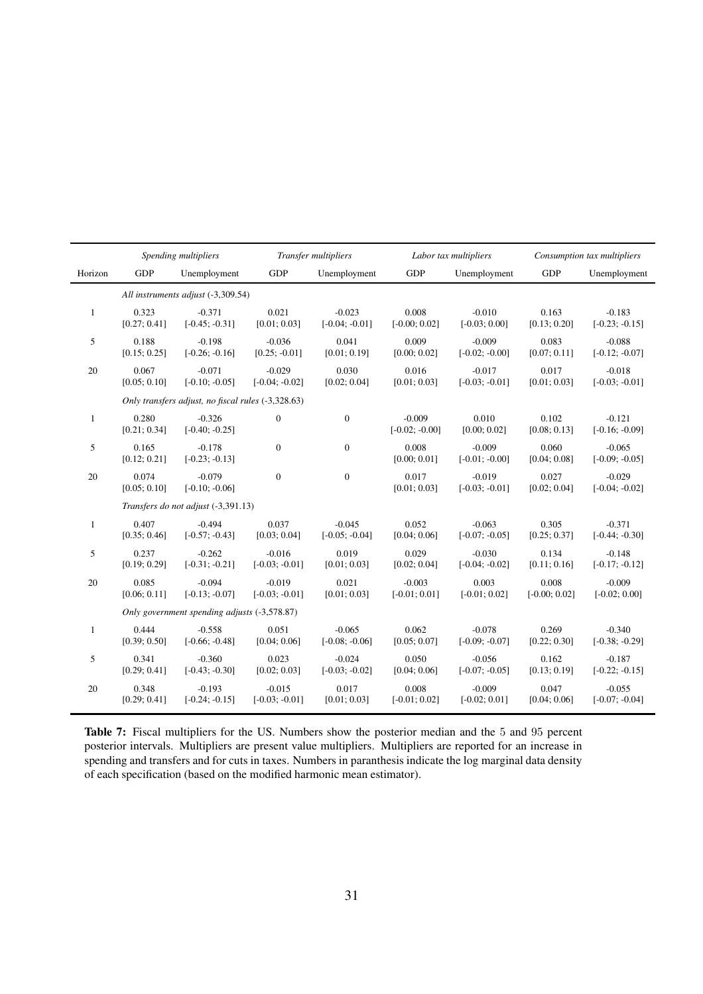<span id="page-30-0"></span>

|              | Transfer multipliers<br>Spending multipliers |                                                    |                  |                  | Labor tax multipliers        | Consumption tax multipliers  |                       |                              |
|--------------|----------------------------------------------|----------------------------------------------------|------------------|------------------|------------------------------|------------------------------|-----------------------|------------------------------|
| Horizon      | <b>GDP</b>                                   | Unemployment                                       | <b>GDP</b>       | Unemployment     | <b>GDP</b>                   | Unemployment                 | <b>GDP</b>            | Unemployment                 |
|              |                                              | All instruments adjust (-3,309.54)                 |                  |                  |                              |                              |                       |                              |
| $\mathbf{1}$ | 0.323                                        | $-0.371$                                           | 0.021            | $-0.023$         | 0.008                        | $-0.010$                     | 0.163                 | $-0.183$                     |
|              | [0.27; 0.41]                                 | $[-0.45; -0.31]$                                   | [0.01; 0.03]     | $[-0.04; -0.01]$ | $[-0.00; 0.02]$              | $[-0.03; 0.00]$              | [0.13; 0.20]          | $[-0.23; -0.15]$             |
| 5            | 0.188                                        | $-0.198$                                           | $-0.036$         | 0.041            | 0.009                        | $-0.009$                     | 0.083                 | $-0.088$                     |
|              | [0.15; 0.25]                                 | $[-0.26; -0.16]$                                   | $[0.25; -0.01]$  | [0.01; 0.19]     | [0.00; 0.02]                 | $[-0.02; -0.00]$             | [0.07; 0.11]          | $[-0.12; -0.07]$             |
| 20           | 0.067                                        | $-0.071$                                           | $-0.029$         | 0.030            | 0.016                        | $-0.017$                     | 0.017                 | $-0.018$                     |
|              | [0.05; 0.10]                                 | $[-0.10; -0.05]$                                   | $[-0.04; -0.02]$ | [0.02; 0.04]     | [0.01; 0.03]                 | $[-0.03; -0.01]$             | [0.01; 0.03]          | $[-0.03; -0.01]$             |
|              |                                              | Only transfers adjust, no fiscal rules (-3,328.63) |                  |                  |                              |                              |                       |                              |
| $\mathbf{1}$ | 0.280<br>[0.21; 0.34]                        | $-0.326$<br>$[-0.40; -0.25]$                       | $\boldsymbol{0}$ | $\boldsymbol{0}$ | $-0.009$<br>$[-0.02; -0.00]$ | 0.010<br>[0.00; 0.02]        | 0.102<br>[0.08; 0.13] | $-0.121$<br>$[-0.16; -0.09]$ |
| 5            | 0.165<br>[0.12; 0.21]                        | $-0.178$<br>$[-0.23; -0.13]$                       | $\boldsymbol{0}$ | $\boldsymbol{0}$ | 0.008<br>[0.00; 0.01]        | $-0.009$<br>$[-0.01; -0.00]$ | 0.060<br>[0.04; 0.08] | $-0.065$<br>$[-0.09; -0.05]$ |
| 20           | 0.074<br>[0.05; 0.10]                        | $-0.079$<br>$[-0.10; -0.06]$                       | $\mathbf{0}$     | $\overline{0}$   | 0.017<br>[0.01; 0.03]        | $-0.019$<br>$[-0.03; -0.01]$ | 0.027<br>[0.02; 0.04] | $-0.029$<br>$[-0.04; -0.02]$ |
|              |                                              | Transfers do not adjust (-3,391.13)                |                  |                  |                              |                              |                       |                              |
| $\mathbf{1}$ | 0.407                                        | $-0.494$                                           | 0.037            | $-0.045$         | 0.052                        | $-0.063$                     | 0.305                 | $-0.371$                     |
|              | [0.35; 0.46]                                 | $[-0.57; -0.43]$                                   | [0.03; 0.04]     | $[-0.05; -0.04]$ | [0.04; 0.06]                 | $[-0.07; -0.05]$             | [0.25; 0.37]          | $[-0.44; -0.30]$             |
| 5            | 0.237                                        | $-0.262$                                           | $-0.016$         | 0.019            | 0.029                        | $-0.030$                     | 0.134                 | $-0.148$                     |
|              | [0.19; 0.29]                                 | $[-0.31; -0.21]$                                   | $[-0.03; -0.01]$ | [0.01; 0.03]     | [0.02; 0.04]                 | $[-0.04; -0.02]$             | [0.11; 0.16]          | $[-0.17; -0.12]$             |
| 20           | 0.085                                        | $-0.094$                                           | $-0.019$         | 0.021            | $-0.003$                     | 0.003                        | 0.008                 | $-0.009$                     |
|              | [0.06; 0.11]                                 | $[-0.13; -0.07]$                                   | $[-0.03; -0.01]$ | [0.01; 0.03]     | $[-0.01; 0.01]$              | $[-0.01; 0.02]$              | $[-0.00; 0.02]$       | $[-0.02; 0.00]$              |
|              |                                              | Only government spending adjusts (-3,578.87)       |                  |                  |                              |                              |                       |                              |
| $\mathbf{1}$ | 0.444                                        | $-0.558$                                           | 0.051            | $-0.065$         | 0.062                        | $-0.078$                     | 0.269                 | $-0.340$                     |
|              | [0.39; 0.50]                                 | $[-0.66; -0.48]$                                   | [0.04; 0.06]     | $[-0.08; -0.06]$ | [0.05; 0.07]                 | $[-0.09; -0.07]$             | [0.22; 0.30]          | $[-0.38; -0.29]$             |
| 5            | 0.341                                        | $-0.360$                                           | 0.023            | $-0.024$         | 0.050                        | $-0.056$                     | 0.162                 | $-0.187$                     |
|              | [0.29; 0.41]                                 | $[-0.43; -0.30]$                                   | [0.02; 0.03]     | $[-0.03; -0.02]$ | [0.04; 0.06]                 | $[-0.07; -0.05]$             | [0.13; 0.19]          | $[-0.22; -0.15]$             |
| 20           | 0.348                                        | $-0.193$                                           | $-0.015$         | 0.017            | 0.008                        | $-0.009$                     | 0.047                 | $-0.055$                     |
|              | [0.29; 0.41]                                 | $[-0.24; -0.15]$                                   | $[-0.03; -0.01]$ | [0.01; 0.03]     | $[-0.01; 0.02]$              | $[-0.02; 0.01]$              | [0.04; 0.06]          | $[-0.07; -0.04]$             |

Table 7: Fiscal multipliers for the US. Numbers show the posterior median and the 5 and 95 percent posterior intervals. Multipliers are present value multipliers. Multipliers are reported for an increase in spending and transfers and for cuts in taxes. Numbers in paranthesis indicate the log marginal data density of each specification (based on the modified harmonic mean estimator).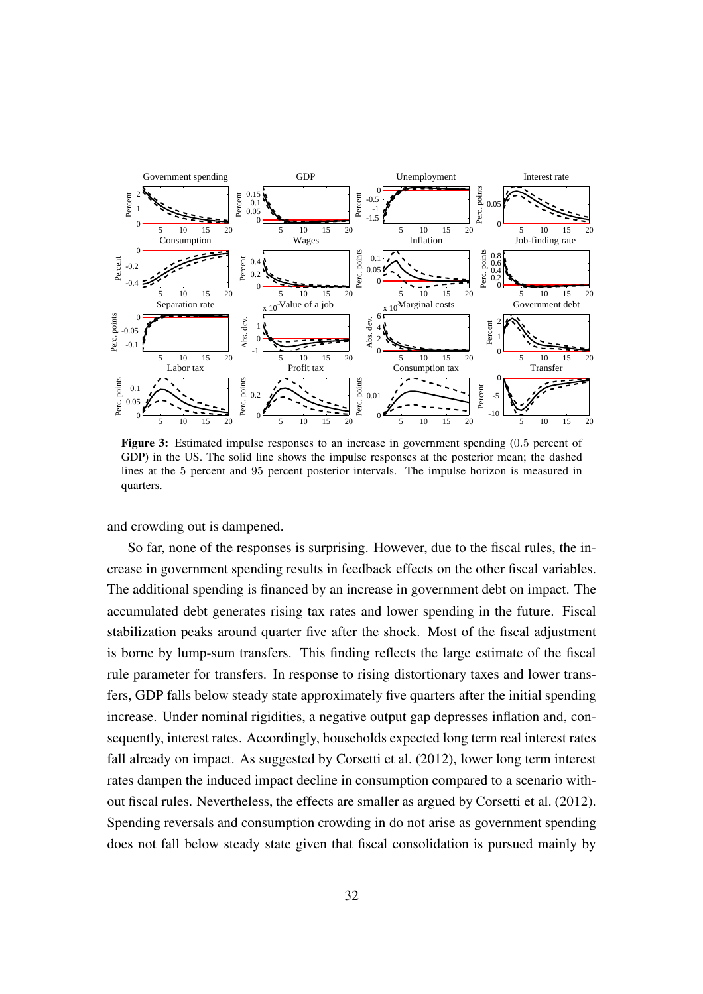<span id="page-31-0"></span>

Figure 3: Estimated impulse responses to an increase in government spending (0.5 percent of GDP) in the US. The solid line shows the impulse responses at the posterior mean; the dashed lines at the 5 percent and 95 percent posterior intervals. The impulse horizon is measured in quarters.

and crowding out is dampened.

So far, none of the responses is surprising. However, due to the fiscal rules, the increase in government spending results in feedback effects on the other fiscal variables. The additional spending is financed by an increase in government debt on impact. The accumulated debt generates rising tax rates and lower spending in the future. Fiscal stabilization peaks around quarter five after the shock. Most of the fiscal adjustment is borne by lump-sum transfers. This finding reflects the large estimate of the fiscal rule parameter for transfers. In response to rising distortionary taxes and lower transfers, GDP falls below steady state approximately five quarters after the initial spending increase. Under nominal rigidities, a negative output gap depresses inflation and, consequently, interest rates. Accordingly, households expected long term real interest rates fall already on impact. As suggested by [Corsetti et al.](#page-45-0) [\(2012\)](#page-45-0), lower long term interest rates dampen the induced impact decline in consumption compared to a scenario without fiscal rules. Nevertheless, the effects are smaller as argued by [Corsetti et al.](#page-45-0) [\(2012\)](#page-45-0). Spending reversals and consumption crowding in do not arise as government spending does not fall below steady state given that fiscal consolidation is pursued mainly by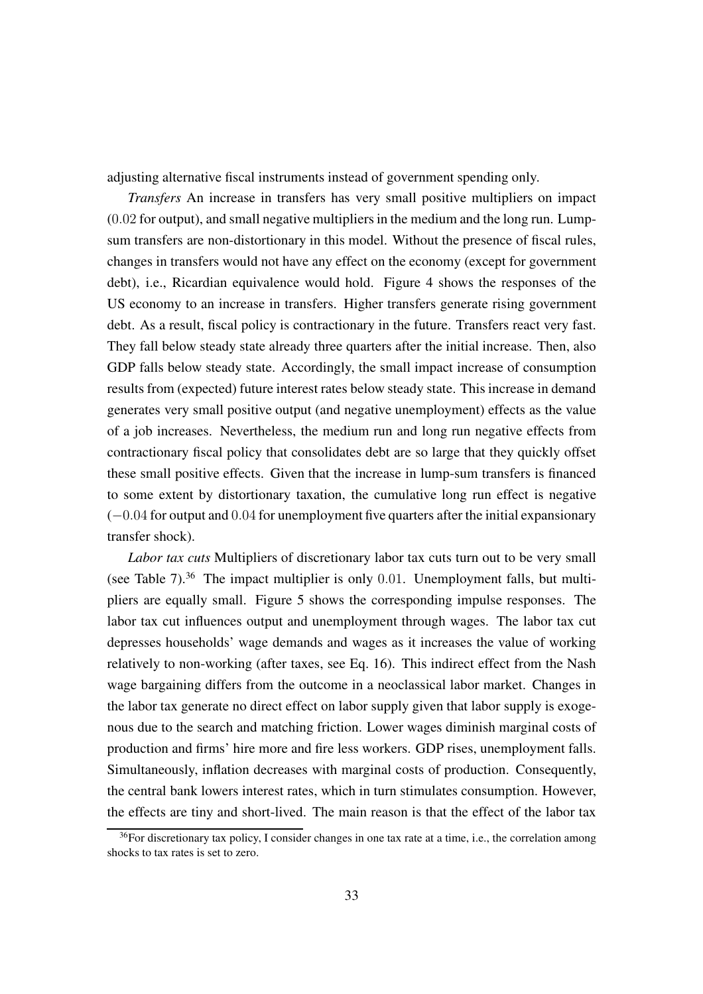adjusting alternative fiscal instruments instead of government spending only.

*Transfers* An increase in transfers has very small positive multipliers on impact (0.02 for output), and small negative multipliers in the medium and the long run. Lumpsum transfers are non-distortionary in this model. Without the presence of fiscal rules, changes in transfers would not have any effect on the economy (except for government debt), i.e., Ricardian equivalence would hold. Figure [4](#page-33-0) shows the responses of the US economy to an increase in transfers. Higher transfers generate rising government debt. As a result, fiscal policy is contractionary in the future. Transfers react very fast. They fall below steady state already three quarters after the initial increase. Then, also GDP falls below steady state. Accordingly, the small impact increase of consumption results from (expected) future interest rates below steady state. This increase in demand generates very small positive output (and negative unemployment) effects as the value of a job increases. Nevertheless, the medium run and long run negative effects from contractionary fiscal policy that consolidates debt are so large that they quickly offset these small positive effects. Given that the increase in lump-sum transfers is financed to some extent by distortionary taxation, the cumulative long run effect is negative (−0.04 for output and 0.04 for unemployment five quarters after the initial expansionary transfer shock).

*Labor tax cuts* Multipliers of discretionary labor tax cuts turn out to be very small (see Table [7\)](#page-30-0).<sup>[36](#page-32-0)</sup> The impact multiplier is only 0.01. Unemployment falls, but multipliers are equally small. Figure [5](#page-34-0) shows the corresponding impulse responses. The labor tax cut influences output and unemployment through wages. The labor tax cut depresses households' wage demands and wages as it increases the value of working relatively to non-working (after taxes, see Eq. [16\)](#page-9-1). This indirect effect from the Nash wage bargaining differs from the outcome in a neoclassical labor market. Changes in the labor tax generate no direct effect on labor supply given that labor supply is exogenous due to the search and matching friction. Lower wages diminish marginal costs of production and firms' hire more and fire less workers. GDP rises, unemployment falls. Simultaneously, inflation decreases with marginal costs of production. Consequently, the central bank lowers interest rates, which in turn stimulates consumption. However, the effects are tiny and short-lived. The main reason is that the effect of the labor tax

<span id="page-32-0"></span><sup>&</sup>lt;sup>36</sup>For discretionary tax policy, I consider changes in one tax rate at a time, i.e., the correlation among shocks to tax rates is set to zero.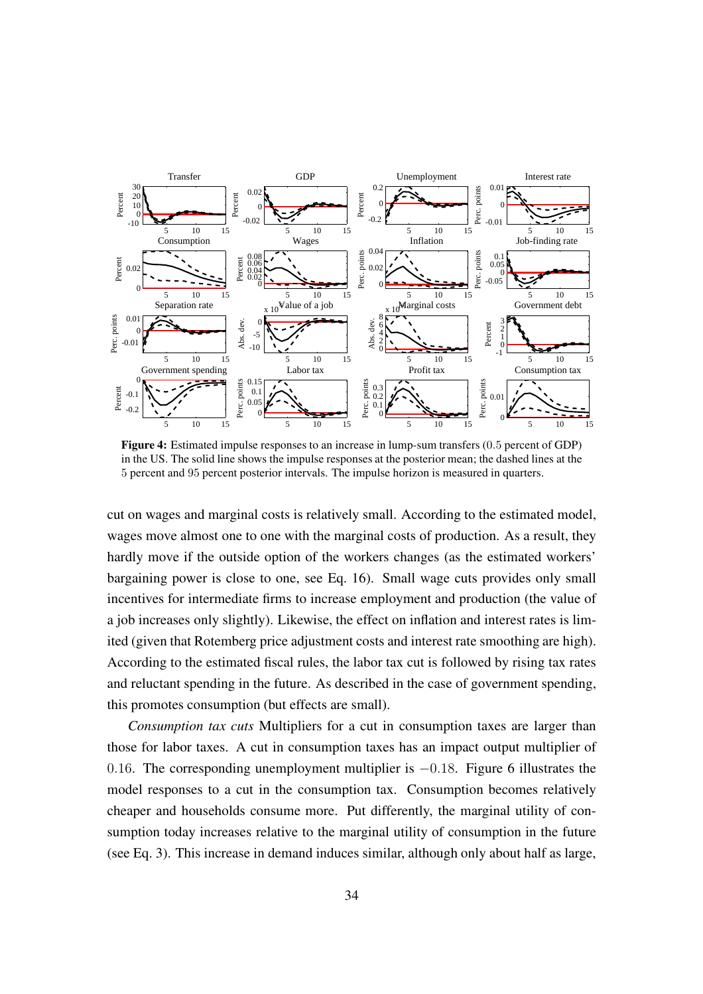<span id="page-33-0"></span>

Figure 4: Estimated impulse responses to an increase in lump-sum transfers (0.5 percent of GDP) in the US. The solid line shows the impulse responses at the posterior mean; the dashed lines at the 5 percent and 95 percent posterior intervals. The impulse horizon is measured in quarters.

cut on wages and marginal costs is relatively small. According to the estimated model, wages move almost one to one with the marginal costs of production. As a result, they hardly move if the outside option of the workers changes (as the estimated workers' bargaining power is close to one, see Eq. [16\)](#page-9-1). Small wage cuts provides only small incentives for intermediate firms to increase employment and production (the value of a job increases only slightly). Likewise, the effect on inflation and interest rates is limited (given that Rotemberg price adjustment costs and interest rate smoothing are high). According to the estimated fiscal rules, the labor tax cut is followed by rising tax rates and reluctant spending in the future. As described in the case of government spending, this promotes consumption (but effects are small).

*Consumption tax cuts* Multipliers for a cut in consumption taxes are larger than those for labor taxes. A cut in consumption taxes has an impact output multiplier of 0.16. The corresponding unemployment multiplier is  $-0.18$ . Figure [6](#page-35-0) illustrates the model responses to a cut in the consumption tax. Consumption becomes relatively cheaper and households consume more. Put differently, the marginal utility of consumption today increases relative to the marginal utility of consumption in the future (see Eq. [3\)](#page-5-3). This increase in demand induces similar, although only about half as large,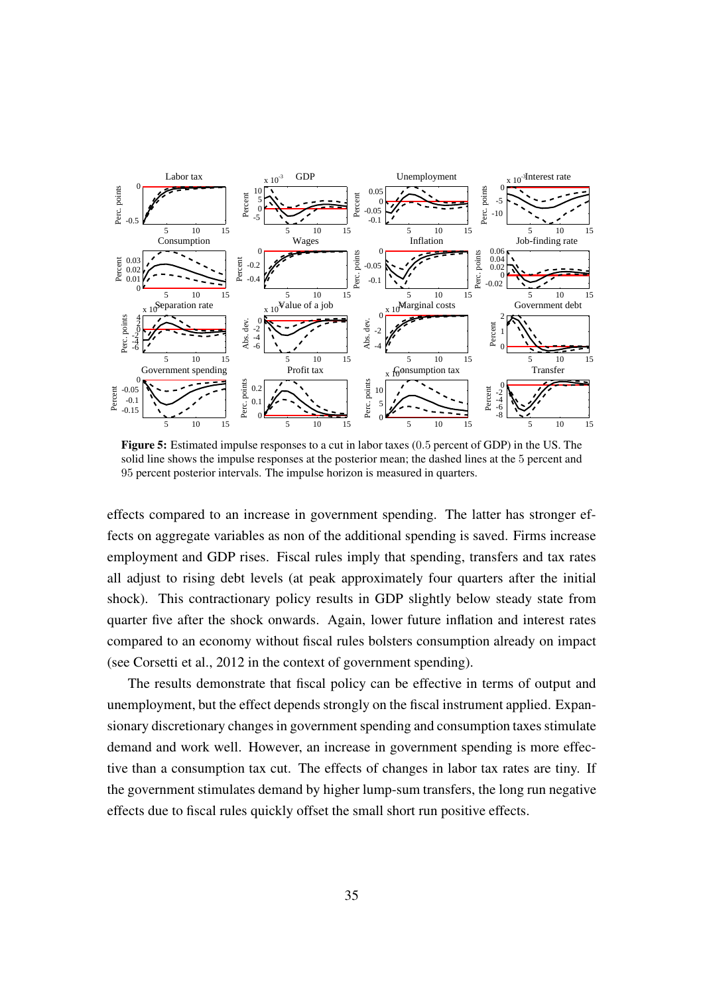<span id="page-34-0"></span>

Figure 5: Estimated impulse responses to a cut in labor taxes (0.5 percent of GDP) in the US. The solid line shows the impulse responses at the posterior mean; the dashed lines at the 5 percent and 95 percent posterior intervals. The impulse horizon is measured in quarters.

effects compared to an increase in government spending. The latter has stronger effects on aggregate variables as non of the additional spending is saved. Firms increase employment and GDP rises. Fiscal rules imply that spending, transfers and tax rates all adjust to rising debt levels (at peak approximately four quarters after the initial shock). This contractionary policy results in GDP slightly below steady state from quarter five after the shock onwards. Again, lower future inflation and interest rates compared to an economy without fiscal rules bolsters consumption already on impact (see [Corsetti et al.](#page-45-0), [2012](#page-45-0) in the context of government spending).

The results demonstrate that fiscal policy can be effective in terms of output and unemployment, but the effect depends strongly on the fiscal instrument applied. Expansionary discretionary changes in government spending and consumption taxes stimulate demand and work well. However, an increase in government spending is more effective than a consumption tax cut. The effects of changes in labor tax rates are tiny. If the government stimulates demand by higher lump-sum transfers, the long run negative effects due to fiscal rules quickly offset the small short run positive effects.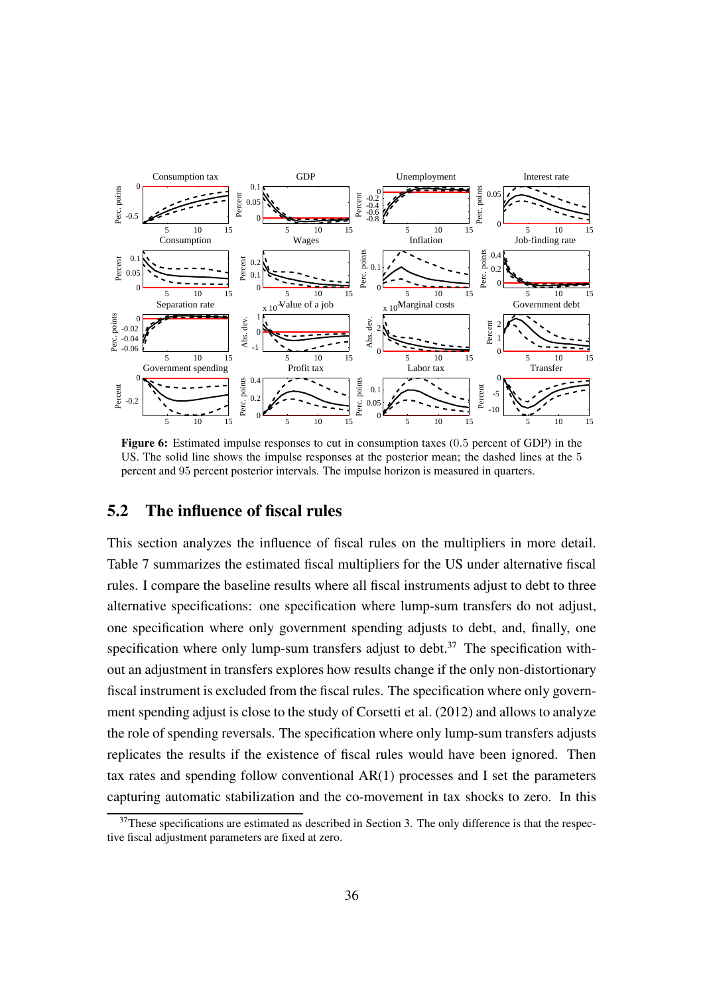<span id="page-35-0"></span>

Figure 6: Estimated impulse responses to cut in consumption taxes (0.5 percent of GDP) in the US. The solid line shows the impulse responses at the posterior mean; the dashed lines at the 5 percent and 95 percent posterior intervals. The impulse horizon is measured in quarters.

#### 5.2 The influence of fiscal rules

This section analyzes the influence of fiscal rules on the multipliers in more detail. Table [7](#page-30-0) summarizes the estimated fiscal multipliers for the US under alternative fiscal rules. I compare the baseline results where all fiscal instruments adjust to debt to three alternative specifications: one specification where lump-sum transfers do not adjust, one specification where only government spending adjusts to debt, and, finally, one specification where only lump-sum transfers adjust to debt.<sup>[37](#page-35-1)</sup> The specification without an adjustment in transfers explores how results change if the only non-distortionary fiscal instrument is excluded from the fiscal rules. The specification where only government spending adjust is close to the study of [Corsetti et al. \(2012](#page-45-0)) and allows to analyze the role of spending reversals. The specification where only lump-sum transfers adjusts replicates the results if the existence of fiscal rules would have been ignored. Then tax rates and spending follow conventional  $AR(1)$  processes and I set the parameters capturing automatic stabilization and the co-movement in tax shocks to zero. In this

<span id="page-35-1"></span> $37$ These specifications are estimated as described in Section [3.](#page-13-0) The only difference is that the respective fiscal adjustment parameters are fixed at zero.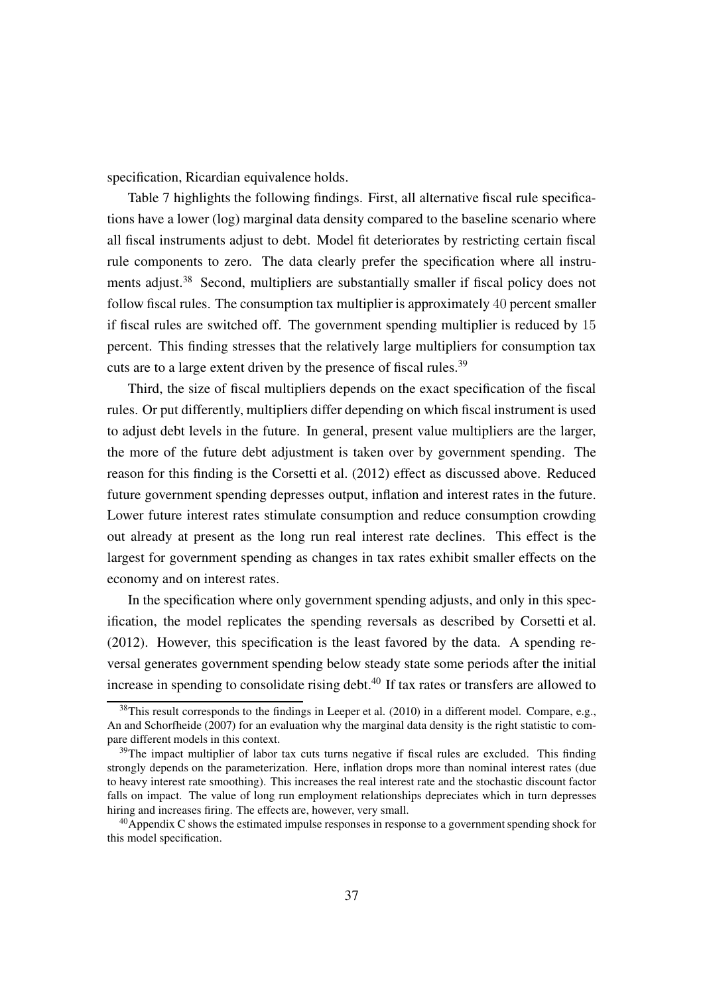specification, Ricardian equivalence holds.

Table [7](#page-30-0) highlights the following findings. First, all alternative fiscal rule specifications have a lower (log) marginal data density compared to the baseline scenario where all fiscal instruments adjust to debt. Model fit deteriorates by restricting certain fiscal rule components to zero. The data clearly prefer the specification where all instru-ments adjust.<sup>[38](#page-36-0)</sup> Second, multipliers are substantially smaller if fiscal policy does not follow fiscal rules. The consumption tax multiplier is approximately 40 percent smaller if fiscal rules are switched off. The government spending multiplier is reduced by 15 percent. This finding stresses that the relatively large multipliers for consumption tax cuts are to a large extent driven by the presence of fiscal rules.<sup>[39](#page-36-1)</sup>

Third, the size of fiscal multipliers depends on the exact specification of the fiscal rules. Or put differently, multipliers differ depending on which fiscal instrument is used to adjust debt levels in the future. In general, present value multipliers are the larger, the more of the future debt adjustment is taken over by government spending. The reason for this finding is the [Corsetti et al.](#page-45-0) [\(2012\)](#page-45-0) effect as discussed above. Reduced future government spending depresses output, inflation and interest rates in the future. Lower future interest rates stimulate consumption and reduce consumption crowding out already at present as the long run real interest rate declines. This effect is the largest for government spending as changes in tax rates exhibit smaller effects on the economy and on interest rates.

In the specification where only government spending adjusts, and only in this specification, the model replicates the spending reversals as described by [Corsetti et al.](#page-45-0) [\(2012\)](#page-45-0). However, this specification is the least favored by the data. A spending reversal generates government spending below steady state some periods after the initial increase in spending to consolidate rising debt.<sup>[40](#page-36-2)</sup> If tax rates or transfers are allowed to

<span id="page-36-0"></span><sup>&</sup>lt;sup>38</sup>This result corresponds to the findings in [Leeper et al.](#page-48-1) [\(2010\)](#page-48-1) in a different model. Compare, e.g., [An and Schorfheide \(2007\)](#page-44-1) for an evaluation why the marginal data density is the right statistic to compare different models in this context.

<span id="page-36-1"></span><sup>&</sup>lt;sup>39</sup>The impact multiplier of labor tax cuts turns negative if fiscal rules are excluded. This finding strongly depends on the parameterization. Here, inflation drops more than nominal interest rates (due to heavy interest rate smoothing). This increases the real interest rate and the stochastic discount factor falls on impact. The value of long run employment relationships depreciates which in turn depresses hiring and increases firing. The effects are, however, very small.

<span id="page-36-2"></span><sup>&</sup>lt;sup>40</sup>Appendix [C](#page-60-0) shows the estimated impulse responses in response to a government spending shock for this model specification.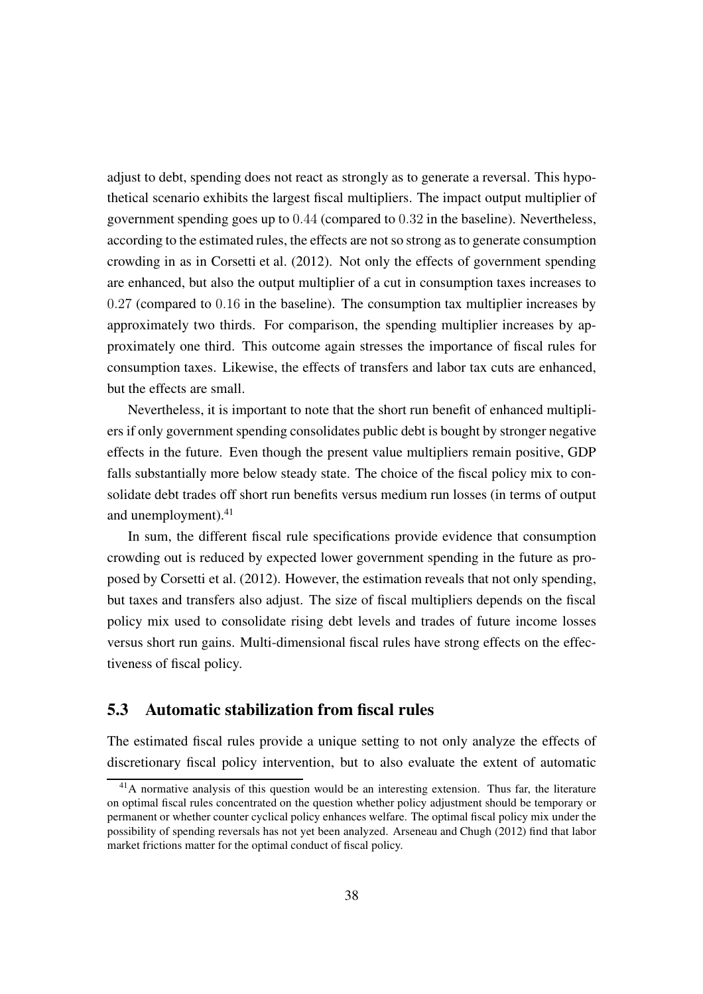adjust to debt, spending does not react as strongly as to generate a reversal. This hypothetical scenario exhibits the largest fiscal multipliers. The impact output multiplier of government spending goes up to 0.44 (compared to 0.32 in the baseline). Nevertheless, according to the estimated rules, the effects are not so strong as to generate consumption crowding in as in [Corsetti et al.](#page-45-0) [\(2012\)](#page-45-0). Not only the effects of government spending are enhanced, but also the output multiplier of a cut in consumption taxes increases to 0.27 (compared to 0.16 in the baseline). The consumption tax multiplier increases by approximately two thirds. For comparison, the spending multiplier increases by approximately one third. This outcome again stresses the importance of fiscal rules for consumption taxes. Likewise, the effects of transfers and labor tax cuts are enhanced, but the effects are small.

Nevertheless, it is important to note that the short run benefit of enhanced multipliers if only government spending consolidates public debt is bought by stronger negative effects in the future. Even though the present value multipliers remain positive, GDP falls substantially more below steady state. The choice of the fiscal policy mix to consolidate debt trades off short run benefits versus medium run losses (in terms of output and unemployment).<sup>[41](#page-37-0)</sup>

In sum, the different fiscal rule specifications provide evidence that consumption crowding out is reduced by expected lower government spending in the future as proposed by [Corsetti et al.](#page-45-0) [\(2012\)](#page-45-0). However, the estimation reveals that not only spending, but taxes and transfers also adjust. The size of fiscal multipliers depends on the fiscal policy mix used to consolidate rising debt levels and trades of future income losses versus short run gains. Multi-dimensional fiscal rules have strong effects on the effectiveness of fiscal policy.

#### 5.3 Automatic stabilization from fiscal rules

The estimated fiscal rules provide a unique setting to not only analyze the effects of discretionary fiscal policy intervention, but to also evaluate the extent of automatic

<span id="page-37-0"></span><sup>&</sup>lt;sup>41</sup>A normative analysis of this question would be an interesting extension. Thus far, the literature on optimal fiscal rules concentrated on the question whether policy adjustment should be temporary or permanent or whether counter cyclical policy enhances welfare. The optimal fiscal policy mix under the possibility of spending reversals has not yet been analyzed. [Arseneau and Chugh \(2012](#page-44-0)) find that labor market frictions matter for the optimal conduct of fiscal policy.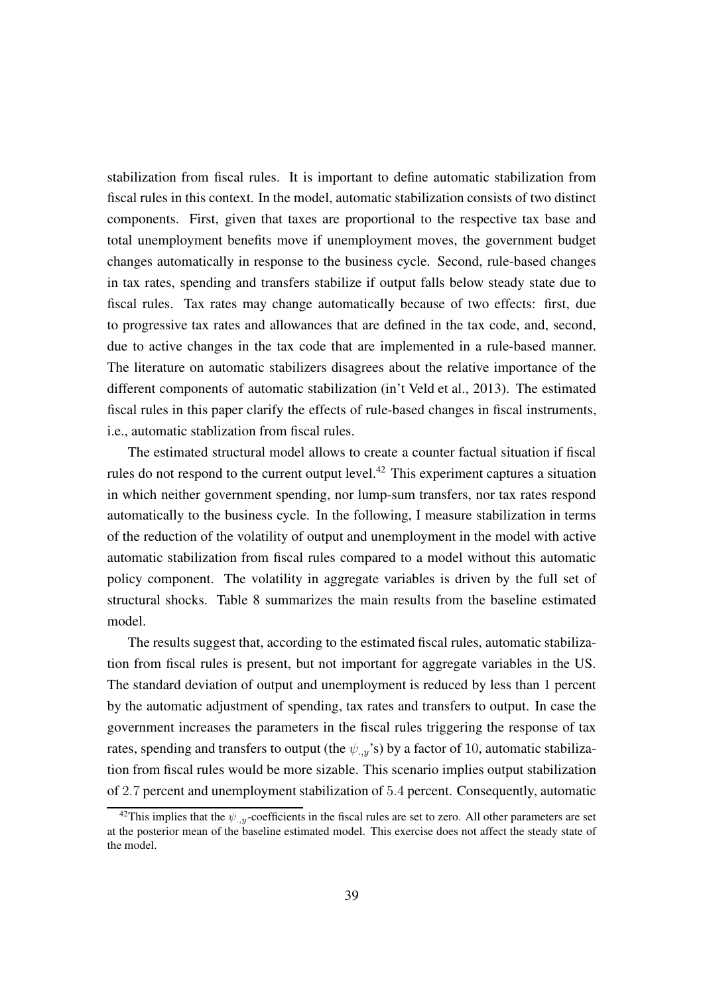stabilization from fiscal rules. It is important to define automatic stabilization from fiscal rules in this context. In the model, automatic stabilization consists of two distinct components. First, given that taxes are proportional to the respective tax base and total unemployment benefits move if unemployment moves, the government budget changes automatically in response to the business cycle. Second, rule-based changes in tax rates, spending and transfers stabilize if output falls below steady state due to fiscal rules. Tax rates may change automatically because of two effects: first, due to progressive tax rates and allowances that are defined in the tax code, and, second, due to active changes in the tax code that are implemented in a rule-based manner. The literature on automatic stabilizers disagrees about the relative importance of the different components of automatic stabilization [\(in't Veld et al., 2013](#page-47-0)). The estimated fiscal rules in this paper clarify the effects of rule-based changes in fiscal instruments, i.e., automatic stablization from fiscal rules.

The estimated structural model allows to create a counter factual situation if fiscal rules do not respond to the current output level.<sup>[42](#page-38-0)</sup> This experiment captures a situation in which neither government spending, nor lump-sum transfers, nor tax rates respond automatically to the business cycle. In the following, I measure stabilization in terms of the reduction of the volatility of output and unemployment in the model with active automatic stabilization from fiscal rules compared to a model without this automatic policy component. The volatility in aggregate variables is driven by the full set of structural shocks. Table [8](#page-39-0) summarizes the main results from the baseline estimated model.

The results suggest that, according to the estimated fiscal rules, automatic stabilization from fiscal rules is present, but not important for aggregate variables in the US. The standard deviation of output and unemployment is reduced by less than 1 percent by the automatic adjustment of spending, tax rates and transfers to output. In case the government increases the parameters in the fiscal rules triggering the response of tax rates, spending and transfers to output (the  $\psi_{,y}$ 's) by a factor of 10, automatic stabilization from fiscal rules would be more sizable. This scenario implies output stabilization of 2.7 percent and unemployment stabilization of 5.4 percent. Consequently, automatic

<span id="page-38-0"></span><sup>&</sup>lt;sup>42</sup>This implies that the  $\psi_{\cdot}$ <sub>y</sub>-coefficients in the fiscal rules are set to zero. All other parameters are set at the posterior mean of the baseline estimated model. This exercise does not affect the steady state of the model.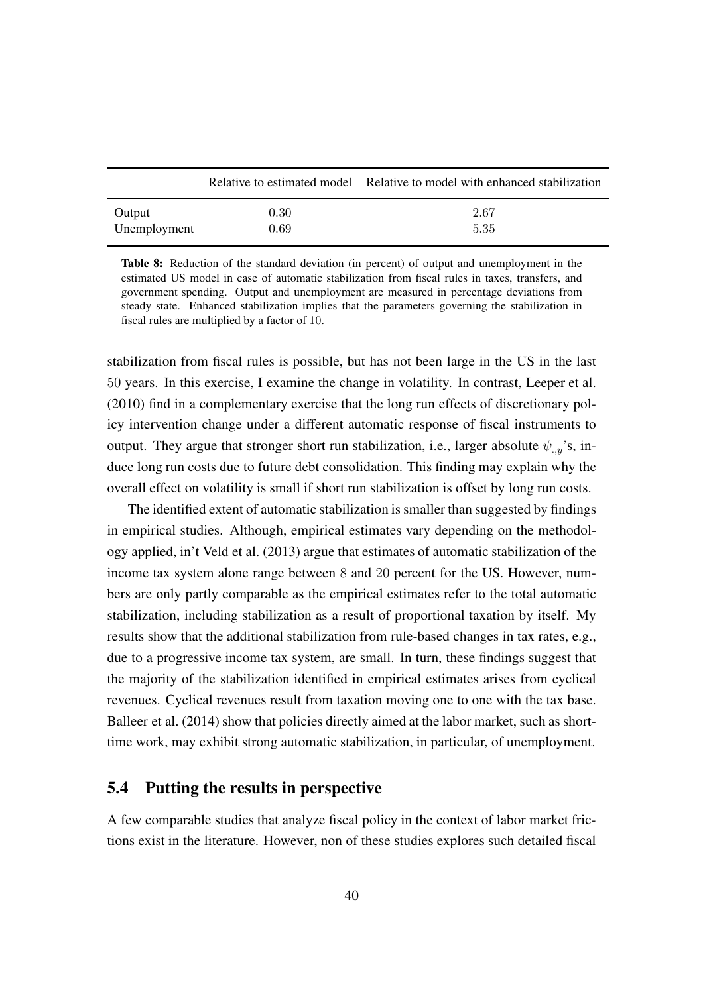<span id="page-39-0"></span>

|              |      | Relative to estimated model Relative to model with enhanced stabilization |
|--------------|------|---------------------------------------------------------------------------|
| Output       | 0.30 | 2.67                                                                      |
| Unemployment | 0.69 | 5.35                                                                      |

Table 8: Reduction of the standard deviation (in percent) of output and unemployment in the estimated US model in case of automatic stabilization from fiscal rules in taxes, transfers, and government spending. Output and unemployment are measured in percentage deviations from steady state. Enhanced stabilization implies that the parameters governing the stabilization in fiscal rules are multiplied by a factor of 10.

stabilization from fiscal rules is possible, but has not been large in the US in the last 50 years. In this exercise, I examine the change in volatility. In contrast, [Leeper et al.](#page-48-1) [\(2010\)](#page-48-1) find in a complementary exercise that the long run effects of discretionary policy intervention change under a different automatic response of fiscal instruments to output. They argue that stronger short run stabilization, i.e., larger absolute  $\psi_{,y}$ 's, induce long run costs due to future debt consolidation. This finding may explain why the overall effect on volatility is small if short run stabilization is offset by long run costs.

The identified extent of automatic stabilization is smaller than suggested by findings in empirical studies. Although, empirical estimates vary depending on the methodology applied, [in't Veld et al. \(2013](#page-47-0)) argue that estimates of automatic stabilization of the income tax system alone range between 8 and 20 percent for the US. However, numbers are only partly comparable as the empirical estimates refer to the total automatic stabilization, including stabilization as a result of proportional taxation by itself. My results show that the additional stabilization from rule-based changes in tax rates, e.g., due to a progressive income tax system, are small. In turn, these findings suggest that the majority of the stabilization identified in empirical estimates arises from cyclical revenues. Cyclical revenues result from taxation moving one to one with the tax base. [Balleer et al.](#page-44-7) [\(2014\)](#page-44-7) show that policies directly aimed at the labor market, such as shorttime work, may exhibit strong automatic stabilization, in particular, of unemployment.

#### 5.4 Putting the results in perspective

A few comparable studies that analyze fiscal policy in the context of labor market frictions exist in the literature. However, non of these studies explores such detailed fiscal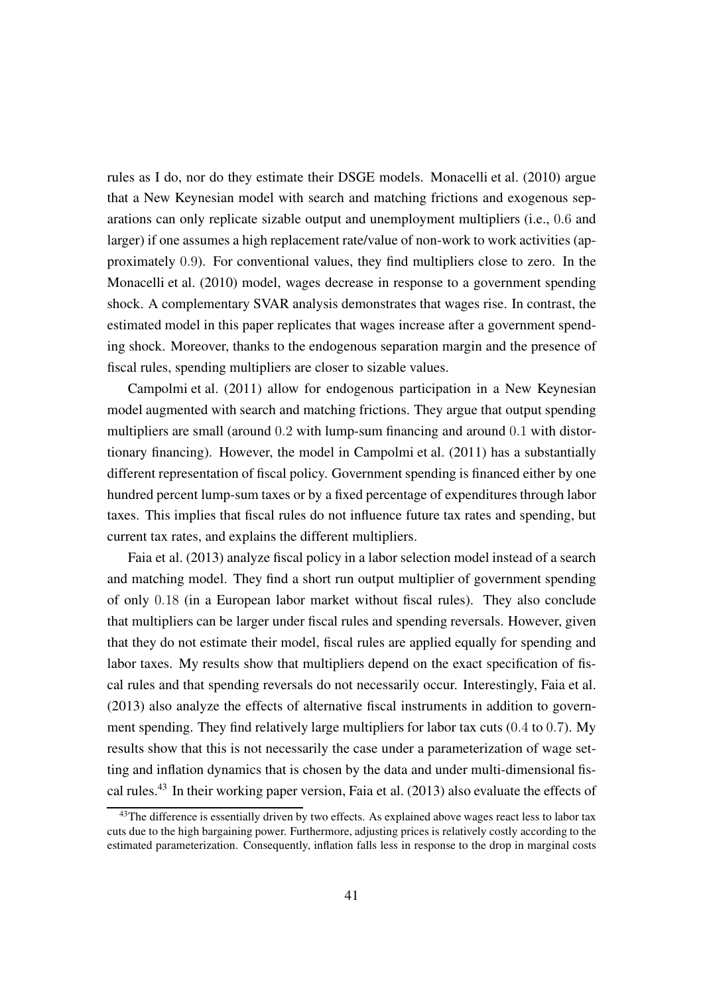rules as I do, nor do they estimate their DSGE models. [Monacelli et al.](#page-48-0) [\(2010\)](#page-48-0) argue that a New Keynesian model with search and matching frictions and exogenous separations can only replicate sizable output and unemployment multipliers (i.e., 0.6 and larger) if one assumes a high replacement rate/value of non-work to work activities (approximately 0.9). For conventional values, they find multipliers close to zero. In the [Monacelli et al. \(2010](#page-48-0)) model, wages decrease in response to a government spending shock. A complementary SVAR analysis demonstrates that wages rise. In contrast, the estimated model in this paper replicates that wages increase after a government spending shock. Moreover, thanks to the endogenous separation margin and the presence of fiscal rules, spending multipliers are closer to sizable values.

[Campolmi et al.](#page-45-1) [\(2011\)](#page-45-1) allow for endogenous participation in a New Keynesian model augmented with search and matching frictions. They argue that output spending multipliers are small (around 0.2 with lump-sum financing and around 0.1 with distortionary financing). However, the model in [Campolmi et al. \(2011\)](#page-45-1) has a substantially different representation of fiscal policy. Government spending is financed either by one hundred percent lump-sum taxes or by a fixed percentage of expenditures through labor taxes. This implies that fiscal rules do not influence future tax rates and spending, but current tax rates, and explains the different multipliers.

[Faia et al.](#page-46-0) [\(2013\)](#page-46-0) analyze fiscal policy in a labor selection model instead of a search and matching model. They find a short run output multiplier of government spending of only 0.18 (in a European labor market without fiscal rules). They also conclude that multipliers can be larger under fiscal rules and spending reversals. However, given that they do not estimate their model, fiscal rules are applied equally for spending and labor taxes. My results show that multipliers depend on the exact specification of fiscal rules and that spending reversals do not necessarily occur. Interestingly, [Faia et al.](#page-46-0) [\(2013\)](#page-46-0) also analyze the effects of alternative fiscal instruments in addition to government spending. They find relatively large multipliers for labor tax cuts (0.4 to 0.7). My results show that this is not necessarily the case under a parameterization of wage setting and inflation dynamics that is chosen by the data and under multi-dimensional fis-cal rules.<sup>[43](#page-40-0)</sup> In their working paper version, [Faia et al.](#page-46-0) [\(2013\)](#page-46-0) also evaluate the effects of

<span id="page-40-0"></span><sup>&</sup>lt;sup>43</sup>The difference is essentially driven by two effects. As explained above wages react less to labor tax cuts due to the high bargaining power. Furthermore, adjusting prices is relatively costly according to the estimated parameterization. Consequently, inflation falls less in response to the drop in marginal costs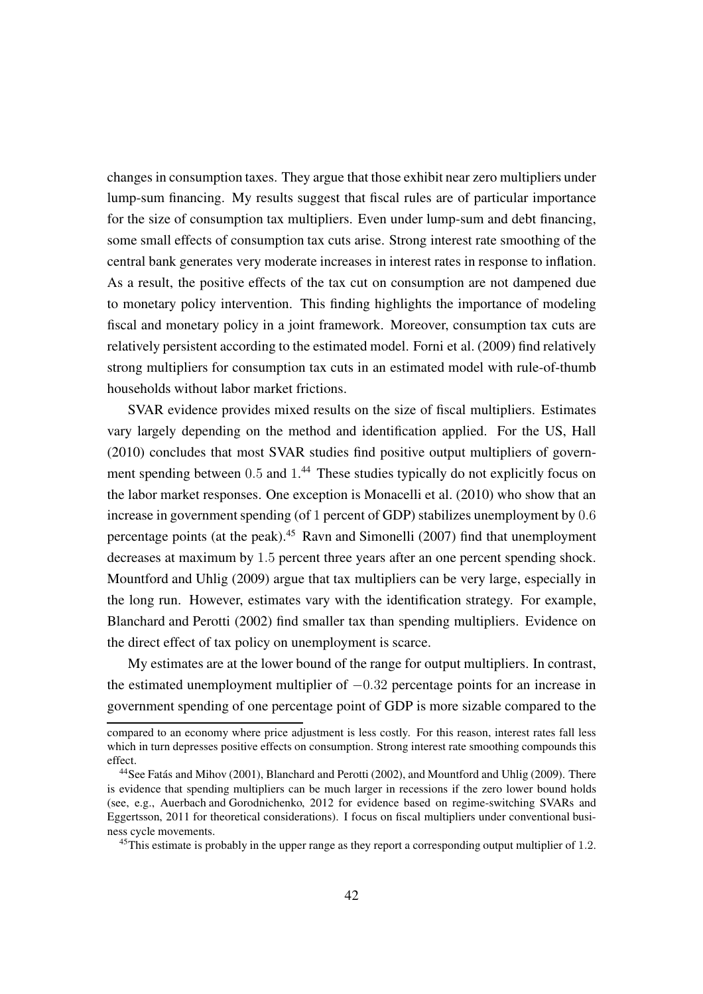changes in consumption taxes. They argue that those exhibit near zero multipliers under lump-sum financing. My results suggest that fiscal rules are of particular importance for the size of consumption tax multipliers. Even under lump-sum and debt financing, some small effects of consumption tax cuts arise. Strong interest rate smoothing of the central bank generates very moderate increases in interest rates in response to inflation. As a result, the positive effects of the tax cut on consumption are not dampened due to monetary policy intervention. This finding highlights the importance of modeling fiscal and monetary policy in a joint framework. Moreover, consumption tax cuts are relatively persistent according to the estimated model. [Forni et al. \(2009](#page-46-2)) find relatively strong multipliers for consumption tax cuts in an estimated model with rule-of-thumb households without labor market frictions.

SVAR evidence provides mixed results on the size of fiscal multipliers. Estimates vary largely depending on the method and identification applied. For the US, [Hall](#page-47-3) [\(2010\)](#page-47-3) concludes that most SVAR studies find positive output multipliers of govern-ment spending between 0.5 and 1.<sup>[44](#page-41-0)</sup> These studies typically do not explicitly focus on the labor market responses. One exception is [Monacelli et al. \(2010\)](#page-48-0) who show that an increase in government spending (of 1 percent of GDP) stabilizes unemployment by 0.6 percentage points (at the peak).<sup>[45](#page-41-1)</sup> [Ravn and Simonelli \(2007](#page-48-10)) find that unemployment decreases at maximum by 1.5 percent three years after an one percent spending shock. [Mountford and Uhlig \(2009](#page-48-5)) argue that tax multipliers can be very large, especially in the long run. However, estimates vary with the identification strategy. For example, [Blanchard and Perotti](#page-44-8) [\(2002\)](#page-44-8) find smaller tax than spending multipliers. Evidence on the direct effect of tax policy on unemployment is scarce.

My estimates are at the lower bound of the range for output multipliers. In contrast, the estimated unemployment multiplier of  $-0.32$  percentage points for an increase in government spending of one percentage point of GDP is more sizable compared to the

compared to an economy where price adjustment is less costly. For this reason, interest rates fall less which in turn depresses positive effects on consumption. Strong interest rate smoothing compounds this effect.

<span id="page-41-0"></span><sup>44</sup>See [Fatás and Mihov \(2001](#page-46-9)), [Blanchard and Perotti](#page-44-8) [\(2002\)](#page-44-8), and [Mountford and Uhlig](#page-48-5) [\(2009\)](#page-48-5). There is evidence that spending multipliers can be much larger in recessions if the zero lower bound holds (see, e.g., [Auerbach and Gorodnichenko, 2012](#page-44-9) for evidence based on regime-switching SVARs and [Eggertsson](#page-45-8), [2011](#page-45-8) for theoretical considerations). I focus on fiscal multipliers under conventional business cycle movements.

<span id="page-41-1"></span> $45$ This estimate is probably in the upper range as they report a corresponding output multiplier of 1.2.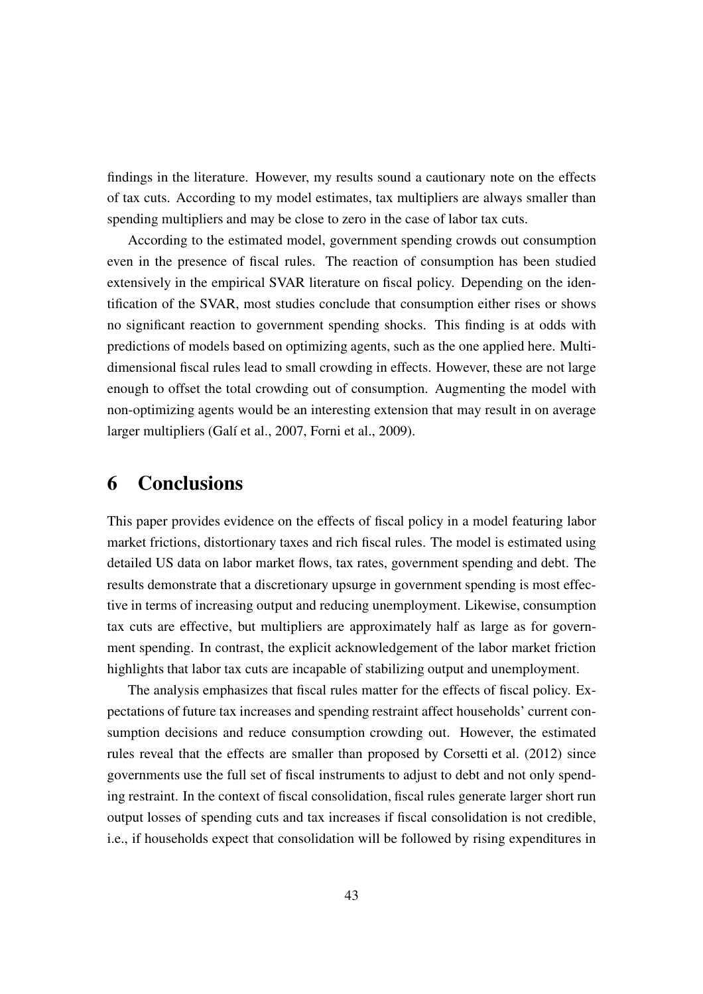findings in the literature. However, my results sound a cautionary note on the effects of tax cuts. According to my model estimates, tax multipliers are always smaller than spending multipliers and may be close to zero in the case of labor tax cuts.

According to the estimated model, government spending crowds out consumption even in the presence of fiscal rules. The reaction of consumption has been studied extensively in the empirical SVAR literature on fiscal policy. Depending on the identification of the SVAR, most studies conclude that consumption either rises or shows no significant reaction to government spending shocks. This finding is at odds with predictions of models based on optimizing agents, such as the one applied here. Multidimensional fiscal rules lead to small crowding in effects. However, these are not large enough to offset the total crowding out of consumption. Augmenting the model with non-optimizing agents would be an interesting extension that may result in on average larger multipliers [\(Galí et al., 2007,](#page-46-10) [Forni et al., 2009\)](#page-46-2).

### <span id="page-42-0"></span>6 Conclusions

This paper provides evidence on the effects of fiscal policy in a model featuring labor market frictions, distortionary taxes and rich fiscal rules. The model is estimated using detailed US data on labor market flows, tax rates, government spending and debt. The results demonstrate that a discretionary upsurge in government spending is most effective in terms of increasing output and reducing unemployment. Likewise, consumption tax cuts are effective, but multipliers are approximately half as large as for government spending. In contrast, the explicit acknowledgement of the labor market friction highlights that labor tax cuts are incapable of stabilizing output and unemployment.

The analysis emphasizes that fiscal rules matter for the effects of fiscal policy. Expectations of future tax increases and spending restraint affect households' current consumption decisions and reduce consumption crowding out. However, the estimated rules reveal that the effects are smaller than proposed by [Corsetti et al.](#page-45-0) [\(2012\)](#page-45-0) since governments use the full set of fiscal instruments to adjust to debt and not only spending restraint. In the context of fiscal consolidation, fiscal rules generate larger short run output losses of spending cuts and tax increases if fiscal consolidation is not credible, i.e., if households expect that consolidation will be followed by rising expenditures in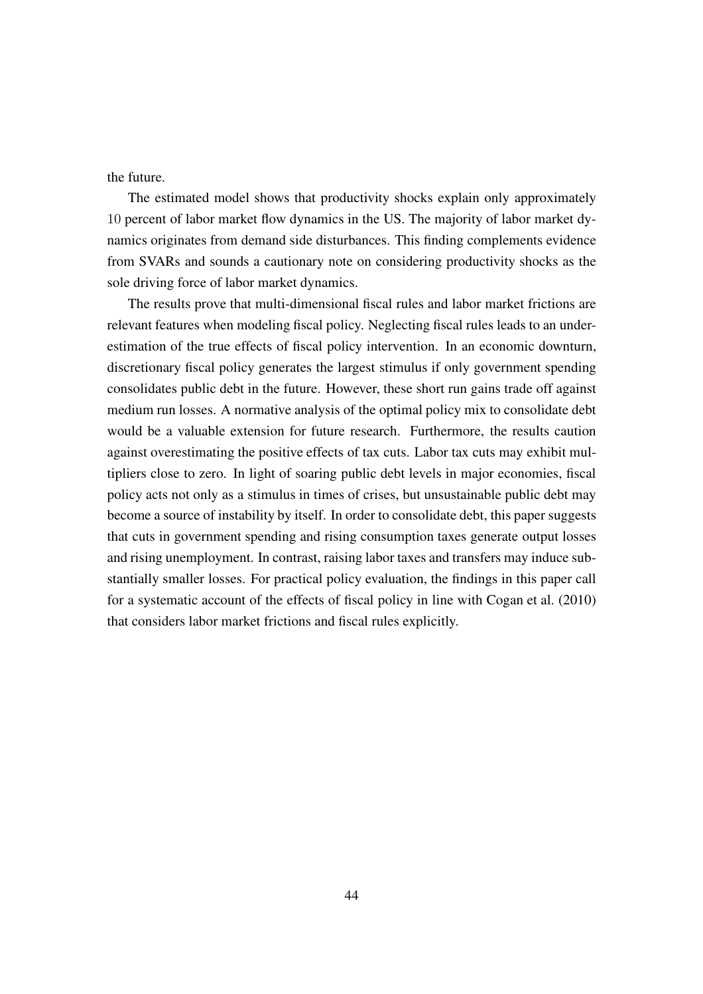the future.

The estimated model shows that productivity shocks explain only approximately 10 percent of labor market flow dynamics in the US. The majority of labor market dynamics originates from demand side disturbances. This finding complements evidence from SVARs and sounds a cautionary note on considering productivity shocks as the sole driving force of labor market dynamics.

The results prove that multi-dimensional fiscal rules and labor market frictions are relevant features when modeling fiscal policy. Neglecting fiscal rules leads to an underestimation of the true effects of fiscal policy intervention. In an economic downturn, discretionary fiscal policy generates the largest stimulus if only government spending consolidates public debt in the future. However, these short run gains trade off against medium run losses. A normative analysis of the optimal policy mix to consolidate debt would be a valuable extension for future research. Furthermore, the results caution against overestimating the positive effects of tax cuts. Labor tax cuts may exhibit multipliers close to zero. In light of soaring public debt levels in major economies, fiscal policy acts not only as a stimulus in times of crises, but unsustainable public debt may become a source of instability by itself. In order to consolidate debt, this paper suggests that cuts in government spending and rising consumption taxes generate output losses and rising unemployment. In contrast, raising labor taxes and transfers may induce substantially smaller losses. For practical policy evaluation, the findings in this paper call for a systematic account of the effects of fiscal policy in line with [Cogan et al.](#page-45-9) [\(2010\)](#page-45-9) that considers labor market frictions and fiscal rules explicitly.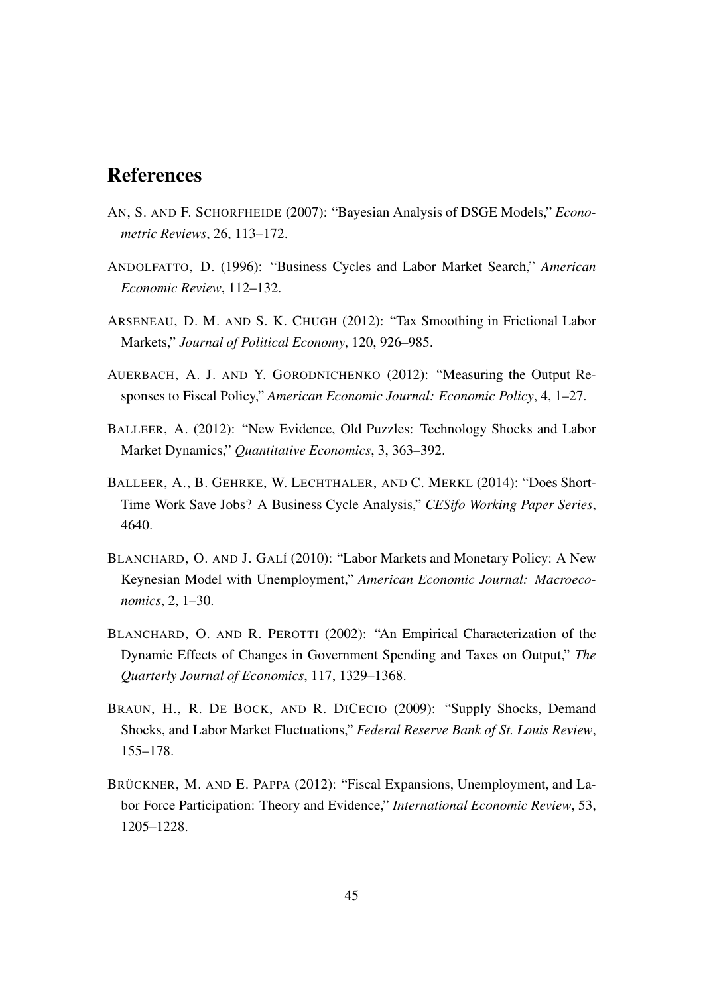### References

- <span id="page-44-1"></span>AN, S. AND F. SCHORFHEIDE (2007): "Bayesian Analysis of DSGE Models," *Econometric Reviews*, 26, 113–172.
- <span id="page-44-3"></span>ANDOLFATTO, D. (1996): "Business Cycles and Labor Market Search," *American Economic Review*, 112–132.
- <span id="page-44-0"></span>ARSENEAU, D. M. AND S. K. CHUGH (2012): "Tax Smoothing in Frictional Labor Markets," *Journal of Political Economy*, 120, 926–985.
- <span id="page-44-9"></span>AUERBACH, A. J. AND Y. GORODNICHENKO (2012): "Measuring the Output Responses to Fiscal Policy," *American Economic Journal: Economic Policy*, 4, 1–27.
- <span id="page-44-5"></span>BALLEER, A. (2012): "New Evidence, Old Puzzles: Technology Shocks and Labor Market Dynamics," *Quantitative Economics*, 3, 363–392.
- <span id="page-44-7"></span>BALLEER, A., B. GEHRKE, W. LECHTHALER, AND C. MERKL (2014): "Does Short-Time Work Save Jobs? A Business Cycle Analysis," *CESifo Working Paper Series*, 4640.
- <span id="page-44-4"></span>BLANCHARD, O. AND J. GALÍ (2010): "Labor Markets and Monetary Policy: A New Keynesian Model with Unemployment," *American Economic Journal: Macroeconomics*, 2, 1–30.
- <span id="page-44-8"></span>BLANCHARD, O. AND R. PEROTTI (2002): "An Empirical Characterization of the Dynamic Effects of Changes in Government Spending and Taxes on Output," *The Quarterly Journal of Economics*, 117, 1329–1368.
- <span id="page-44-6"></span>BRAUN, H., R. DE BOCK, AND R. DICECIO (2009): "Supply Shocks, Demand Shocks, and Labor Market Fluctuations," *Federal Reserve Bank of St. Louis Review*, 155–178.
- <span id="page-44-2"></span>BRÜCKNER, M. AND E. PAPPA (2012): "Fiscal Expansions, Unemployment, and Labor Force Participation: Theory and Evidence," *International Economic Review*, 53, 1205–1228.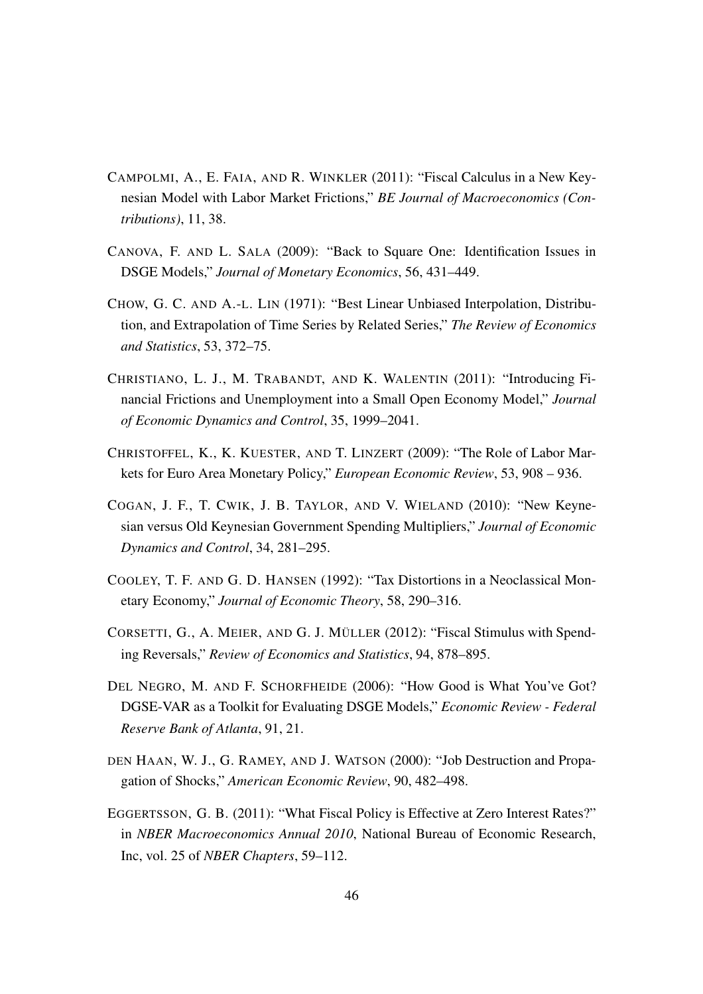- <span id="page-45-1"></span>CAMPOLMI, A., E. FAIA, AND R. WINKLER (2011): "Fiscal Calculus in a New Keynesian Model with Labor Market Frictions," *BE Journal of Macroeconomics (Contributions)*, 11, 38.
- <span id="page-45-7"></span>CANOVA, F. AND L. SALA (2009): "Back to Square One: Identification Issues in DSGE Models," *Journal of Monetary Economics*, 56, 431–449.
- <span id="page-45-10"></span>CHOW, G. C. AND A.-L. LIN (1971): "Best Linear Unbiased Interpolation, Distribution, and Extrapolation of Time Series by Related Series," *The Review of Economics and Statistics*, 53, 372–75.
- <span id="page-45-4"></span>CHRISTIANO, L. J., M. TRABANDT, AND K. WALENTIN (2011): "Introducing Financial Frictions and Unemployment into a Small Open Economy Model," *Journal of Economic Dynamics and Control*, 35, 1999–2041.
- <span id="page-45-3"></span>CHRISTOFFEL, K., K. KUESTER, AND T. LINZERT (2009): "The Role of Labor Markets for Euro Area Monetary Policy," *European Economic Review*, 53, 908 – 936.
- <span id="page-45-9"></span>COGAN, J. F., T. CWIK, J. B. TAYLOR, AND V. WIELAND (2010): "New Keynesian versus Old Keynesian Government Spending Multipliers," *Journal of Economic Dynamics and Control*, 34, 281–295.
- <span id="page-45-2"></span>COOLEY, T. F. AND G. D. HANSEN (1992): "Tax Distortions in a Neoclassical Monetary Economy," *Journal of Economic Theory*, 58, 290–316.
- <span id="page-45-0"></span>CORSETTI, G., A. MEIER, AND G. J. MÜLLER (2012): "Fiscal Stimulus with Spending Reversals," *Review of Economics and Statistics*, 94, 878–895.
- <span id="page-45-5"></span>DEL NEGRO, M. AND F. SCHORFHEIDE (2006): "How Good is What You've Got? DGSE-VAR as a Toolkit for Evaluating DSGE Models," *Economic Review - Federal Reserve Bank of Atlanta*, 91, 21.
- <span id="page-45-6"></span>DEN HAAN, W. J., G. RAMEY, AND J. WATSON (2000): "Job Destruction and Propagation of Shocks," *American Economic Review*, 90, 482–498.
- <span id="page-45-8"></span>EGGERTSSON, G. B. (2011): "What Fiscal Policy is Effective at Zero Interest Rates?" in *NBER Macroeconomics Annual 2010*, National Bureau of Economic Research, Inc, vol. 25 of *NBER Chapters*, 59–112.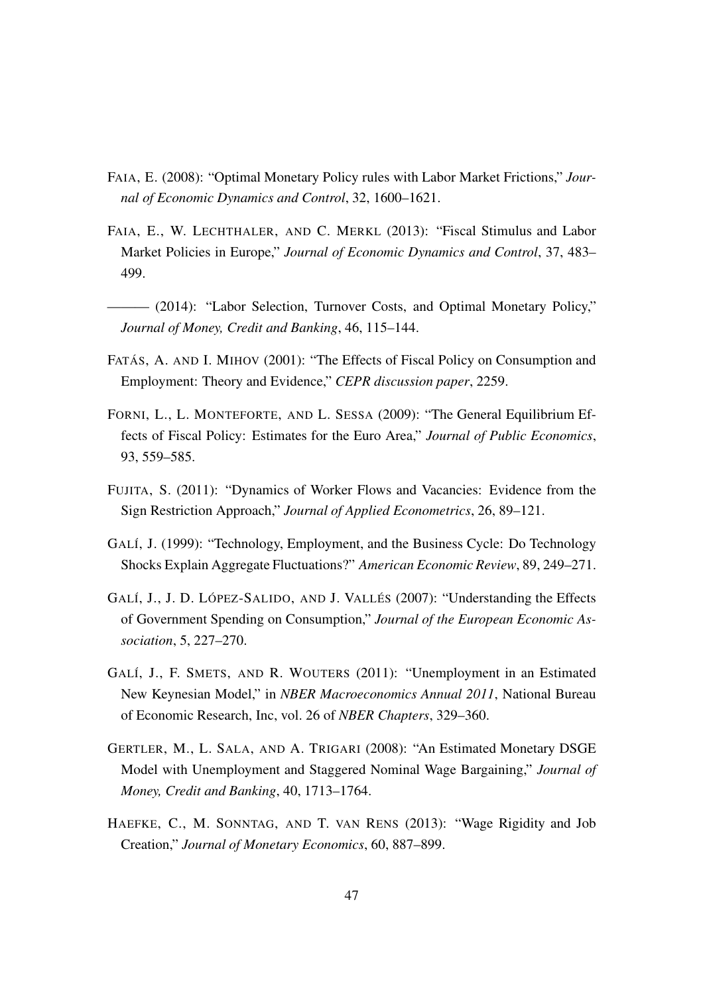- <span id="page-46-6"></span>FAIA, E. (2008): "Optimal Monetary Policy rules with Labor Market Frictions," *Journal of Economic Dynamics and Control*, 32, 1600–1621.
- <span id="page-46-0"></span>FAIA, E., W. LECHTHALER, AND C. MERKL (2013): "Fiscal Stimulus and Labor Market Policies in Europe," *Journal of Economic Dynamics and Control*, 37, 483– 499.
- <span id="page-46-1"></span>——— (2014): "Labor Selection, Turnover Costs, and Optimal Monetary Policy," *Journal of Money, Credit and Banking*, 46, 115–144.
- <span id="page-46-9"></span>FATÁS, A. AND I. MIHOV (2001): "The Effects of Fiscal Policy on Consumption and Employment: Theory and Evidence," *CEPR discussion paper*, 2259.
- <span id="page-46-2"></span>FORNI, L., L. MONTEFORTE, AND L. SESSA (2009): "The General Equilibrium Effects of Fiscal Policy: Estimates for the Euro Area," *Journal of Public Economics*, 93, 559–585.
- <span id="page-46-3"></span>FUJITA, S. (2011): "Dynamics of Worker Flows and Vacancies: Evidence from the Sign Restriction Approach," *Journal of Applied Econometrics*, 26, 89–121.
- <span id="page-46-8"></span>GALÍ, J. (1999): "Technology, Employment, and the Business Cycle: Do Technology Shocks Explain Aggregate Fluctuations?" *American Economic Review*, 89, 249–271.
- <span id="page-46-10"></span>GALÍ, J., J. D. LÓPEZ-SALIDO, AND J. VALLÉS (2007): "Understanding the Effects of Government Spending on Consumption," *Journal of the European Economic Association*, 5, 227–270.
- <span id="page-46-5"></span>GALÍ, J., F. SMETS, AND R. WOUTERS (2011): "Unemployment in an Estimated New Keynesian Model," in *NBER Macroeconomics Annual 2011*, National Bureau of Economic Research, Inc, vol. 26 of *NBER Chapters*, 329–360.
- <span id="page-46-4"></span>GERTLER, M., L. SALA, AND A. TRIGARI (2008): "An Estimated Monetary DSGE Model with Unemployment and Staggered Nominal Wage Bargaining," *Journal of Money, Credit and Banking*, 40, 1713–1764.
- <span id="page-46-7"></span>HAEFKE, C., M. SONNTAG, AND T. VAN RENS (2013): "Wage Rigidity and Job Creation," *Journal of Monetary Economics*, 60, 887–899.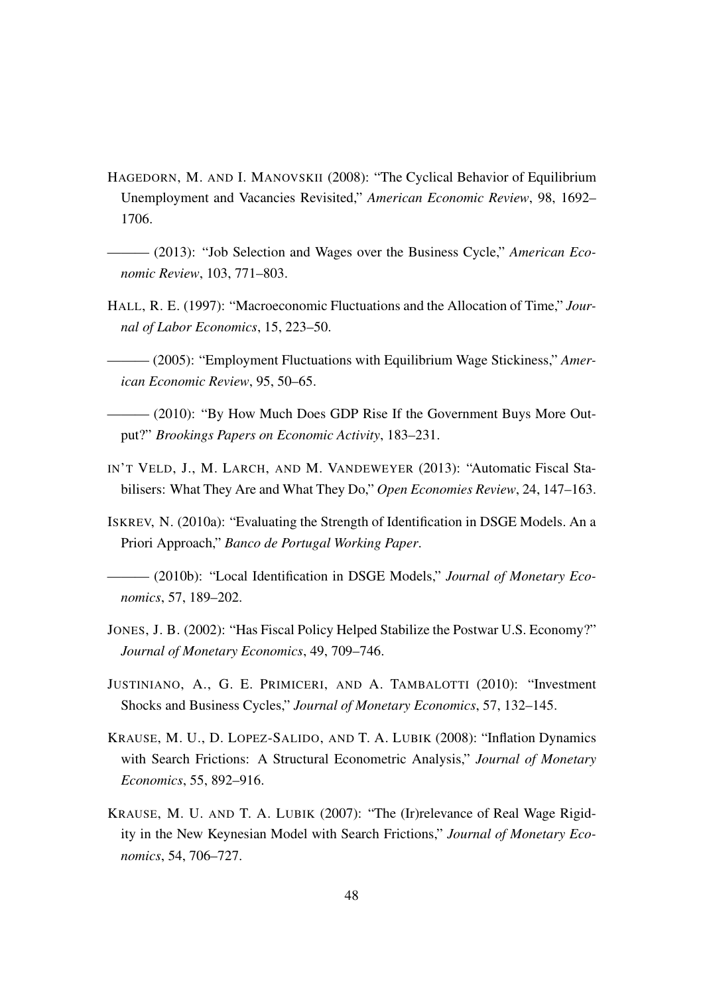- <span id="page-47-9"></span>HAGEDORN, M. AND I. MANOVSKII (2008): "The Cyclical Behavior of Equilibrium Unemployment and Vacancies Revisited," *American Economic Review*, 98, 1692– 1706.
- <span id="page-47-8"></span>——— (2013): "Job Selection and Wages over the Business Cycle," *American Economic Review*, 103, 771–803.
- <span id="page-47-4"></span>HALL, R. E. (1997): "Macroeconomic Fluctuations and the Allocation of Time," *Journal of Labor Economics*, 15, 223–50.

<span id="page-47-11"></span>——— (2005): "Employment Fluctuations with Equilibrium Wage Stickiness," *American Economic Review*, 95, 50–65.

- <span id="page-47-3"></span>- (2010): "By How Much Does GDP Rise If the Government Buys More Output?" *Brookings Papers on Economic Activity*, 183–231.
- <span id="page-47-0"></span>IN'T VELD, J., M. LARCH, AND M. VANDEWEYER (2013): "Automatic Fiscal Stabilisers: What They Are and What They Do," *Open Economies Review*, 24, 147–163.
- <span id="page-47-7"></span>ISKREV, N. (2010a): "Evaluating the Strength of Identification in DSGE Models. An a Priori Approach," *Banco de Portugal Working Paper*.

<span id="page-47-6"></span> $-$  (2010b): "Local Identification in DSGE Models," *Journal of Monetary Economics*, 57, 189–202.

- <span id="page-47-5"></span>JONES, J. B. (2002): "Has Fiscal Policy Helped Stabilize the Postwar U.S. Economy?" *Journal of Monetary Economics*, 49, 709–746.
- <span id="page-47-10"></span>JUSTINIANO, A., G. E. PRIMICERI, AND A. TAMBALOTTI (2010): "Investment Shocks and Business Cycles," *Journal of Monetary Economics*, 57, 132–145.
- <span id="page-47-2"></span>KRAUSE, M. U., D. LOPEZ-SALIDO, AND T. A. LUBIK (2008): "Inflation Dynamics with Search Frictions: A Structural Econometric Analysis," *Journal of Monetary Economics*, 55, 892–916.
- <span id="page-47-1"></span>KRAUSE, M. U. AND T. A. LUBIK (2007): "The (Ir)relevance of Real Wage Rigidity in the New Keynesian Model with Search Frictions," *Journal of Monetary Economics*, 54, 706–727.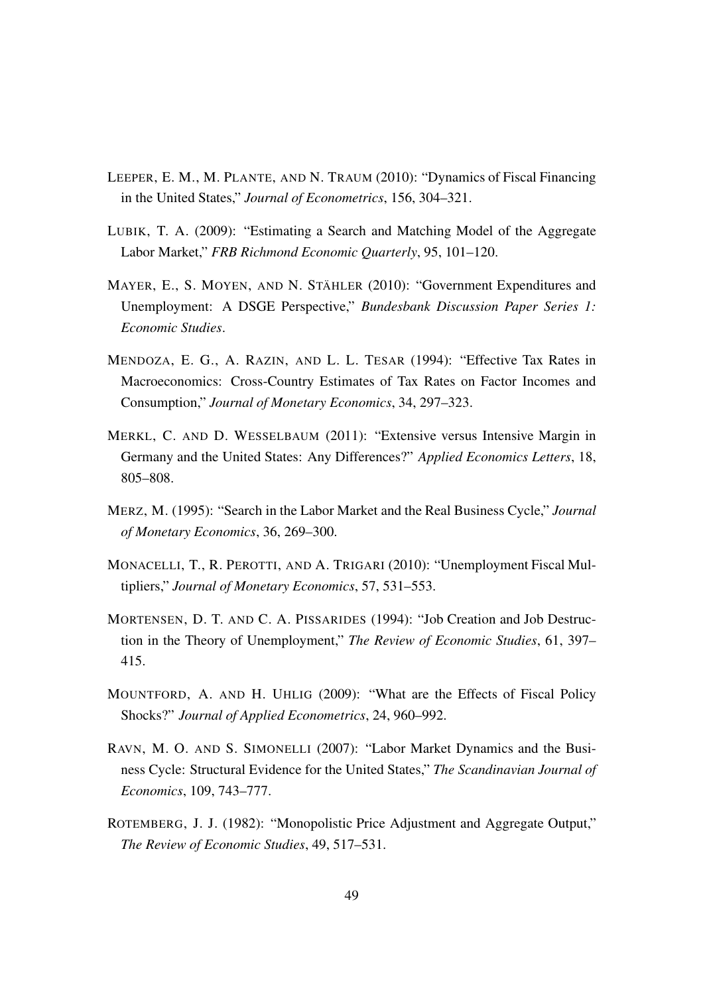- <span id="page-48-1"></span>LEEPER, E. M., M. PLANTE, AND N. TRAUM (2010): "Dynamics of Fiscal Financing in the United States," *Journal of Econometrics*, 156, 304–321.
- <span id="page-48-9"></span>LUBIK, T. A. (2009): "Estimating a Search and Matching Model of the Aggregate Labor Market," *FRB Richmond Economic Quarterly*, 95, 101–120.
- <span id="page-48-6"></span>MAYER, E., S. MOYEN, AND N. STÄHLER (2010): "Government Expenditures and Unemployment: A DSGE Perspective," *Bundesbank Discussion Paper Series 1: Economic Studies*.
- <span id="page-48-4"></span>MENDOZA, E. G., A. RAZIN, AND L. L. TESAR (1994): "Effective Tax Rates in Macroeconomics: Cross-Country Estimates of Tax Rates on Factor Incomes and Consumption," *Journal of Monetary Economics*, 34, 297–323.
- <span id="page-48-7"></span>MERKL, C. AND D. WESSELBAUM (2011): "Extensive versus Intensive Margin in Germany and the United States: Any Differences?" *Applied Economics Letters*, 18, 805–808.
- <span id="page-48-8"></span>MERZ, M. (1995): "Search in the Labor Market and the Real Business Cycle," *Journal of Monetary Economics*, 36, 269–300.
- <span id="page-48-0"></span>MONACELLI, T., R. PEROTTI, AND A. TRIGARI (2010): "Unemployment Fiscal Multipliers," *Journal of Monetary Economics*, 57, 531–553.
- <span id="page-48-2"></span>MORTENSEN, D. T. AND C. A. PISSARIDES (1994): "Job Creation and Job Destruction in the Theory of Unemployment," *The Review of Economic Studies*, 61, 397– 415.
- <span id="page-48-5"></span>MOUNTFORD, A. AND H. UHLIG (2009): "What are the Effects of Fiscal Policy Shocks?" *Journal of Applied Econometrics*, 24, 960–992.
- <span id="page-48-10"></span>RAVN, M. O. AND S. SIMONELLI (2007): "Labor Market Dynamics and the Business Cycle: Structural Evidence for the United States," *The Scandinavian Journal of Economics*, 109, 743–777.
- <span id="page-48-3"></span>ROTEMBERG, J. J. (1982): "Monopolistic Price Adjustment and Aggregate Output," *The Review of Economic Studies*, 49, 517–531.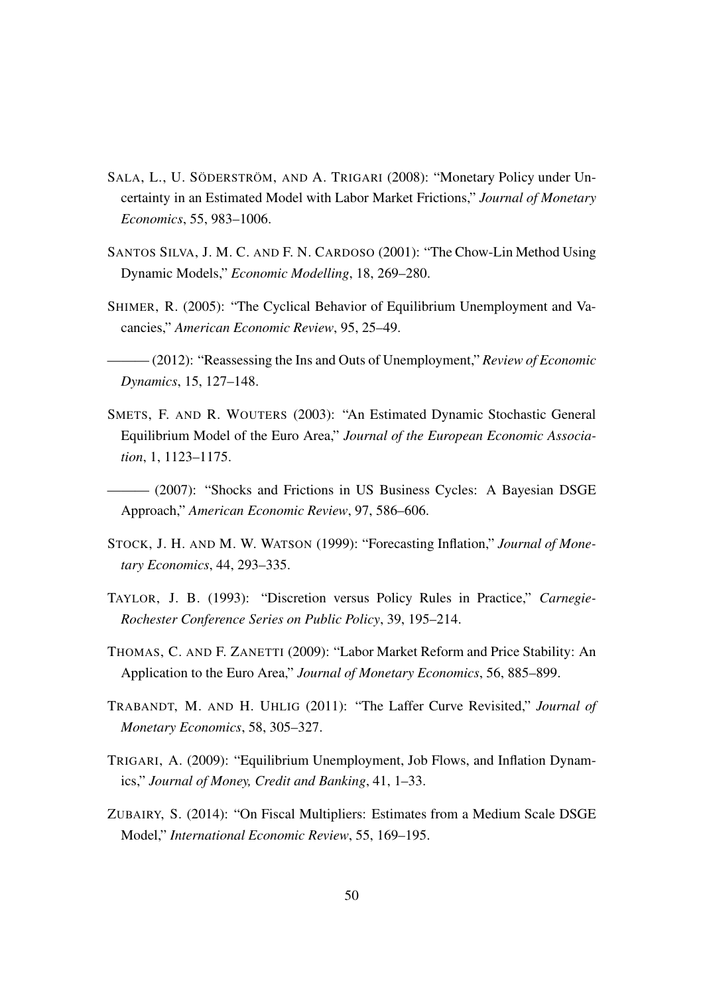- <span id="page-49-2"></span>SALA, L., U. SÖDERSTRÖM, AND A. TRIGARI (2008): "Monetary Policy under Uncertainty in an Estimated Model with Labor Market Frictions," *Journal of Monetary Economics*, 55, 983–1006.
- <span id="page-49-10"></span>SANTOS SILVA, J. M. C. AND F. N. CARDOSO (2001): "The Chow-Lin Method Using Dynamic Models," *Economic Modelling*, 18, 269–280.
- <span id="page-49-0"></span>SHIMER, R. (2005): "The Cyclical Behavior of Equilibrium Unemployment and Vacancies," *American Economic Review*, 95, 25–49.
- <span id="page-49-7"></span>——— (2012): "Reassessing the Ins and Outs of Unemployment," *Review of Economic Dynamics*, 15, 127–148.
- <span id="page-49-9"></span>SMETS, F. AND R. WOUTERS (2003): "An Estimated Dynamic Stochastic General Equilibrium Model of the Euro Area," *Journal of the European Economic Association*, 1, 1123–1175.
- <span id="page-49-6"></span>——— (2007): "Shocks and Frictions in US Business Cycles: A Bayesian DSGE Approach," *American Economic Review*, 97, 586–606.
- <span id="page-49-8"></span>STOCK, J. H. AND M. W. WATSON (1999): "Forecasting Inflation," *Journal of Monetary Economics*, 44, 293–335.
- <span id="page-49-5"></span>TAYLOR, J. B. (1993): "Discretion versus Policy Rules in Practice," *Carnegie-Rochester Conference Series on Public Policy*, 39, 195–214.
- <span id="page-49-4"></span>THOMAS, C. AND F. ZANETTI (2009): "Labor Market Reform and Price Stability: An Application to the Euro Area," *Journal of Monetary Economics*, 56, 885–899.
- <span id="page-49-11"></span>TRABANDT, M. AND H. UHLIG (2011): "The Laffer Curve Revisited," *Journal of Monetary Economics*, 58, 305–327.
- <span id="page-49-3"></span>TRIGARI, A. (2009): "Equilibrium Unemployment, Job Flows, and Inflation Dynamics," *Journal of Money, Credit and Banking*, 41, 1–33.
- <span id="page-49-1"></span>ZUBAIRY, S. (2014): "On Fiscal Multipliers: Estimates from a Medium Scale DSGE Model," *International Economic Review*, 55, 169–195.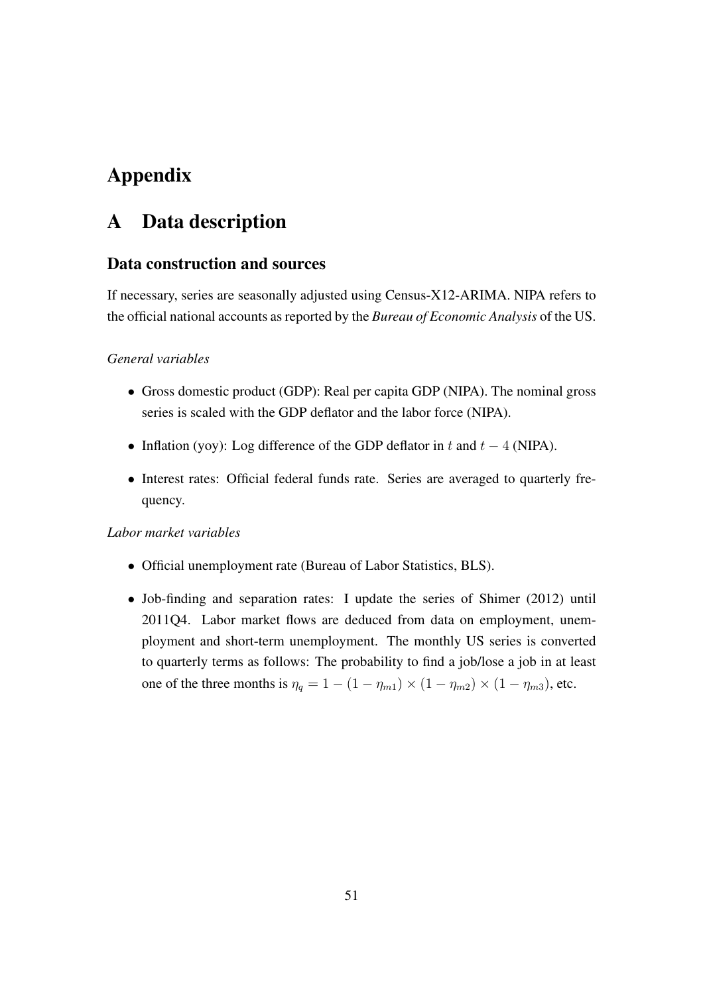## <span id="page-50-0"></span>Appendix

### A Data description

#### Data construction and sources

If necessary, series are seasonally adjusted using Census-X12-ARIMA. NIPA refers to the official national accounts as reported by the *Bureau of Economic Analysis* of the US.

#### *General variables*

- Gross domestic product (GDP): Real per capita GDP (NIPA). The nominal gross series is scaled with the GDP deflator and the labor force (NIPA).
- Inflation (yoy): Log difference of the GDP deflator in t and  $t 4$  (NIPA).
- Interest rates: Official federal funds rate. Series are averaged to quarterly frequency.

#### *Labor market variables*

- Official unemployment rate (Bureau of Labor Statistics, BLS).
- Job-finding and separation rates: I update the series of [Shimer \(2012](#page-49-7)) until 2011Q4. Labor market flows are deduced from data on employment, unemployment and short-term unemployment. The monthly US series is converted to quarterly terms as follows: The probability to find a job/lose a job in at least one of the three months is  $\eta_q = 1 - (1 - \eta_{m1}) \times (1 - \eta_{m2}) \times (1 - \eta_{m3})$ , etc.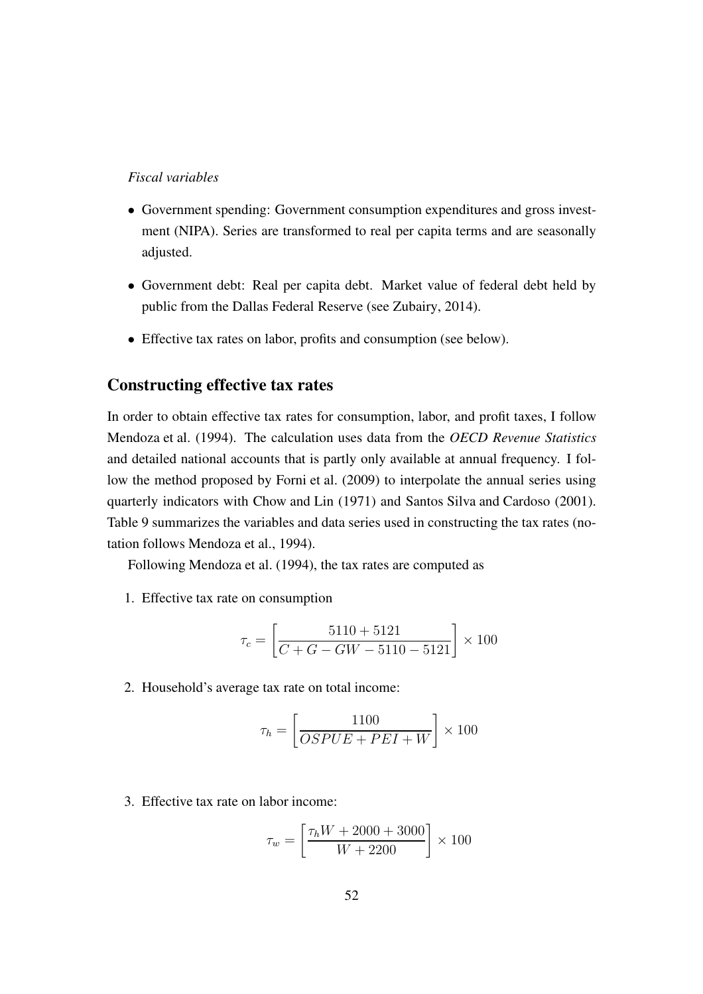#### *Fiscal variables*

- Government spending: Government consumption expenditures and gross investment (NIPA). Series are transformed to real per capita terms and are seasonally adjusted.
- Government debt: Real per capita debt. Market value of federal debt held by public from the Dallas Federal Reserve (see [Zubairy, 2014](#page-49-1)).
- Effective tax rates on labor, profits and consumption (see below).

#### Constructing effective tax rates

In order to obtain effective tax rates for consumption, labor, and profit taxes, I follow [Mendoza et al. \(1994](#page-48-4)). The calculation uses data from the *OECD Revenue Statistics* and detailed national accounts that is partly only available at annual frequency. I follow the method proposed by [Forni et al.](#page-46-2) [\(2009\)](#page-46-2) to interpolate the annual series using quarterly indicators with [Chow and Lin \(1971](#page-45-10)) and [Santos Silva and Cardoso](#page-49-10) [\(2001\)](#page-49-10). Table [9](#page-53-0) summarizes the variables and data series used in constructing the tax rates (notation follows [Mendoza et al.](#page-48-4), [1994](#page-48-4)).

Following [Mendoza et al.](#page-48-4) [\(1994\)](#page-48-4), the tax rates are computed as

1. Effective tax rate on consumption

$$
\tau_c = \left[ \frac{5110 + 5121}{C + G - GW - 5110 - 5121} \right] \times 100
$$

2. Household's average tax rate on total income:

$$
\tau_h = \left[\frac{1100}{OSPUE + PEI + W}\right] \times 100
$$

3. Effective tax rate on labor income:

$$
\tau_w = \left[ \frac{\tau_h W + 2000 + 3000}{W + 2200} \right] \times 100
$$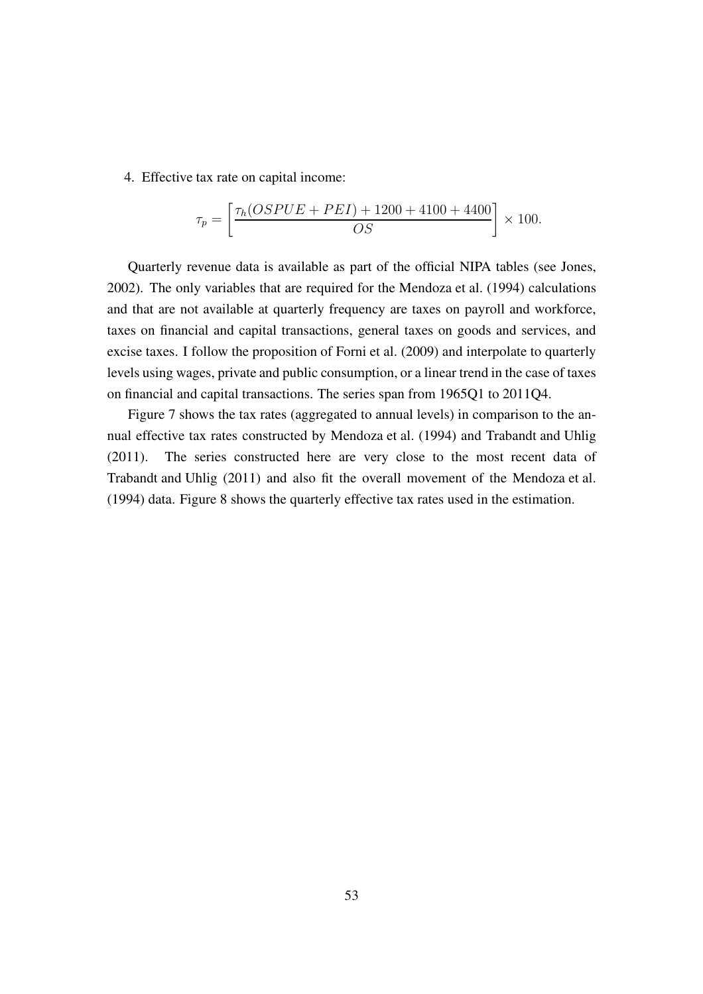4. Effective tax rate on capital income:

$$
\tau_p = \left[ \frac{\tau_h (OSPUE + PEI) + 1200 + 4100 + 4400}{OS} \right] \times 100.
$$

Quarterly revenue data is available as part of the official NIPA tables (see [Jones,](#page-47-5) [2002\)](#page-47-5). The only variables that are required for the [Mendoza et al. \(1994](#page-48-4)) calculations and that are not available at quarterly frequency are taxes on payroll and workforce, taxes on financial and capital transactions, general taxes on goods and services, and excise taxes. I follow the proposition of [Forni et al. \(2009](#page-46-2)) and interpolate to quarterly levels using wages, private and public consumption, or a linear trend in the case of taxes on financial and capital transactions. The series span from 1965Q1 to 2011Q4.

Figure [7](#page-54-0) shows the tax rates (aggregated to annual levels) in comparison to the annual effective tax rates constructed by [Mendoza et al. \(1994](#page-48-4)) and [Trabandt and Uhlig](#page-49-11) [\(2011\)](#page-49-11). The series constructed here are very close to the most recent data of [Trabandt and Uhlig](#page-49-11) [\(2011\)](#page-49-11) and also fit the overall movement of the [Mendoza et al.](#page-48-4) [\(1994\)](#page-48-4) data. Figure [8](#page-54-1) shows the quarterly effective tax rates used in the estimation.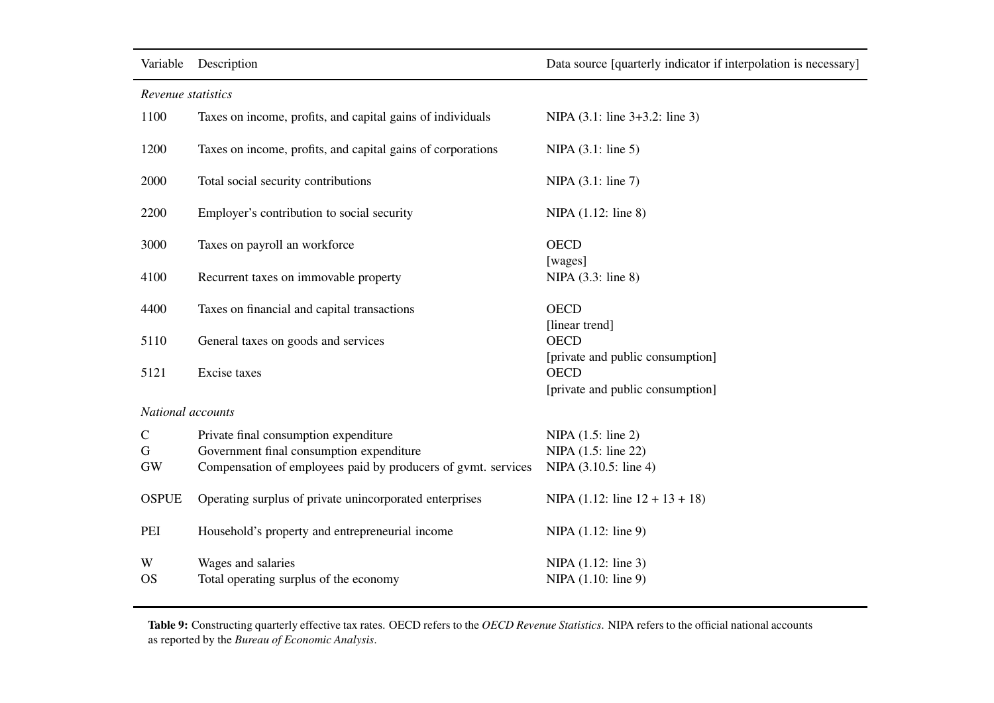#### *Revenue statistics*

<span id="page-53-0"></span>

| 1100              | Taxes on income, profits, and capital gains of individuals    | NIPA (3.1: line 3+3.2: line 3)                  |
|-------------------|---------------------------------------------------------------|-------------------------------------------------|
| 1200              | Taxes on income, profits, and capital gains of corporations   | NIPA $(3.1:$ line 5)                            |
| 2000              | Total social security contributions                           | NIPA (3.1: line 7)                              |
| 2200              | Employer's contribution to social security                    | $NIPA$ (1.12: line 8)                           |
| 3000              | Taxes on payroll an workforce                                 | <b>OECD</b>                                     |
| 4100              | Recurrent taxes on immovable property                         | [wages]<br>NIPA (3.3: line 8)                   |
| 4400              | Taxes on financial and capital transactions                   | <b>OECD</b>                                     |
| 5110              | General taxes on goods and services                           | [linear trend]<br><b>OECD</b>                   |
| 5121              | Excise taxes                                                  | [private and public consumption]<br><b>OECD</b> |
|                   |                                                               | [private and public consumption]                |
| National accounts |                                                               |                                                 |
| $\mathsf{C}$      | Private final consumption expenditure                         | NIPA (1.5: line 2)                              |
| G                 | Government final consumption expenditure                      | NIPA (1.5: line 22)                             |
| <b>GW</b>         | Compensation of employees paid by producers of gvmt. services | NIPA (3.10.5: line 4)                           |
| <b>OSPUE</b>      | Operating surplus of private unincorporated enterprises       | NIPA $(1.12:$ line $12 + 13 + 18)$              |
| PEI               | Household's property and entrepreneurial income               | NIPA (1.12: line 9)                             |
| W                 | Wages and salaries                                            | NIPA (1.12: line 3)                             |
| <b>OS</b>         | Total operating surplus of the economy                        | NIPA (1.10: line 9)                             |

Table 9: Constructing quarterly effective tax rates. OECD refers to the *OECD Revenue Statistics*. NIPA refers to the official national accounts as reported by the *Bureau of Economic Analysis*.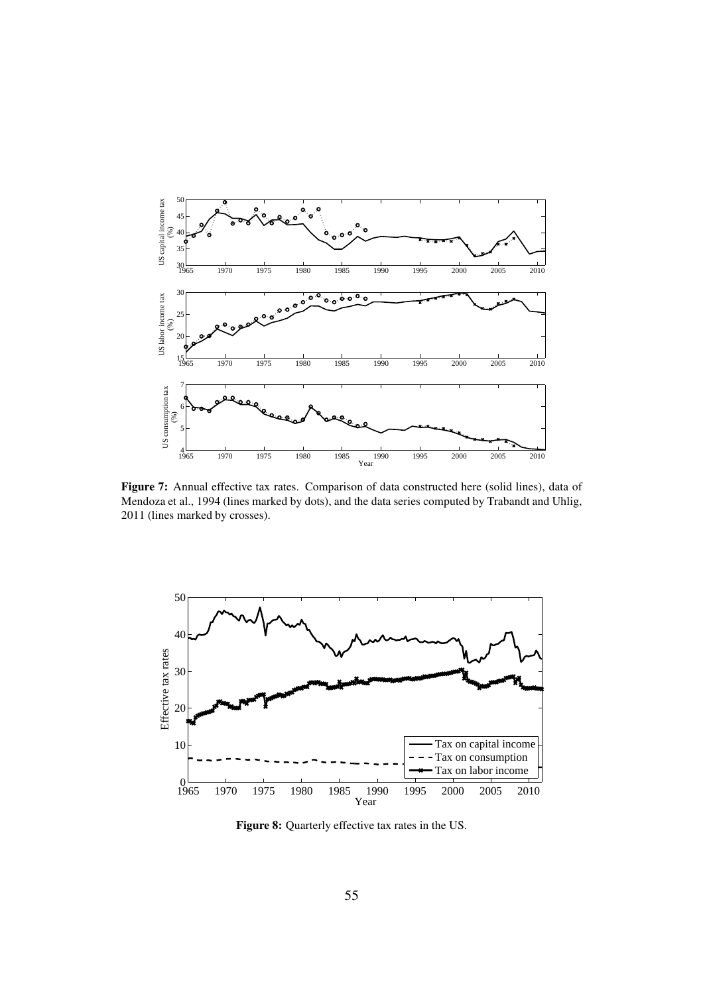<span id="page-54-0"></span>

Figure 7: Annual effective tax rates. Comparison of data constructed here (solid lines), data of [Mendoza et al., 1994](#page-48-4) (lines marked by dots), and the data series computed by [Trabandt and Uhlig](#page-49-11), (lines marked by crosses).

<span id="page-54-1"></span>

Figure 8: Quarterly effective tax rates in the US.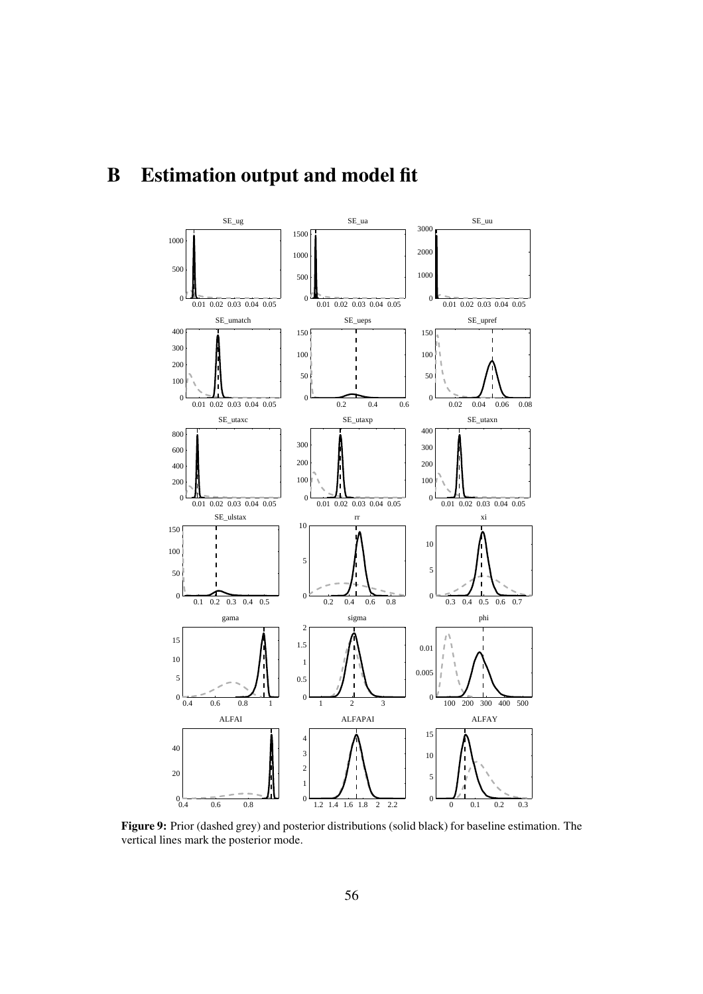# <span id="page-55-0"></span>B Estimation output and model fit



Figure 9: Prior (dashed grey) and posterior distributions (solid black) for baseline estimation. The vertical lines mark the posterior mode.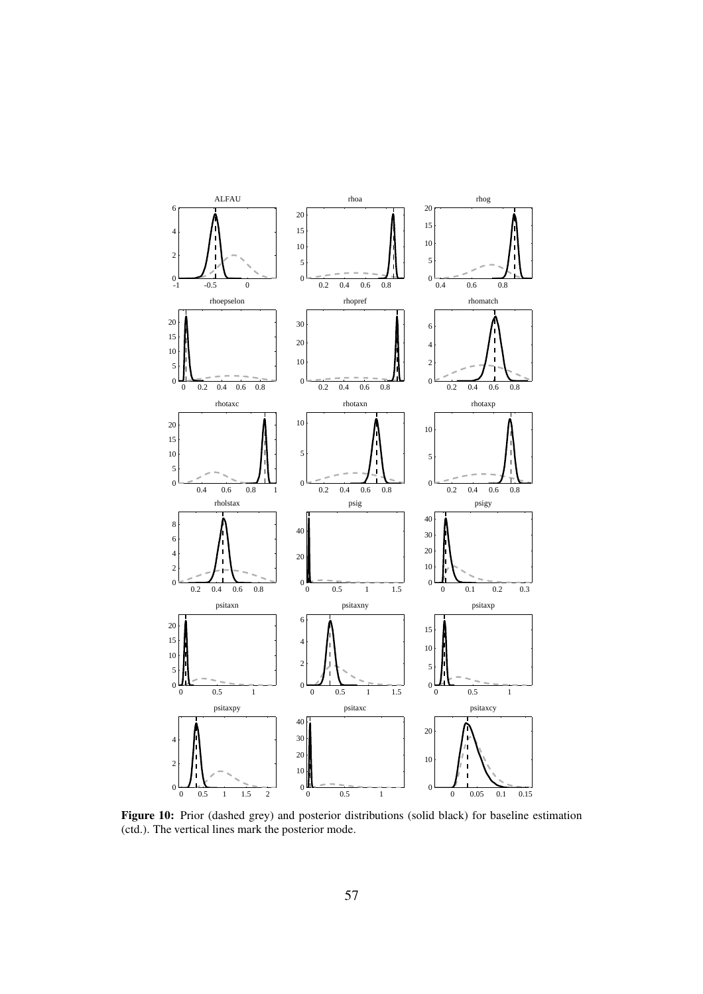

Figure 10: Prior (dashed grey) and posterior distributions (solid black) for baseline estimation (ctd.). The vertical lines mark the posterior mode.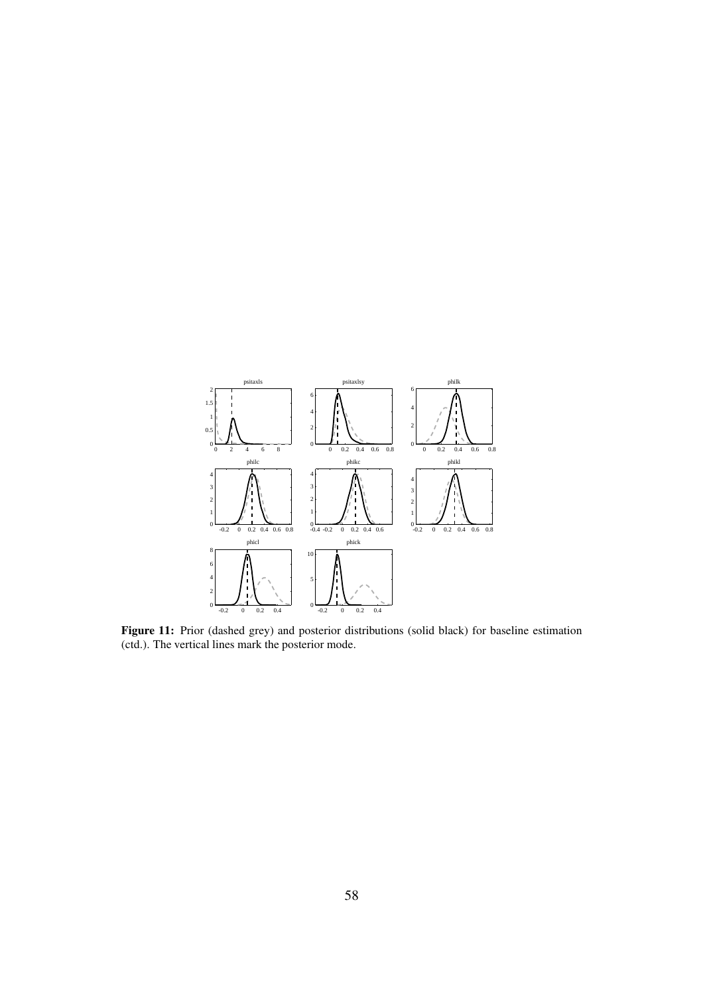

Figure 11: Prior (dashed grey) and posterior distributions (solid black) for baseline estimation (ctd.). The vertical lines mark the posterior mode.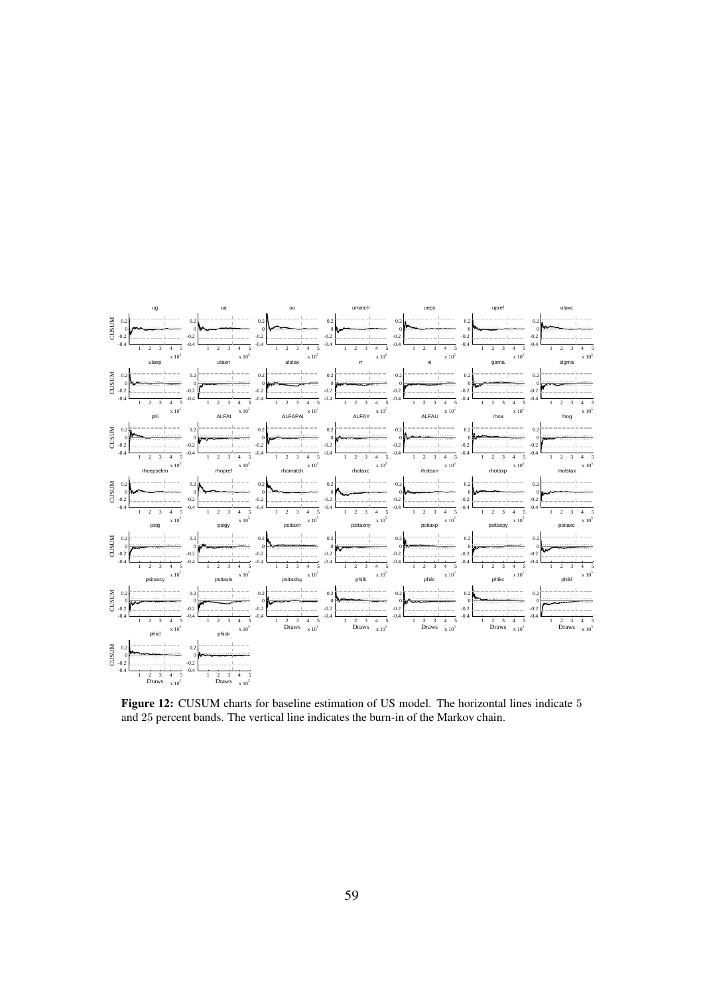

Figure 12: CUSUM charts for baseline estimation of US model. The horizontal lines indicate 5 and 25 percent bands. The vertical line indicates the burn-in of the Markov chain.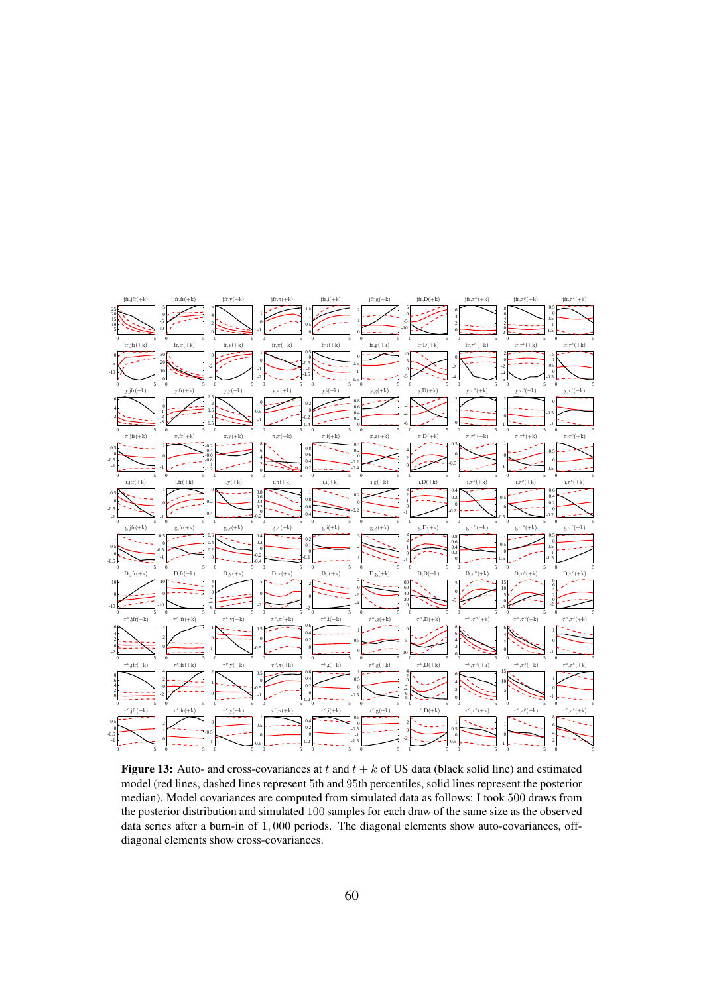<span id="page-59-0"></span>

Figure 13: Auto- and cross-covariances at t and  $t + k$  of US data (black solid line) and estimated model (red lines, dashed lines represent 5th and 95th percentiles, solid lines represent the posterior median). Model covariances are computed from simulated data as follows: I took 500 draws from the posterior distribution and simulated 100 samples for each draw of the same size as the observed data series after a burn-in of 1, 000 periods. The diagonal elements show auto-covariances, offdiagonal elements show cross-covariances.